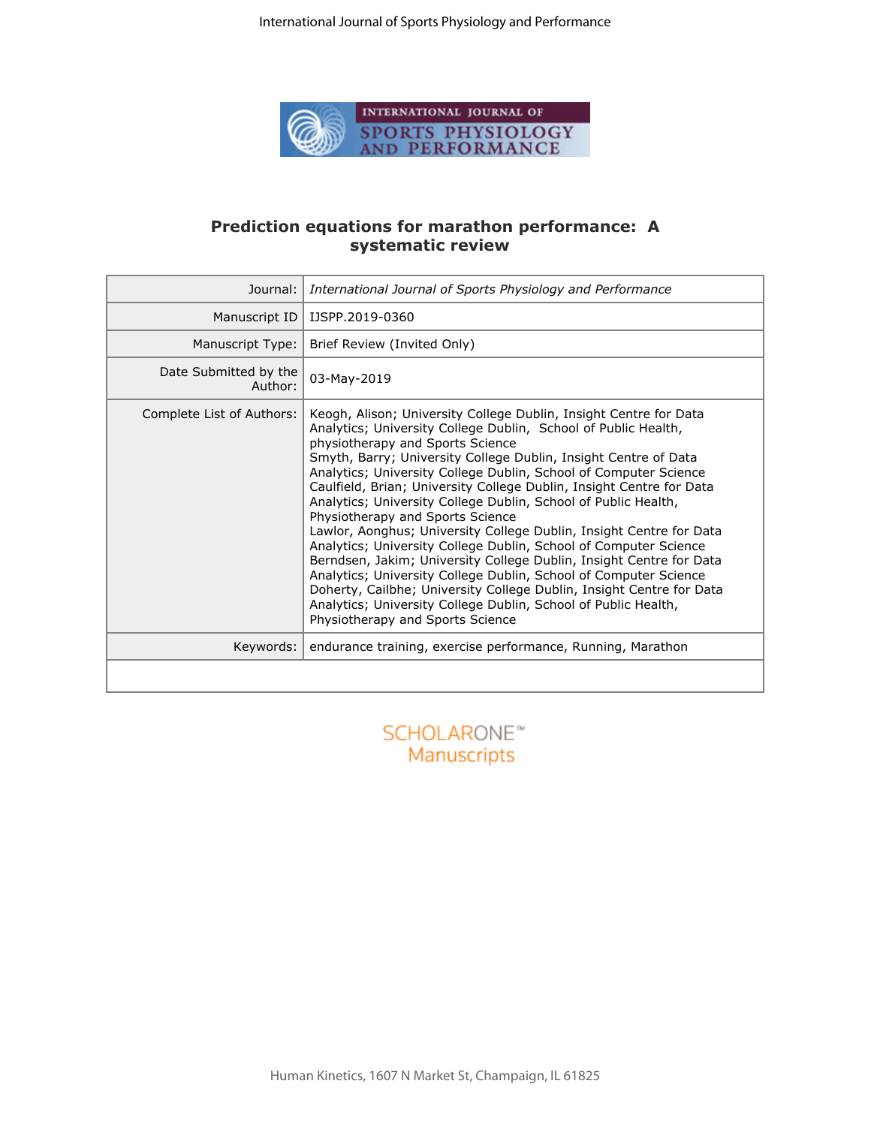

# **Prediction equations for marathon performance: A systematic review**

| Journal:                         | International Journal of Sports Physiology and Performance                                                                                                                                                                                                                                                                                                                                                                                                                                                                                                                                                                                                                                                                                                                                                                                                                                                                                                       |  |  |  |
|----------------------------------|------------------------------------------------------------------------------------------------------------------------------------------------------------------------------------------------------------------------------------------------------------------------------------------------------------------------------------------------------------------------------------------------------------------------------------------------------------------------------------------------------------------------------------------------------------------------------------------------------------------------------------------------------------------------------------------------------------------------------------------------------------------------------------------------------------------------------------------------------------------------------------------------------------------------------------------------------------------|--|--|--|
| Manuscript ID                    | IJSPP.2019-0360                                                                                                                                                                                                                                                                                                                                                                                                                                                                                                                                                                                                                                                                                                                                                                                                                                                                                                                                                  |  |  |  |
| Manuscript Type:                 | Brief Review (Invited Only)                                                                                                                                                                                                                                                                                                                                                                                                                                                                                                                                                                                                                                                                                                                                                                                                                                                                                                                                      |  |  |  |
| Date Submitted by the<br>Author: | 03-May-2019                                                                                                                                                                                                                                                                                                                                                                                                                                                                                                                                                                                                                                                                                                                                                                                                                                                                                                                                                      |  |  |  |
| Complete List of Authors:        | Keogh, Alison; University College Dublin, Insight Centre for Data<br>Analytics; University College Dublin, School of Public Health,<br>physiotherapy and Sports Science<br>Smyth, Barry; University College Dublin, Insight Centre of Data<br>Analytics; University College Dublin, School of Computer Science<br>Caulfield, Brian; University College Dublin, Insight Centre for Data<br>Analytics; University College Dublin, School of Public Health,<br>Physiotherapy and Sports Science<br>Lawlor, Aonghus; University College Dublin, Insight Centre for Data<br>Analytics; University College Dublin, School of Computer Science<br>Berndsen, Jakim; University College Dublin, Insight Centre for Data<br>Analytics; University College Dublin, School of Computer Science<br>Doherty, Cailbhe; University College Dublin, Insight Centre for Data<br>Analytics; University College Dublin, School of Public Health,<br>Physiotherapy and Sports Science |  |  |  |
| Keywords:                        | endurance training, exercise performance, Running, Marathon                                                                                                                                                                                                                                                                                                                                                                                                                                                                                                                                                                                                                                                                                                                                                                                                                                                                                                      |  |  |  |
|                                  |                                                                                                                                                                                                                                                                                                                                                                                                                                                                                                                                                                                                                                                                                                                                                                                                                                                                                                                                                                  |  |  |  |
|                                  |                                                                                                                                                                                                                                                                                                                                                                                                                                                                                                                                                                                                                                                                                                                                                                                                                                                                                                                                                                  |  |  |  |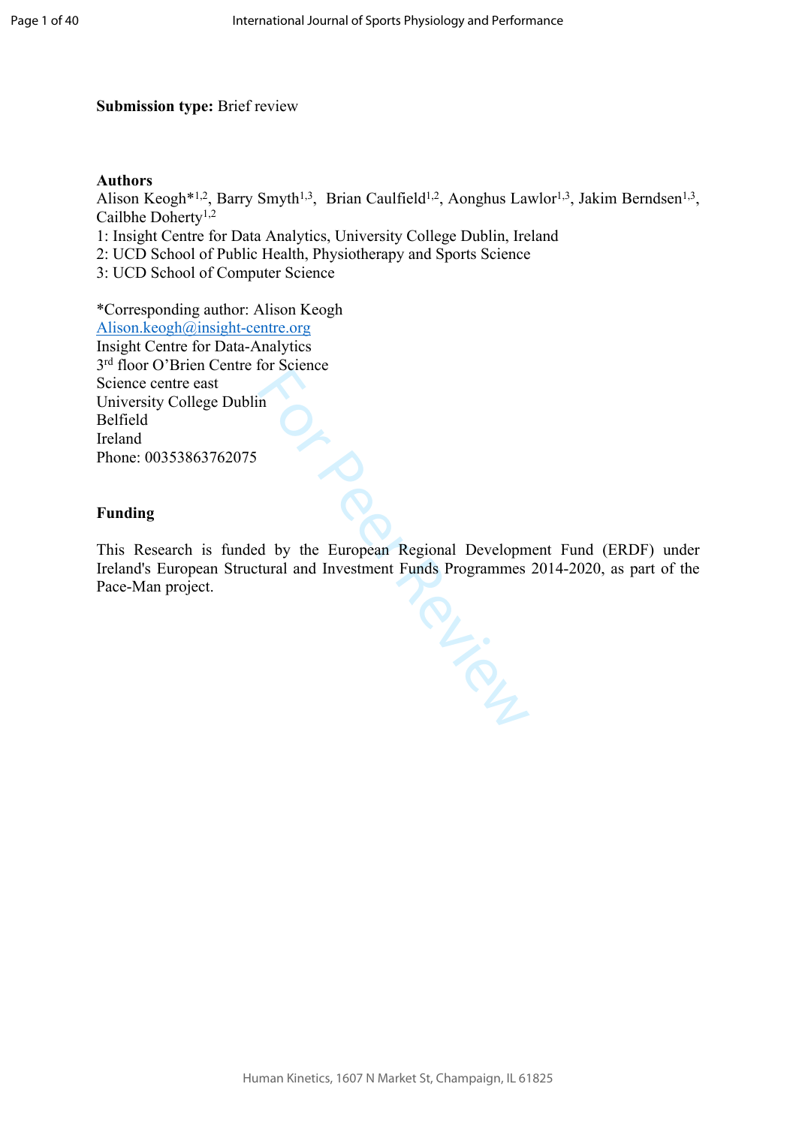**Submission type:** Brief review

## **Authors**

Alison Keogh\*<sup>1,2</sup>, Barry Smyth<sup>1,3</sup>, Brian Caulfield<sup>1,2</sup>, Aonghus Lawlor<sup>1,3</sup>, Jakim Berndsen<sup>1,3</sup>, Cailbhe Doherty<sup>1,2</sup>

1: Insight Centre for Data Analytics, University College Dublin, Ireland

2: UCD School of Public Health, Physiotherapy and Sports Science

3: UCD School of Computer Science

\*Corresponding author: Alison Keogh [Alison.keogh@insight-centre.org](mailto:Alison.keogh@insight-centre.org) Insight Centre for Data-Analytics 3 rd floor O'Brien Centre for Science Science centre east University College Dublin Belfield Ireland Phone: 00353863762075

# **Funding**

PL.<br>PL. This Research is funded by the European Regional Development Fund (ERDF) under Ireland's European Structural and Investment Funds Programmes 2014-2020, as part of the Pace-Man project.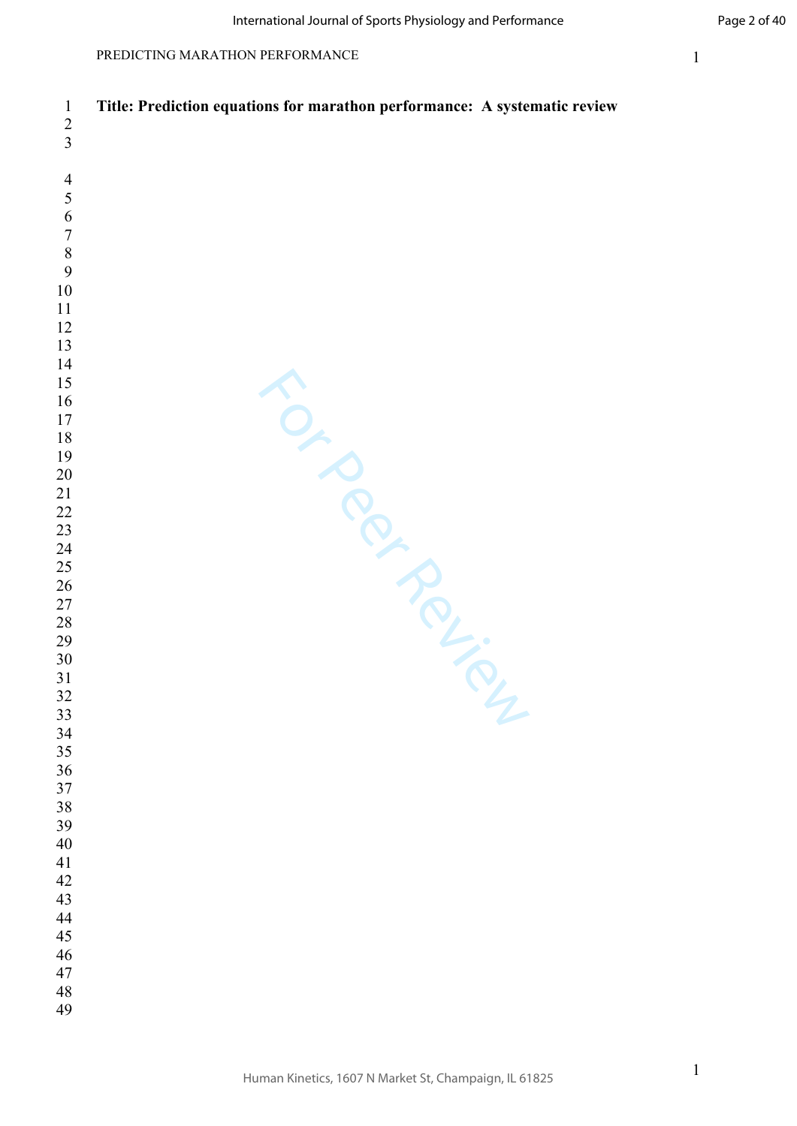| $\mathbf{1}$                          | Title: Prediction equations for marathon performance: A systematic review |
|---------------------------------------|---------------------------------------------------------------------------|
| $\frac{2}{3}$                         |                                                                           |
|                                       |                                                                           |
|                                       |                                                                           |
| $\overline{a}$<br>5                   |                                                                           |
| 6                                     |                                                                           |
|                                       |                                                                           |
| $\begin{array}{c} 7 \\ 8 \end{array}$ |                                                                           |
| 9                                     |                                                                           |
| $10\,$                                |                                                                           |
| $11$                                  |                                                                           |
| 12                                    |                                                                           |
| 13<br>14                              |                                                                           |
| 15                                    |                                                                           |
| 16                                    |                                                                           |
| 17                                    | OTTERINA                                                                  |
| $18\,$                                |                                                                           |
| 19                                    |                                                                           |
| $20\,$                                |                                                                           |
| $21\,$<br>$22\,$                      |                                                                           |
| 23                                    |                                                                           |
| 24                                    |                                                                           |
| 25                                    |                                                                           |
| $26\,$                                |                                                                           |
| $27\,$                                |                                                                           |
| $28\,$                                |                                                                           |
| 29<br>$30\,$                          |                                                                           |
| 31                                    |                                                                           |
| $32\,$                                |                                                                           |
| 33                                    |                                                                           |
| 34                                    |                                                                           |
| 35                                    |                                                                           |
| 36<br>37                              |                                                                           |
| 38                                    |                                                                           |
| 39                                    |                                                                           |
| $40\,$                                |                                                                           |
| 41                                    |                                                                           |
| 42                                    |                                                                           |
| 43                                    |                                                                           |
| 44<br>45                              |                                                                           |
| 46                                    |                                                                           |
| 47                                    |                                                                           |
| $\sqrt{48}$                           |                                                                           |
| 49                                    |                                                                           |

 $\overline{1}$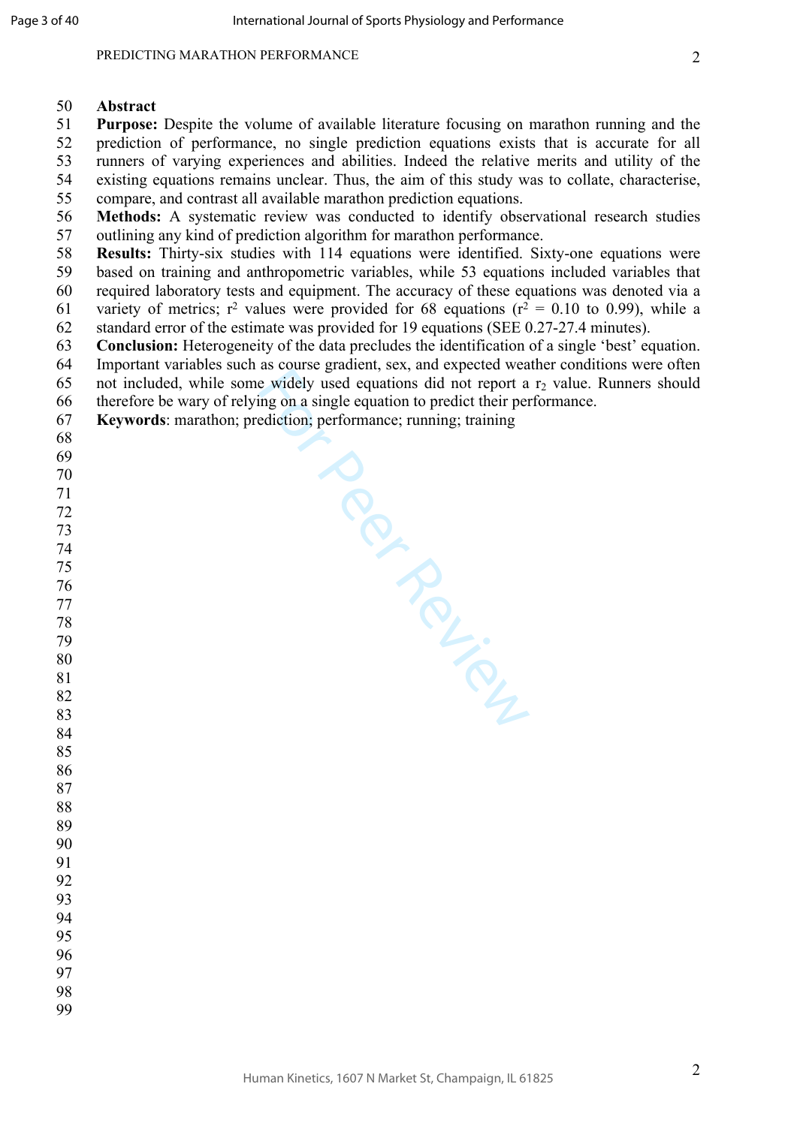### **Abstract**

 **Purpose:** Despite the volume of available literature focusing on marathon running and the 52 prediction of performance, no single prediction equations exists that is accurate for all 53 runners of varying experiences and abilities. Indeed the relative merits and utility of the 54 existing equations remains unclear. Thus, the aim of this study was to collate, characterise, 55 compare, and contrast all available marathon prediction equations.

**Methods:** A systematic review was conducted to identify observational research studies

57 outlining any kind of prediction algorithm for marathon performance.

 **Results:** Thirty-six studies with 114 equations were identified. Sixty-one equations were 59 based on training and anthropometric variables, while 53 equations included variables that 60 required laboratory tests and equipment. The accuracy of these equations was denoted via a 61 variety of metrics;  $r^2$  values were provided for 68 equations ( $r^2 = 0.10$  to 0.99), while a 62 standard error of the estimate was provided for 19 equations (SEE 0.27-27.4 minutes).

**Conclusion:** Heterogeneity of the data precludes the identification of a single 'best' equation.

64 Important variables such as course gradient, sex, and expected weather conditions were often 65 not included, while some widely used equations did not report a  $r_2$  value. Runners should

66 therefore be wary of relying on a single equation to predict their performance.

For Period **Keywords**: marathon; prediction; performance; running; training

 

Human Kinetics, 1607 N Market St, Champaign, IL 61825

 $\overline{\mathcal{L}}$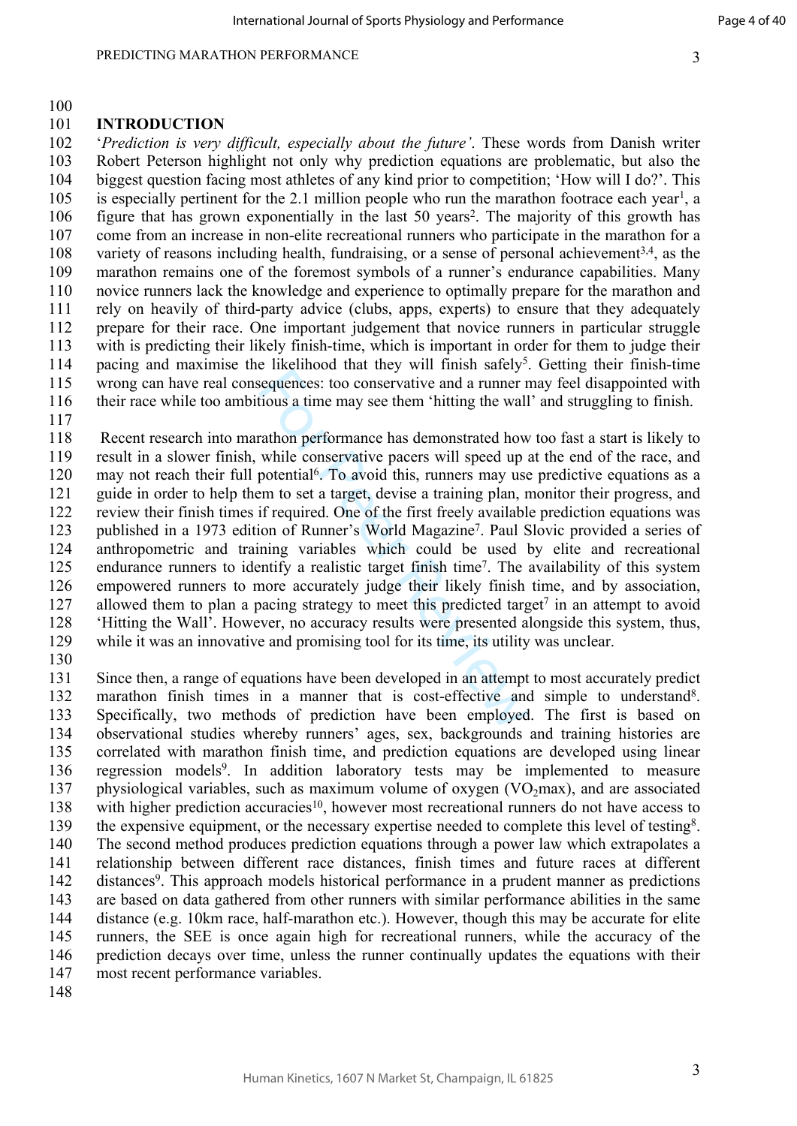100

## 101 **INTRODUCTION**

102 '*Prediction is very difficult, especially about the future'*. These words from Danish writer 103 Robert Peterson highlight not only why prediction equations are problematic, but also the 104 biggest question facing most athletes of any kind prior to competition; 'How will I do?'. This 105 is especially pertinent for the 2.1 million people who run the marathon footrace each year<sup>1</sup>, a 106 figure that has grown exponentially in the last 50 years<sup>2</sup>. The majority of this growth has 107 come from an increase in non-elite recreational runners who participate in the marathon for a 108 variety of reasons including health, fundraising, or a sense of personal achievement<sup>3,4</sup>, as the 109 marathon remains one of the foremost symbols of a runner's endurance capabilities. Many 110 novice runners lack the knowledge and experience to optimally prepare for the marathon and 111 rely on heavily of third-party advice (clubs, apps, experts) to ensure that they adequately 112 prepare for their race. One important judgement that novice runners in particular struggle 113 with is predicting their likely finish-time, which is important in order for them to judge their 114 pacing and maximise the likelihood that they will finish safely<sup>5</sup>. Getting their finish-time 115 wrong can have real consequences: too conservative and a runner may feel disappointed with 116 their race while too ambitious a time may see them 'hitting the wall' and struggling to finish.

117

is a time may be intended and they window and a runner r<br>tious a time may see them 'hitting the wall<br>rathon performance has demonstrated how<br>while conservative pacers will speed up a<br>potential<sup>6</sup>. To avoid this, runners ma 118 Recent research into marathon performance has demonstrated how too fast a start is likely to 119 result in a slower finish, while conservative pacers will speed up at the end of the race, and 120 may not reach their full potential<sup>6</sup>. To avoid this, runners may use predictive equations as a 121 guide in order to help them to set a target, devise a training plan, monitor their progress, and 122 review their finish times if required. One of the first freely available prediction equations was 123 published in a 1973 edition of Runner's World Magazine<sup>7</sup> . Paul Slovic provided a series of 124 anthropometric and training variables which could be used by elite and recreational 125 endurance runners to identify a realistic target finish time<sup>7</sup> . The availability of this system 126 empowered runners to more accurately judge their likely finish time, and by association, 127 allowed them to plan a pacing strategy to meet this predicted target<sup>7</sup> in an attempt to avoid 128 'Hitting the Wall'. However, no accuracy results were presented alongside this system, thus, 129 while it was an innovative and promising tool for its time, its utility was unclear.

130

131 Since then, a range of equations have been developed in an attempt to most accurately predict 132 marathon finish times in a manner that is cost-effective and simple to understand<sup>8</sup>. 133 Specifically, two methods of prediction have been employed. The first is based on 134 observational studies whereby runners' ages, sex, backgrounds and training histories are 135 correlated with marathon finish time, and prediction equations are developed using linear 136 regression models<sup>9</sup>. In addition laboratory tests may be implemented to measure 137 physiological variables, such as maximum volume of oxygen  $(VO_2)$  and are associated 138 with higher prediction accuracies<sup>10</sup>, however most recreational runners do not have access to 139 the expensive equipment, or the necessary expertise needed to complete this level of testing<sup>8</sup>. 140 The second method produces prediction equations through a power law which extrapolates a 141 relationship between different race distances, finish times and future races at different 142 distances<sup>9</sup>. This approach models historical performance in a prudent manner as predictions 143 are based on data gathered from other runners with similar performance abilities in the same 144 distance (e.g. 10km race, half-marathon etc.). However, though this may be accurate for elite 145 runners, the SEE is once again high for recreational runners, while the accuracy of the 146 prediction decays over time, unless the runner continually updates the equations with their 147 most recent performance variables.

148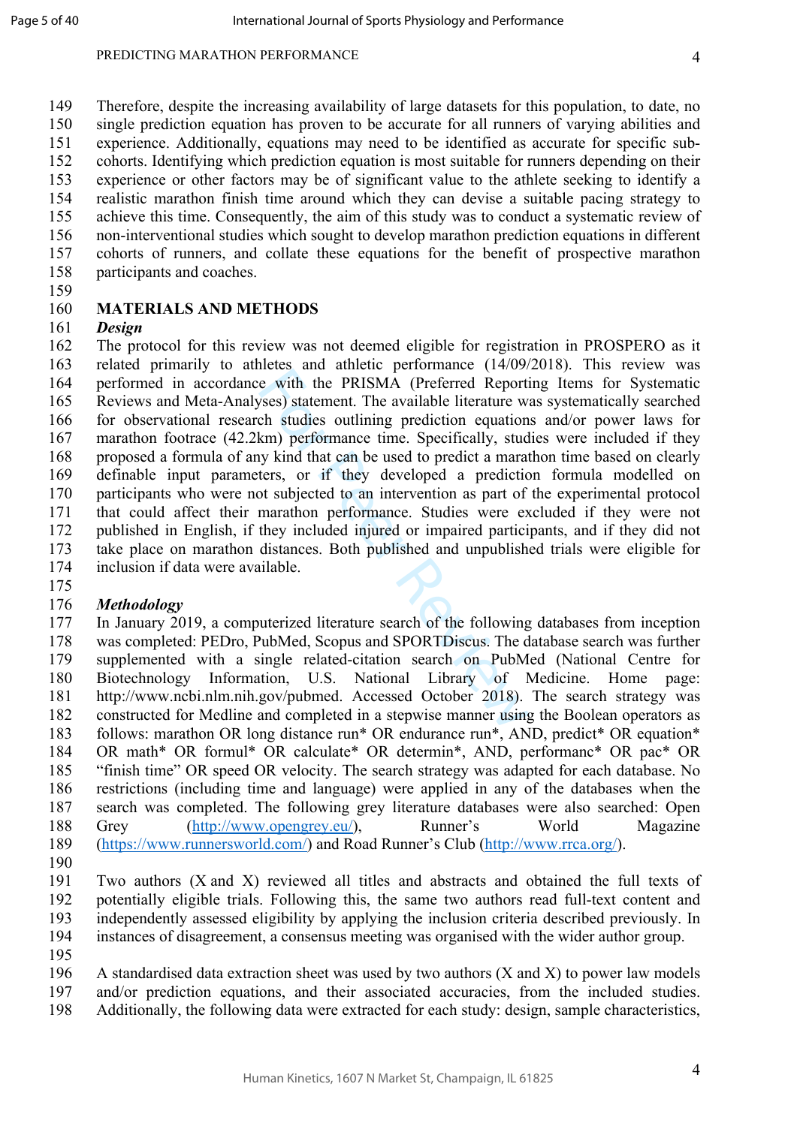149 Therefore, despite the increasing availability of large datasets for this population, to date, no 150 single prediction equation has proven to be accurate for all runners of varying abilities and 151 experience. Additionally, equations may need to be identified as accurate for specific sub-152 cohorts. Identifying which prediction equation is most suitable for runners depending on their 153 experience or other factors may be of significant value to the athlete seeking to identify a 154 realistic marathon finish time around which they can devise a suitable pacing strategy to 155 achieve this time. Consequently, the aim of this study was to conduct a systematic review of 156 non-interventional studies which sought to develop marathon prediction equations in different 157 cohorts of runners, and collate these equations for the benefit of prospective marathon 158 participants and coaches.

159

# 160 **MATERIALS AND METHODS**

## 161 *Design*

Free with the PRISMA (Preferred Report<br>yees) statement. The available literature we<br>ch studies outlining prediction equation<br>km) performance time. Specifically, study kind that can be used to predict a marat<br>ters, or if t 162 The protocol for this review was not deemed eligible for registration in PROSPERO as it 163 related primarily to athletes and athletic performance (14/09/2018). This review was 164 performed in accordance with the PRISMA (Preferred Reporting Items for Systematic 165 Reviews and Meta-Analyses) statement. The available literature was systematically searched 166 for observational research studies outlining prediction equations and/or power laws for 167 marathon footrace (42.2km) performance time. Specifically, studies were included if they 168 proposed a formula of any kind that can be used to predict a marathon time based on clearly 169 definable input parameters, or if they developed a prediction formula modelled on 170 participants who were not subjected to an intervention as part of the experimental protocol 171 that could affect their marathon performance. Studies were excluded if they were not 172 published in English, if they included injured or impaired participants, and if they did not 173 take place on marathon distances. Both published and unpublished trials were eligible for 174 inclusion if data were available.

# 176 *Methodology*

44 177 In January 2019, a computerized literature search of the following databases from inception 178 was completed: PEDro, PubMed, Scopus and SPORTDiscus. The database search was further 179 supplemented with a single related-citation search on PubMed (National Centre for 180 Biotechnology Information, U.S. National Library of Medicine. Home page: 181 http://www.ncbi.nlm.nih.gov/pubmed. Accessed October 2018). The search strategy was 182 constructed for Medline and completed in a stepwise manner using the Boolean operators as 183 follows: marathon OR long distance run\* OR endurance run\*, AND, predict\* OR equation\* 184 OR math\* OR formul\* OR calculate\* OR determin\*, AND, performanc\* OR pac\* OR 185 "finish time" OR speed OR velocity. The search strategy was adapted for each database. No 186 restrictions (including time and language) were applied in any of the databases when the 187 search was completed. The following grey literature databases were also searched: Open 188 Grey ([http://www.opengrey.eu/\)](http://www.opengrey.eu/), Runner's World Magazine 189 (<https://www.runnersworld.com/>) and Road Runner's Club [\(http://www.rrca.org/\)](http://www.rrca.org/).

190

175

191 Two authors (X and X) reviewed all titles and abstracts and obtained the full texts of 192 potentially eligible trials. Following this, the same two authors read full-text content and 193 independently assessed eligibility by applying the inclusion criteria described previously. In 194 instances of disagreement, a consensus meeting was organised with the wider author group.

195

196 A standardised data extraction sheet was used by two authors  $(X \text{ and } X)$  to power law models 197 and/or prediction equations, and their associated accuracies, from the included studies. 198 Additionally, the following data were extracted for each study: design, sample characteristics,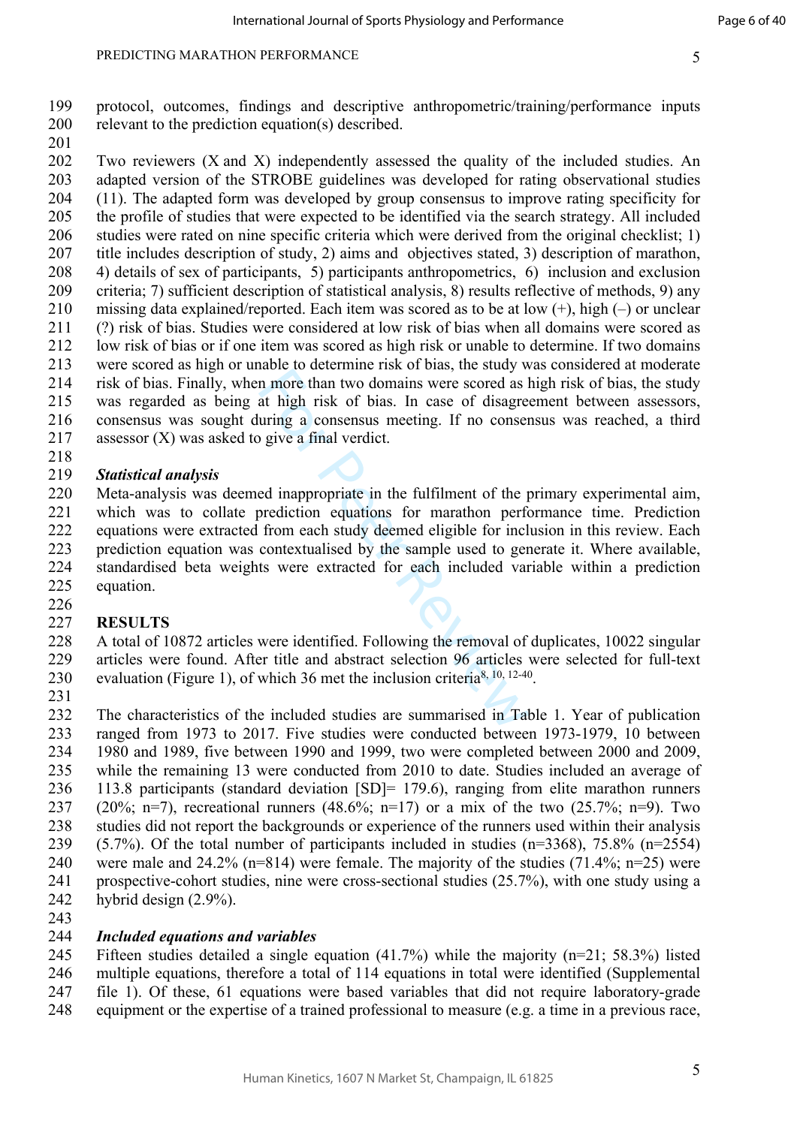199 protocol, outcomes, findings and descriptive anthropometric/training/performance inputs 200 relevant to the prediction equation(s) described.

201

202 Two reviewers (X and X) independently assessed the quality of the included studies. An 203 adapted version of the STROBE guidelines was developed for rating observational studies 204 (11). The adapted form was developed by group consensus to improve rating specificity for 205 the profile of studies that were expected to be identified via the search strategy. All included 206 studies were rated on nine specific criteria which were derived from the original checklist; 1) 207 title includes description of study, 2) aims and objectives stated, 3) description of marathon, 208 4) details of sex of participants, 5) participants anthropometrics, 6) inclusion and exclusion 209 criteria; 7) sufficient description of statistical analysis, 8) results reflective of methods, 9) any 210 missing data explained/reported. Each item was scored as to be at low (+), high (–) or unclear 211 (?) risk of bias. Studies were considered at low risk of bias when all domains were scored as 212 low risk of bias or if one item was scored as high risk or unable to determine. If two domains 213 were scored as high or unable to determine risk of bias, the study was considered at moderate 214 risk of bias. Finally, when more than two domains were scored as high risk of bias, the study 215 was regarded as being at high risk of bias. In case of disagreement between assessors, 216 consensus was sought during a consensus meeting. If no consensus was reached, a third 217 assessor  $(X)$  was asked to give a final verdict.

218

# 219 *Statistical analysis*

m more than two domains were scored as lat high risk of bias. In case of disagre<br>aring a consensus meeting. If no conservating a final verdict.<br>Event and verdict.<br>The prediction equations for marathon perform each study d 220 Meta-analysis was deemed inappropriate in the fulfilment of the primary experimental aim, 221 which was to collate prediction equations for marathon performance time. Prediction 222 equations were extracted from each study deemed eligible for inclusion in this review. Each 223 prediction equation was contextualised by the sample used to generate it. Where available, 224 standardised beta weights were extracted for each included variable within a prediction 225 equation.

# 227 **RESULTS**

228 A total of 10872 articles were identified. Following the removal of duplicates, 10022 singular 229 articles were found. After title and abstract selection 96 articles were selected for full-text 230 evaluation (Figure 1), of which 36 met the inclusion criteria<sup>8, 10, 12-40</sup>.

231

226

232 The characteristics of the included studies are summarised in Table 1. Year of publication 233 ranged from 1973 to 2017. Five studies were conducted between 1973-1979, 10 between 234 1980 and 1989, five between 1990 and 1999, two were completed between 2000 and 2009, 235 while the remaining 13 were conducted from 2010 to date. Studies included an average of 236 113.8 participants (standard deviation [SD]= 179.6), ranging from elite marathon runners 237 (20%; n=7), recreational runners  $(48.6\%; n=17)$  or a mix of the two  $(25.7\%; n=9)$ . Two 238 studies did not report the backgrounds or experience of the runners used within their analysis 239 (5.7%). Of the total number of participants included in studies (n=3368), 75.8% (n=2554) 240 were male and 24.2% (n=814) were female. The majority of the studies (71.4%; n=25) were 241 prospective-cohort studies, nine were cross-sectional studies (25.7%), with one study using a 242 hybrid design (2.9%).

243

# 244 *Included equations and variables*

245 Fifteen studies detailed a single equation (41.7%) while the majority (n=21; 58.3%) listed 246 multiple equations, therefore a total of 114 equations in total were identified (Supplemental

247 file 1). Of these, 61 equations were based variables that did not require laboratory-grade

248 equipment or the expertise of a trained professional to measure (e.g. a time in a previous race,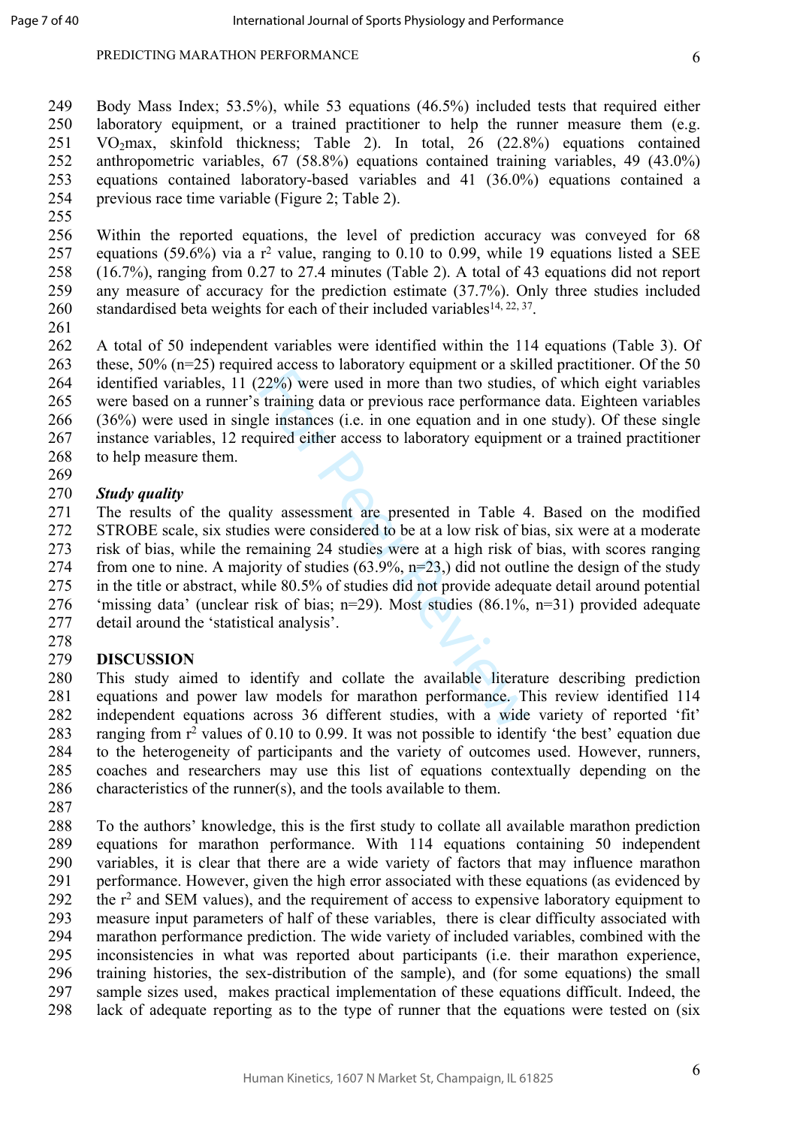249 Body Mass Index; 53.5%), while 53 equations (46.5%) included tests that required either 250 laboratory equipment, or a trained practitioner to help the runner measure them (e.g.  $251$ VO<sub>2</sub>max, skinfold thickness; Table 2). In total, 26 (22.8%) equations contained 252 anthropometric variables, 67 (58.8%) equations contained training variables, 49 (43.0%) 253 equations contained laboratory-based variables and 41 (36.0%) equations contained a 254 previous race time variable (Figure 2; Table 2).

255

256 Within the reported equations, the level of prediction accuracy was conveyed for 68 257 equations (59.6%) via a  $r^2$  value, ranging to 0.10 to 0.99, while 19 equations listed a SEE 258 (16.7%), ranging from 0.27 to 27.4 minutes (Table 2). A total of 43 equations did not report 259 any measure of accuracy for the prediction estimate (37.7%). Only three studies included 260 standardised beta weights for each of their included variables<sup>14, 22, 37</sup>.

261

262 A total of 50 independent variables were identified within the 114 equations (Table 3). Of 263 these, 50% (n=25) required access to laboratory equipment or a skilled practitioner. Of the 50 264 identified variables, 11 (22%) were used in more than two studies, of which eight variables 265 were based on a runner's training data or previous race performance data. Eighteen variables 266 (36%) were used in single instances (i.e. in one equation and in one study). Of these single 267 instance variables, 12 required either access to laboratory equipment or a trained practitioner 268 to help measure them.

269

# 270 *Study quality*

22%) were used in more than two studies<br>22%) were used in more than two studies<br>training data or previous race performance<br>le instances (i.e. in one equation and in o<br>quired either access to laboratory equipme<br>ity assessm 271 The results of the quality assessment are presented in Table 4. Based on the modified 272 STROBE scale, six studies were considered to be at a low risk of bias, six were at a moderate 273 risk of bias, while the remaining 24 studies were at a high risk of bias, with scores ranging 274 from one to nine. A majority of studies (63.9%, n=23,) did not outline the design of the study 275 in the title or abstract, while 80.5% of studies did not provide adequate detail around potential 276 'missing data' (unclear risk of bias; n=29). Most studies (86.1%, n=31) provided adequate 277 detail around the 'statistical analysis'.

278

# 279 **DISCUSSION**

280 This study aimed to identify and collate the available literature describing prediction 281 equations and power law models for marathon performance. This review identified 114 282 independent equations across 36 different studies, with a wide variety of reported 'fit' 283 ranging from r<sup>2</sup> values of 0.10 to 0.99. It was not possible to identify 'the best' equation due 284 to the heterogeneity of participants and the variety of outcomes used. However, runners, 285 coaches and researchers may use this list of equations contextually depending on the 286 characteristics of the runner(s), and the tools available to them.

287

6 tranged SErted of Oters the assume and the mathematic mathematic in the mathematic of the system in the system in the system in the system in the system in the system in the system in the system in the system in the sy 288 To the authors' knowledge, this is the first study to collate all available marathon prediction 289 equations for marathon performance. With 114 equations containing 50 independent 290 variables, it is clear that there are a wide variety of factors that may influence marathon 291 performance. However, given the high error associated with these equations (as evidenced by 292 the  $r^2$  and SEM values), and the requirement of access to expensive laboratory equipment to 293 measure input parameters of half of these variables, there is clear difficulty associated with 294 marathon performance prediction. The wide variety of included variables, combined with the 295 inconsistencies in what was reported about participants (i.e. their marathon experience, 296 training histories, the sex-distribution of the sample), and (for some equations) the small 297 sample sizes used, makes practical implementation of these equations difficult. Indeed, the 298 lack of adequate reporting as to the type of runner that the equations were tested on (six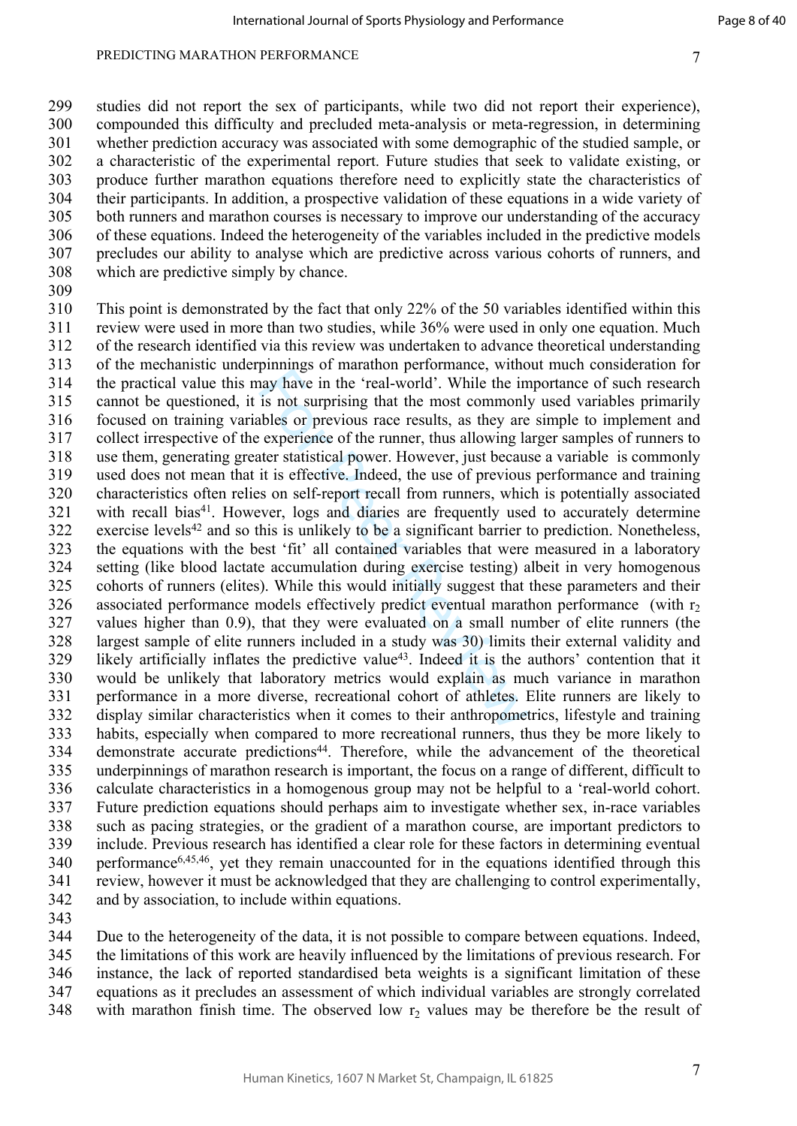299 studies did not report the sex of participants, while two did not report their experience), 300 compounded this difficulty and precluded meta-analysis or meta-regression, in determining 301 whether prediction accuracy was associated with some demographic of the studied sample, or 302 a characteristic of the experimental report. Future studies that seek to validate existing, or 303 produce further marathon equations therefore need to explicitly state the characteristics of 304 their participants. In addition, a prospective validation of these equations in a wide variety of 305 both runners and marathon courses is necessary to improve our understanding of the accuracy 306 of these equations. Indeed the heterogeneity of the variables included in the predictive models 307 precludes our ability to analyse which are predictive across various cohorts of runners, and 308 which are predictive simply by chance.

309

but the 'real-world'. While the imay have in the 'real-world'. While the im<br>is not surprising that the most commonly<br>bles or previous race results, as they are<br>experience of the runner, thus allowing la<br>ther statistical p 310 This point is demonstrated by the fact that only 22% of the 50 variables identified within this 311 review were used in more than two studies, while 36% were used in only one equation. Much 312 of the research identified via this review was undertaken to advance theoretical understanding 313 of the mechanistic underpinnings of marathon performance, without much consideration for 314 the practical value this may have in the 'real-world'. While the importance of such research 315 cannot be questioned, it is not surprising that the most commonly used variables primarily 316 focused on training variables or previous race results, as they are simple to implement and 317 collect irrespective of the experience of the runner, thus allowing larger samples of runners to 318 use them, generating greater statistical power. However, just because a variable is commonly 319 used does not mean that it is effective. Indeed, the use of previous performance and training 320 characteristics often relies on self-report recall from runners, which is potentially associated 321 with recall bias<sup>41</sup>. However, logs and diaries are frequently used to accurately determine 322 exercise levels<sup>42</sup> and so this is unlikely to be a significant barrier to prediction. Nonetheless, 323 the equations with the best 'fit' all contained variables that were measured in a laboratory 324 setting (like blood lactate accumulation during exercise testing) albeit in very homogenous 325 cohorts of runners (elites). While this would initially suggest that these parameters and their 326 associated performance models effectively predict eventual marathon performance (with  $r_2$  values higher than 0.9), that they were evaluated on a small number of elite runners (the values higher than 0.9), that they were evaluated on a small number of elite runners (the 328 largest sample of elite runners included in a study was 30) limits their external validity and 329 likely artificially inflates the predictive value<sup>43</sup>. Indeed it is the authors' contention that it 330 would be unlikely that laboratory metrics would explain as much variance in marathon 331 performance in a more diverse, recreational cohort of athletes. Elite runners are likely to 332 display similar characteristics when it comes to their anthropometrics, lifestyle and training 333 habits, especially when compared to more recreational runners, thus they be more likely to 334 demonstrate accurate predictions<sup>44</sup>. Therefore, while the advancement of the theoretical 335 underpinnings of marathon research is important, the focus on a range of different, difficult to 336 calculate characteristics in a homogenous group may not be helpful to a 'real-world cohort. 337 Future prediction equations should perhaps aim to investigate whether sex, in-race variables 338 such as pacing strategies, or the gradient of a marathon course, are important predictors to 339 include. Previous research has identified a clear role for these factors in determining eventual 340 performance<sup>6,45,46</sup>, yet they remain unaccounted for in the equations identified through this 341 review, however it must be acknowledged that they are challenging to control experimentally, 342 and by association, to include within equations.

343

344 Due to the heterogeneity of the data, it is not possible to compare between equations. Indeed, 345 the limitations of this work are heavily influenced by the limitations of previous research. For 346 instance, the lack of reported standardised beta weights is a significant limitation of these 347 equations as it precludes an assessment of which individual variables are strongly correlated 348 with marathon finish time. The observed low  $r_2$  values may be therefore be the result of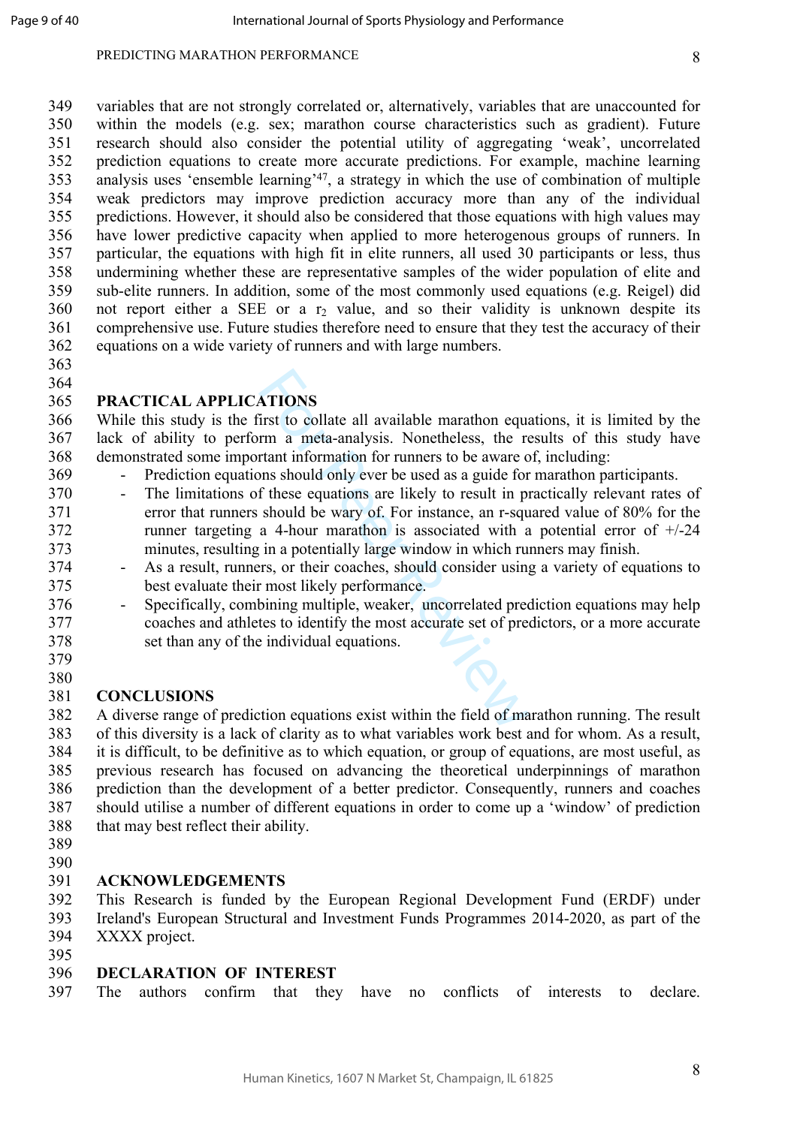88 ore deleal by musical district een deleal de een de 400 peer de tussimalisme een de 88 ore een de 50 de 100 349 variables that are not strongly correlated or, alternatively, variables that are unaccounted for 350 within the models (e.g. sex; marathon course characteristics such as gradient). Future 351 research should also consider the potential utility of aggregating 'weak', uncorrelated 352 prediction equations to create more accurate predictions. For example, machine learning 353 analysis uses 'ensemble learning'<sup>47</sup>, a strategy in which the use of combination of multiple 354 weak predictors may improve prediction accuracy more than any of the individual 355 predictions. However, it should also be considered that those equations with high values may 356 have lower predictive capacity when applied to more heterogenous groups of runners. In 357 particular, the equations with high fit in elite runners, all used 30 participants or less, thus 358 undermining whether these are representative samples of the wider population of elite and 359 sub-elite runners. In addition, some of the most commonly used equations (e.g. Reigel) did 360 not report either a SEE or a  $r_2$  value, and so their validity is unknown despite its 361 comprehensive use. Future studies therefore need to ensure that they test the accuracy of their 362 equations on a wide variety of runners and with large numbers.

363 364

# 365 **PRACTICAL APPLICATIONS**

366 While this study is the first to collate all available marathon equations, it is limited by the 367 lack of ability to perform a meta-analysis. Nonetheless, the results of this study have 368 demonstrated some important information for runners to be aware of, including:

- 369 Prediction equations should only ever be used as a guide for marathon participants.
- ATIONS<br>
Sirst to collate all available marathon equarm<br>
a meta-analysis. Nonetheless, the revent<br>
trant information for runners to be aware cons<br>
should only ever be used as a guide for<br>
f these equations are likely to res 370 - The limitations of these equations are likely to result in practically relevant rates of 371 error that runners should be wary of. For instance, an r-squared value of 80% for the 372 runner targeting a 4-hour marathon is associated with a potential error of +/-24 373 minutes, resulting in a potentially large window in which runners may finish.
- 374 As a result, runners, or their coaches, should consider using a variety of equations to 375 best evaluate their most likely performance.
- 376 Specifically, combining multiple, weaker, uncorrelated prediction equations may help 377 coaches and athletes to identify the most accurate set of predictors, or a more accurate 378 set than any of the individual equations.
- 379

## 380 381 **CONCLUSIONS**

382 A diverse range of prediction equations exist within the field of marathon running. The result 383 of this diversity is a lack of clarity as to what variables work best and for whom. As a result, 384 it is difficult, to be definitive as to which equation, or group of equations, are most useful, as 385 previous research has focused on advancing the theoretical underpinnings of marathon 386 prediction than the development of a better predictor. Consequently, runners and coaches 387 should utilise a number of different equations in order to come up a 'window' of prediction 388 that may best reflect their ability.

- 389
- 390

# 391 **ACKNOWLEDGEMENTS**

392 This Research is funded by the European Regional Development Fund (ERDF) under 393 Ireland's European Structural and Investment Funds Programmes 2014-2020, as part of the 394 XXXX project.

395

# 396 **DECLARATION OF INTEREST**

397 The authors confirm that they have no conflicts of interests to declare.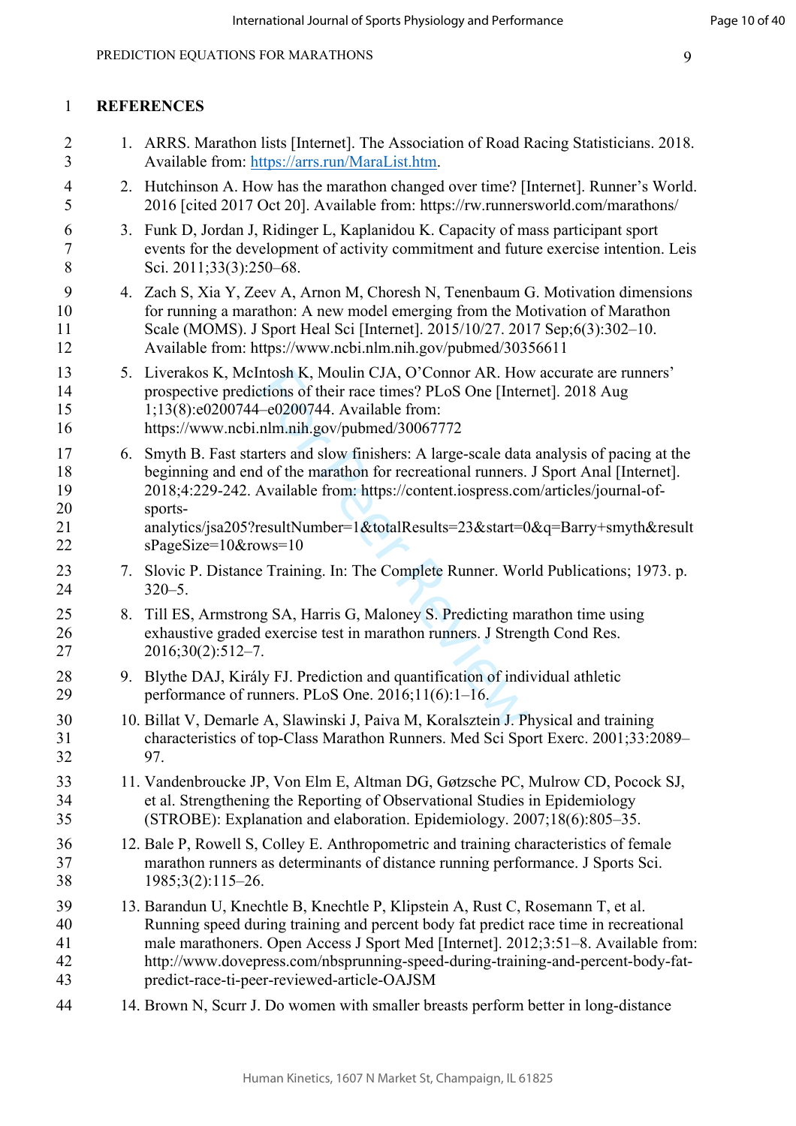# 1 **REFERENCES**

- 2 1. ARRS. Marathon lists [Internet]. The Association of Road Racing Statisticians. 2018. 3 Available from:<https://arrs.run/MaraList.htm>. 4 2. Hutchinson A. How has the marathon changed over time? [Internet]. Runner's World.
- 5 2016 [cited 2017 Oct 20]. Available from: https://rw.runnersworld.com/marathons/ 6 3. Funk D, Jordan J, Ridinger L, Kaplanidou K. Capacity of mass participant sport
- 7 events for the development of activity commitment and future exercise intention. Leis 8 Sci. 2011;33(3):250–68.
- 9 4. Zach S, Xia Y, Zeev A, Arnon M, Choresh N, Tenenbaum G. Motivation dimensions 10 for running a marathon: A new model emerging from the Motivation of Marathon 11 Scale (MOMS). J Sport Heal Sci [Internet]. 2015/10/27. 2017 Sep;6(3):302–10. 12 Available from: https://www.ncbi.nlm.nih.gov/pubmed/30356611
- 13 5. Liverakos K, McIntosh K, Moulin CJA, O'Connor AR. How accurate are runners' 14 prospective predictions of their race times? PLoS One [Internet]. 2018 Aug 15 1;13(8):e0200744–e0200744. Available from: 16 https://www.ncbi.nlm.nih.gov/pubmed/30067772
- ntosh K, Moulin CJA, O'Connor AR. Hoven<br>tions of their race times? PLoS One [Inter-e0200744. Available from:<br>nlm.nih.gov/pubmed/30067772<br>rters and slow finishers: A large-scale data<br>d of the marathon for recreational runne 17 6. Smyth B. Fast starters and slow finishers: A large-scale data analysis of pacing at the 18 beginning and end of the marathon for recreational runners. J Sport Anal [Internet]. 19 2018;4:229-242. Available from: https://content.iospress.com/articles/journal-of-20 sports-21 analytics/jsa205?resultNumber=1&totalResults=23&start=0&q=Barry+smyth&result
- 22 sPageSize=10&rows=10
- 23 7. Slovic P. Distance Training. In: The Complete Runner. World Publications; 1973. p. 24 320–5.
- 25 8. Till ES, Armstrong SA, Harris G, Maloney S. Predicting marathon time using 26 exhaustive graded exercise test in marathon runners. J Strength Cond Res. 27 2016;30(2):512-7.
- 28 9. Blythe DAJ, Király FJ. Prediction and quantification of individual athletic 29 performance of runners. PLoS One. 2016;11(6):1–16.
- 30 10. Billat V, Demarle A, Slawinski J, Paiva M, Koralsztein J. Physical and training 31 characteristics of top-Class Marathon Runners. Med Sci Sport Exerc. 2001;33:2089– 32 97.
- 33 11. Vandenbroucke JP, Von Elm E, Altman DG, Gøtzsche PC, Mulrow CD, Pocock SJ, 34 et al. Strengthening the Reporting of Observational Studies in Epidemiology 35 (STROBE): Explanation and elaboration. Epidemiology. 2007;18(6):805–35.
- 36 12. Bale P, Rowell S, Colley E. Anthropometric and training characteristics of female 37 marathon runners as determinants of distance running performance. J Sports Sci. 38 1985;3(2):115–26.
- 39 13. Barandun U, Knechtle B, Knechtle P, Klipstein A, Rust C, Rosemann T, et al. 40 Running speed during training and percent body fat predict race time in recreational 41 male marathoners. Open Access J Sport Med [Internet]. 2012;3:51–8. Available from: 42 http://www.dovepress.com/nbsprunning-speed-during-training-and-percent-body-fat-43 predict-race-ti-peer-reviewed-article-OAJSM
- 44 14. Brown N, Scurr J. Do women with smaller breasts perform better in long-distance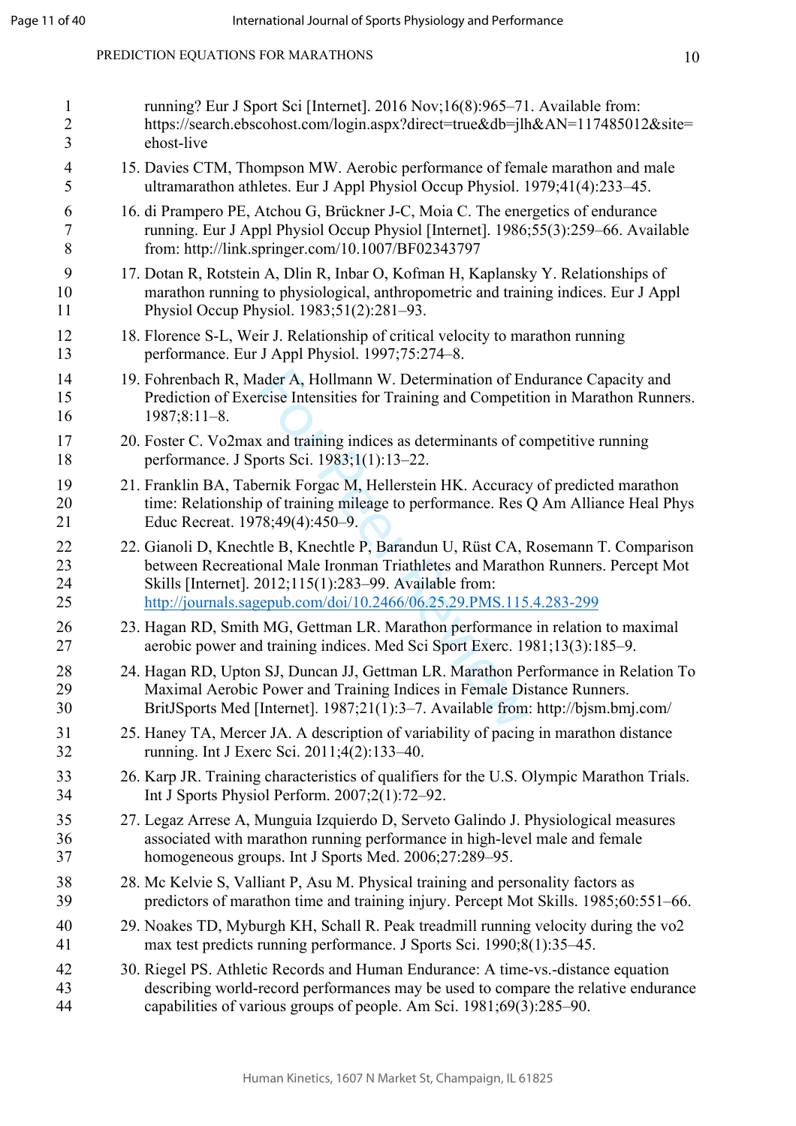| $\mathbf{1}$   | running? Eur J Sport Sci [Internet]. 2016 Nov;16(8):965–71. Available from:               |
|----------------|-------------------------------------------------------------------------------------------|
| $\overline{2}$ | https://search.ebscohost.com/login.aspx?direct=true&db=jlh&AN=117485012&site=             |
| 3              | ehost-live                                                                                |
| 4              | 15. Davies CTM, Thompson MW. Aerobic performance of female marathon and male              |
| 5              | ultramarathon athletes. Eur J Appl Physiol Occup Physiol. 1979;41(4):233-45.              |
| 6              | 16. di Prampero PE, Atchou G, Brückner J-C, Moia C. The energetics of endurance           |
| 7              | running. Eur J Appl Physiol Occup Physiol [Internet]. 1986;55(3):259–66. Available        |
| 8              | from: http://link.springer.com/10.1007/BF02343797                                         |
| 9              | 17. Dotan R, Rotstein A, Dlin R, Inbar O, Kofman H, Kaplansky Y. Relationships of         |
| 10             | marathon running to physiological, anthropometric and training indices. Eur J Appl        |
| 11             | Physiol Occup Physiol. 1983;51(2):281-93.                                                 |
| 12             | 18. Florence S-L, Weir J. Relationship of critical velocity to marathon running           |
| 13             | performance. Eur J Appl Physiol. 1997;75:274-8.                                           |
| 14             | 19. Fohrenbach R, Mader A, Hollmann W. Determination of Endurance Capacity and            |
| 15             | Prediction of Exercise Intensities for Training and Competition in Marathon Runners.      |
| 16             | $1987;8:11-8.$                                                                            |
| 17             | 20. Foster C. Vo2max and training indices as determinants of competitive running          |
| 18             | performance. J Sports Sci. 1983;1(1):13-22.                                               |
| 19             | 21. Franklin BA, Tabernik Forgac M, Hellerstein HK. Accuracy of predicted marathon        |
| 20             | time: Relationship of training mileage to performance. Res Q Am Alliance Heal Phys        |
| 21             | Educ Recreat. 1978;49(4):450-9.                                                           |
| 22             | 22. Gianoli D, Knechtle B, Knechtle P, Barandun U, Rüst CA, Rosemann T. Comparison        |
| 23             | between Recreational Male Ironman Triathletes and Marathon Runners. Percept Mot           |
| 24             | Skills [Internet]. 2012;115(1):283–99. Available from:                                    |
| 25             | http://journals.sagepub.com/doi/10.2466/06.25.29.PMS.115.4.283-299                        |
| 26             | 23. Hagan RD, Smith MG, Gettman LR. Marathon performance in relation to maximal           |
| 27             | aerobic power and training indices. Med Sci Sport Exerc. 1981;13(3):185–9.                |
| 28             | 24. Hagan RD, Upton SJ, Duncan JJ, Gettman LR. Marathon Performance in Relation To        |
| 29             | Maximal Aerobic Power and Training Indices in Female Distance Runners                     |
| 30             | BritJSports Med [Internet]. 1987;21(1):3-7. Available from: http://bjsm.bmj.com/          |
| 31             | 25. Haney TA, Mercer JA. A description of variability of pacing in marathon distance      |
| 32             | running. Int J Exerc Sci. 2011;4(2):133-40.                                               |
| 33             | 26. Karp JR. Training characteristics of qualifiers for the U.S. Olympic Marathon Trials. |
| 34             | Int J Sports Physiol Perform. $2007;2(1):72-92$ .                                         |
| 35             | 27. Legaz Arrese A, Munguia Izquierdo D, Serveto Galindo J. Physiological measures        |
| 36             | associated with marathon running performance in high-level male and female                |
| 37             | homogeneous groups. Int J Sports Med. 2006;27:289-95.                                     |
| 38             | 28. Mc Kelvie S, Valliant P, Asu M. Physical training and personality factors as          |
| 39             | predictors of marathon time and training injury. Percept Mot Skills. 1985;60:551-66.      |
| 40             | 29. Noakes TD, Myburgh KH, Schall R. Peak treadmill running velocity during the vo2       |
| 41             | max test predicts running performance. J Sports Sci. 1990;8(1):35-45.                     |
| 42             | 30. Riegel PS. Athletic Records and Human Endurance: A time-vs.-distance equation         |
| 43             | describing world-record performances may be used to compare the relative endurance        |
| 44             | capabilities of various groups of people. Am Sci. 1981;69(3):285–90.                      |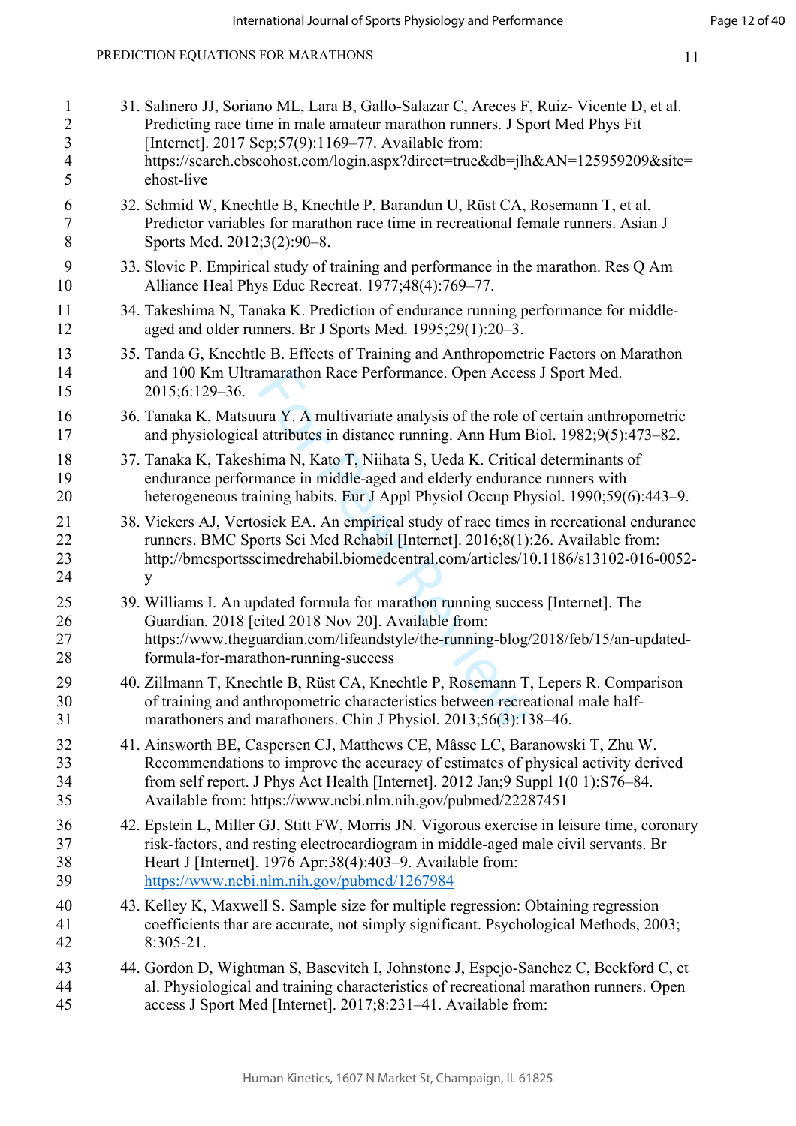| ш | ш |  |
|---|---|--|

| 1<br>$\overline{2}$<br>3<br>4<br>5 | 31. Salinero JJ, Soriano ML, Lara B, Gallo-Salazar C, Areces F, Ruiz-Vicente D, et al.<br>Predicting race time in male amateur marathon runners. J Sport Med Phys Fit<br>[Internet]. 2017 Sep;57(9):1169–77. Available from:<br>https://search.ebscohost.com/login.aspx?direct=true&db=jlh&AN=125959209&site=<br>ehost-live |
|------------------------------------|-----------------------------------------------------------------------------------------------------------------------------------------------------------------------------------------------------------------------------------------------------------------------------------------------------------------------------|
| 6<br>7<br>8                        | 32. Schmid W, Knechtle B, Knechtle P, Barandun U, Rüst CA, Rosemann T, et al.<br>Predictor variables for marathon race time in recreational female runners. Asian J<br>Sports Med. 2012;3(2):90-8.                                                                                                                          |
| 9<br>10                            | 33. Slovic P. Empirical study of training and performance in the marathon. Res Q Am<br>Alliance Heal Phys Educ Recreat. 1977;48(4):769–77.                                                                                                                                                                                  |
| 11<br>12                           | 34. Takeshima N, Tanaka K. Prediction of endurance running performance for middle-<br>aged and older runners. Br J Sports Med. 1995;29(1):20-3.                                                                                                                                                                             |
| 13<br>14<br>15                     | 35. Tanda G, Knechtle B. Effects of Training and Anthropometric Factors on Marathon<br>and 100 Km Ultramarathon Race Performance. Open Access J Sport Med.<br>2015;6:129-36.                                                                                                                                                |
| 16<br>17                           | 36. Tanaka K, Matsuura Y. A multivariate analysis of the role of certain anthropometric<br>and physiological attributes in distance running. Ann Hum Biol. 1982;9(5):473–82.                                                                                                                                                |
| 18<br>19<br>20                     | 37. Tanaka K, Takeshima N, Kato T, Niihata S, Ueda K. Critical determinants of<br>endurance performance in middle-aged and elderly endurance runners with<br>heterogeneous training habits. Eur J Appl Physiol Occup Physiol. 1990;59(6):443–9.                                                                             |
| 21<br>22<br>23<br>24               | 38. Vickers AJ, Vertosick EA. An empirical study of race times in recreational endurance<br>runners. BMC Sports Sci Med Rehabil [Internet]. 2016;8(1):26. Available from:<br>http://bmcsportsscimedrehabil.biomedcentral.com/articles/10.1186/s13102-016-0052-<br>y                                                         |
| 25<br>26<br>27<br>28               | 39. Williams I. An updated formula for marathon running success [Internet]. The<br>Guardian. 2018 [cited 2018 Nov 20]. Available from:<br>https://www.theguardian.com/lifeandstyle/the-running-blog/2018/feb/15/an-updated-<br>formula-for-marathon-running-success                                                         |
| 29<br>30<br>31                     | 40. Zillmann T, Knechtle B, Rüst CA, Knechtle P, Rosemann T, Lepers R. Comparison<br>of training and anthropometric characteristics between recreational male half-<br>marathoners and marathoners. Chin J Physiol. 2013;56(3):138–46.                                                                                      |
| 32<br>33<br>34<br>35               | 41. Ainsworth BE, Caspersen CJ, Matthews CE, Mâsse LC, Baranowski T, Zhu W.<br>Recommendations to improve the accuracy of estimates of physical activity derived<br>from self report. J Phys Act Health [Internet]. 2012 Jan;9 Suppl 1(0 1):S76-84.<br>Available from: https://www.ncbi.nlm.nih.gov/pubmed/22287451         |
| 36<br>37<br>38<br>39               | 42. Epstein L, Miller GJ, Stitt FW, Morris JN. Vigorous exercise in leisure time, coronary<br>risk-factors, and resting electrocardiogram in middle-aged male civil servants. Br<br>Heart J [Internet]. 1976 Apr;38(4):403-9. Available from:<br>https://www.ncbi.nlm.nih.gov/pubmed/1267984                                |
| 40<br>41<br>42                     | 43. Kelley K, Maxwell S. Sample size for multiple regression: Obtaining regression<br>coefficients thar are accurate, not simply significant. Psychological Methods, 2003;<br>$8:305-21$ .                                                                                                                                  |
| 43<br>44<br>45                     | 44. Gordon D, Wightman S, Basevitch I, Johnstone J, Espejo-Sanchez C, Beckford C, et<br>al. Physiological and training characteristics of recreational marathon runners. Open<br>access J Sport Med [Internet]. 2017;8:231-41. Available from:                                                                              |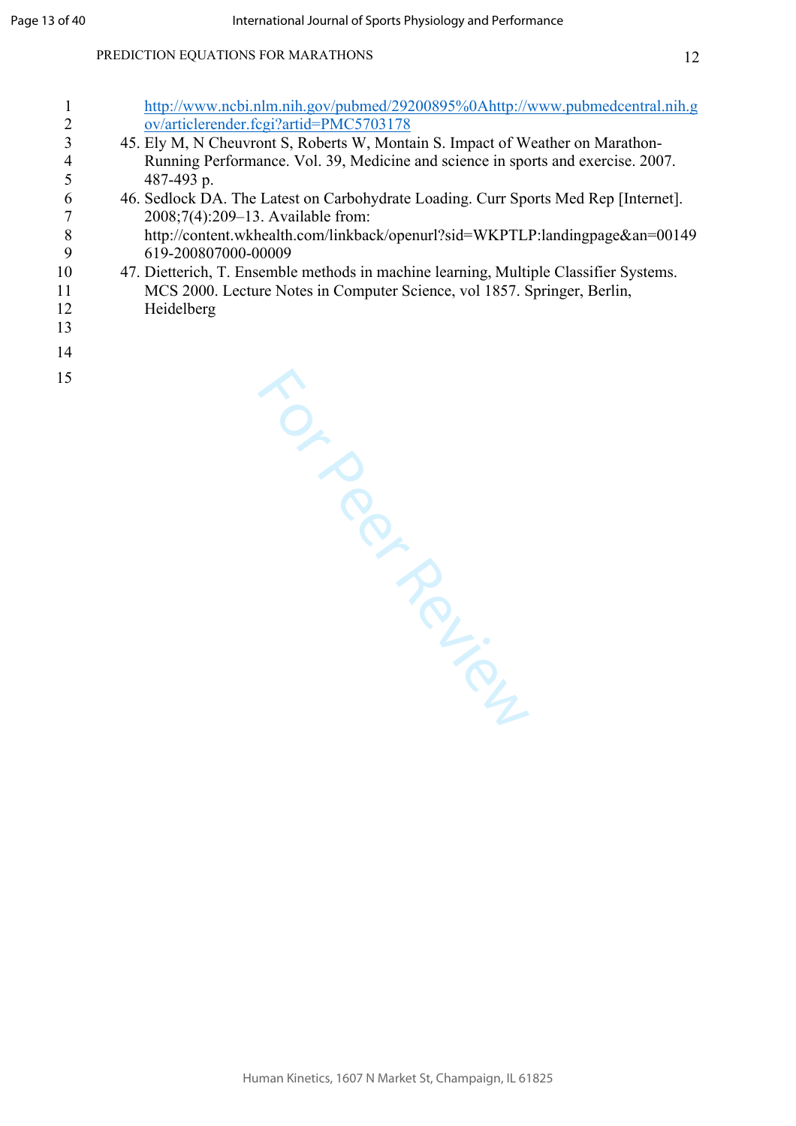|    | http://www.ncbi.nlm.nih.gov/pubmed/29200895%0Ahttp://www.pubmedcentral.nih.g          |
|----|---------------------------------------------------------------------------------------|
|    | ov/articlerender.fcgi?artid=PMC5703178                                                |
| 3  | 45. Ely M, N Cheuvront S, Roberts W, Montain S. Impact of Weather on Marathon-        |
| 4  | Running Performance. Vol. 39, Medicine and science in sports and exercise. 2007.      |
|    | 487-493 p.                                                                            |
| 6  | 46. Sedlock DA. The Latest on Carbohydrate Loading. Curr Sports Med Rep [Internet].   |
|    | 2008;7(4):209–13. Available from:                                                     |
| 8  | http://content.wkhealth.com/linkback/openurl?sid=WKPTLP:landingpage&an=00149          |
| 9  | 619-200807000-00009                                                                   |
| 10 | 47. Dietterich, T. Ensemble methods in machine learning, Multiple Classifier Systems. |
| 11 | MCS 2000. Lecture Notes in Computer Science, vol 1857. Springer, Berlin,              |
| 12 | Heidelberg                                                                            |
| 13 |                                                                                       |
| 14 |                                                                                       |
| 15 |                                                                                       |
|    |                                                                                       |

Or Per Review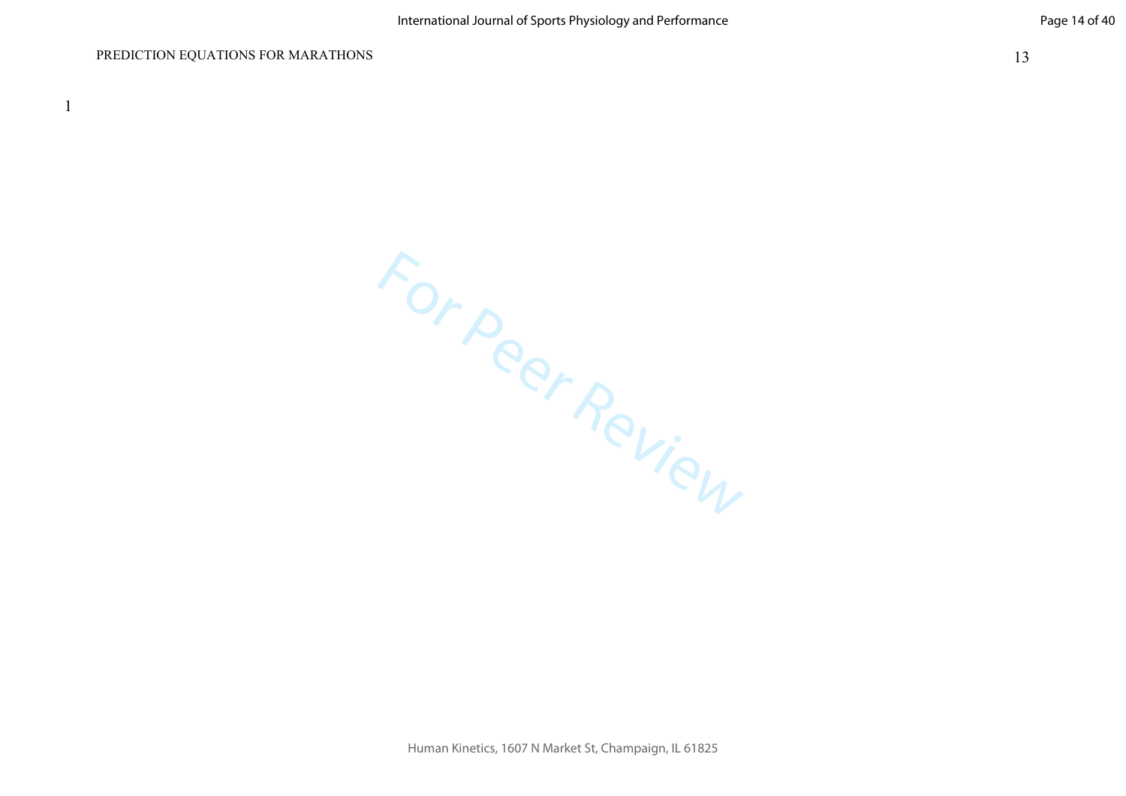1

For Peer Review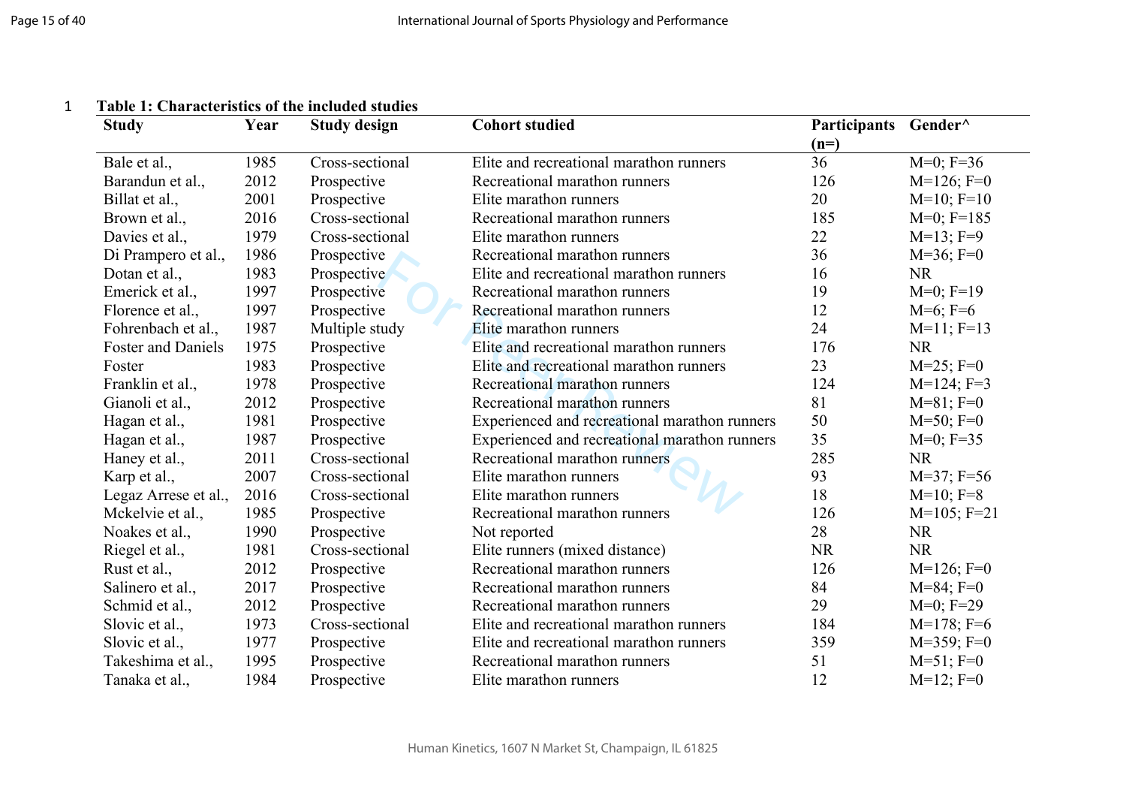| <b>Study</b>              | Year | <b>Study design</b> | <b>Cohort studied</b>                         | Participants Gender^<br>$(n=)$ |                |
|---------------------------|------|---------------------|-----------------------------------------------|--------------------------------|----------------|
| Bale et al.,              | 1985 | Cross-sectional     | Elite and recreational marathon runners       | 36                             | $M=0$ ; $F=36$ |
| Barandun et al.,          | 2012 | Prospective         | Recreational marathon runners                 | 126                            | $M=126$ ; F=0  |
| Billat et al.,            | 2001 | Prospective         | Elite marathon runners                        | 20                             | $M=10; F=10$   |
| Brown et al.,             | 2016 | Cross-sectional     | Recreational marathon runners                 | 185                            | $M=0$ ; F=185  |
| Davies et al.,            | 1979 | Cross-sectional     | Elite marathon runners                        | 22                             | $M=13; F=9$    |
| Di Prampero et al.,       | 1986 | Prospective         | Recreational marathon runners                 | 36                             | $M=36; F=0$    |
| Dotan et al.,             | 1983 | Prospective         | Elite and recreational marathon runners       | 16                             | <b>NR</b>      |
| Emerick et al.,           | 1997 | Prospective         | Recreational marathon runners                 | 19                             | $M=0$ ; $F=19$ |
| Florence et al.,          | 1997 | Prospective         | Recreational marathon runners                 | 12                             | $M=6$ ; F=6    |
| Fohrenbach et al.,        | 1987 | Multiple study      | Elite marathon runners                        | 24                             | $M=11; F=13$   |
| <b>Foster and Daniels</b> | 1975 | Prospective         | Elite and recreational marathon runners       | 176                            | <b>NR</b>      |
| Foster                    | 1983 | Prospective         | Elite and recreational marathon runners       | 23                             | $M=25$ ; F=0   |
| Franklin et al.,          | 1978 | Prospective         | Recreational marathon runners                 | 124                            | $M=124$ ; F=3  |
| Gianoli et al.,           | 2012 | Prospective         | Recreational marathon runners                 | 81                             | $M=81; F=0$    |
| Hagan et al.,             | 1981 | Prospective         | Experienced and recreational marathon runners | 50                             | $M=50; F=0$    |
| Hagan et al.,             | 1987 | Prospective         | Experienced and recreational marathon runners | 35                             | $M=0$ ; $F=35$ |
| Haney et al.,             | 2011 | Cross-sectional     | Recreational marathon runners                 | 285                            | <b>NR</b>      |
| Karp et al.,              | 2007 | Cross-sectional     | Elite marathon runners                        | 93                             | $M=37; F=56$   |
| Legaz Arrese et al.,      | 2016 | Cross-sectional     | Elite marathon runners                        | 18                             | $M=10$ ; F=8   |
| Mckelvie et al.,          | 1985 | Prospective         | Recreational marathon runners                 | 126                            | $M=105; F=21$  |
| Noakes et al.,            | 1990 | Prospective         | Not reported                                  | 28                             | <b>NR</b>      |
| Riegel et al.,            | 1981 | Cross-sectional     | Elite runners (mixed distance)                | <b>NR</b>                      | <b>NR</b>      |
| Rust et al.,              | 2012 | Prospective         | Recreational marathon runners                 | 126                            | $M=126$ ; F=0  |
| Salinero et al.,          | 2017 | Prospective         | Recreational marathon runners                 | 84                             | $M=84; F=0$    |
| Schmid et al.,            | 2012 | Prospective         | Recreational marathon runners                 | 29                             | $M=0$ ; $F=29$ |
| Slovic et al.,            | 1973 | Cross-sectional     | Elite and recreational marathon runners       | 184                            | $M=178; F=6$   |
| Slovic et al.,            | 1977 | Prospective         | Elite and recreational marathon runners       | 359                            | $M=359; F=0$   |
| Takeshima et al.,         | 1995 | Prospective         | Recreational marathon runners                 | 51                             | $M=51; F=0$    |
| Tanaka et al.,            | 1984 | Prospective         | Elite marathon runners                        | 12                             | $M=12; F=0$    |

# 1 **Table 1: Characteristics of the included studies**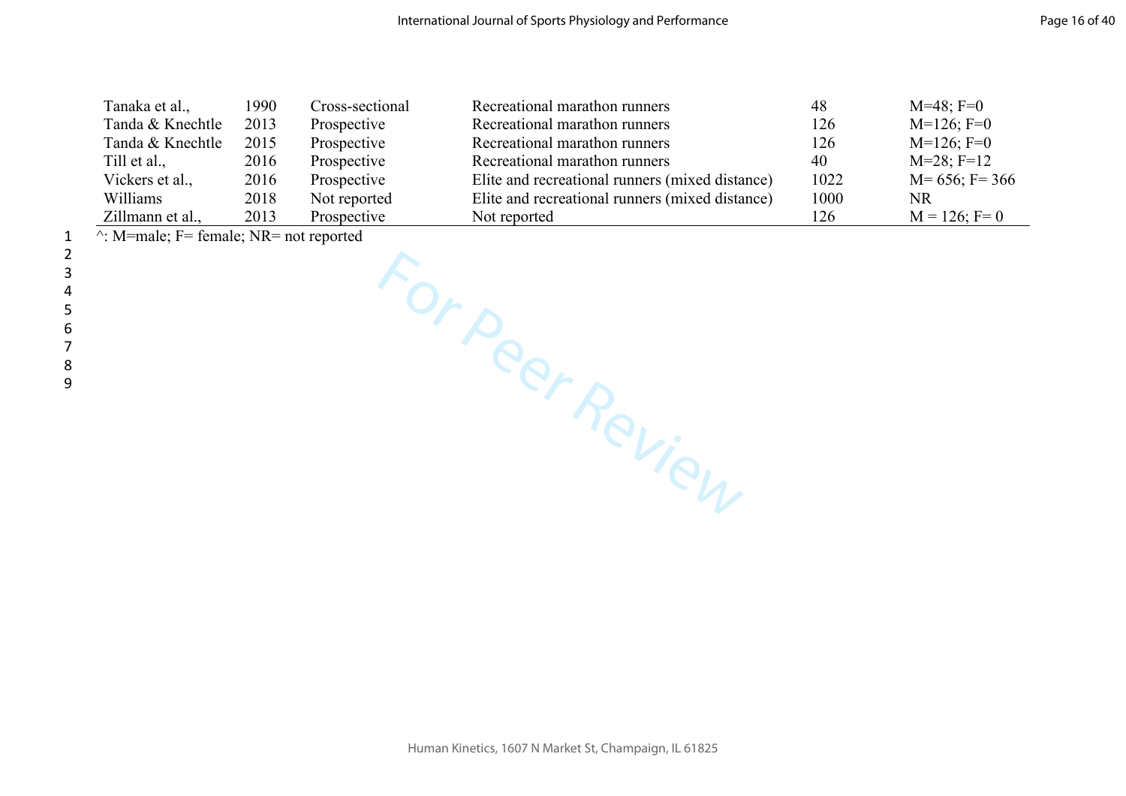| Page 16 of 40 |  |  |  |  |
|---------------|--|--|--|--|
|---------------|--|--|--|--|

| Tanaka et al.,   | 1990 | Cross-sectional | Recreational marathon runners                   | 48   | $M=48; F=0$      |
|------------------|------|-----------------|-------------------------------------------------|------|------------------|
| Tanda & Knechtle | 2013 | Prospective     | Recreational marathon runners                   | 126  | $M=126$ ; F=0    |
| Tanda & Knechtle | 2015 | Prospective     | Recreational marathon runners                   | 126  | $M=126$ ; F=0    |
| Till et al.,     | 2016 | Prospective     | Recreational marathon runners                   | 40   | $M=28; F=12$     |
| Vickers et al.,  | 2016 | Prospective     | Elite and recreational runners (mixed distance) | 1022 | $M=656$ ; F= 366 |
| Williams         | 2018 | Not reported    | Elite and recreational runners (mixed distance) | 1000 | NR               |
| Zillmann et al., | 2013 | Prospective     | Not reported                                    | 126  | $M = 126$ ; F= 0 |

For Peer Review

1  $\overline{\wedge}$ : M=male; F= female; NR= not reported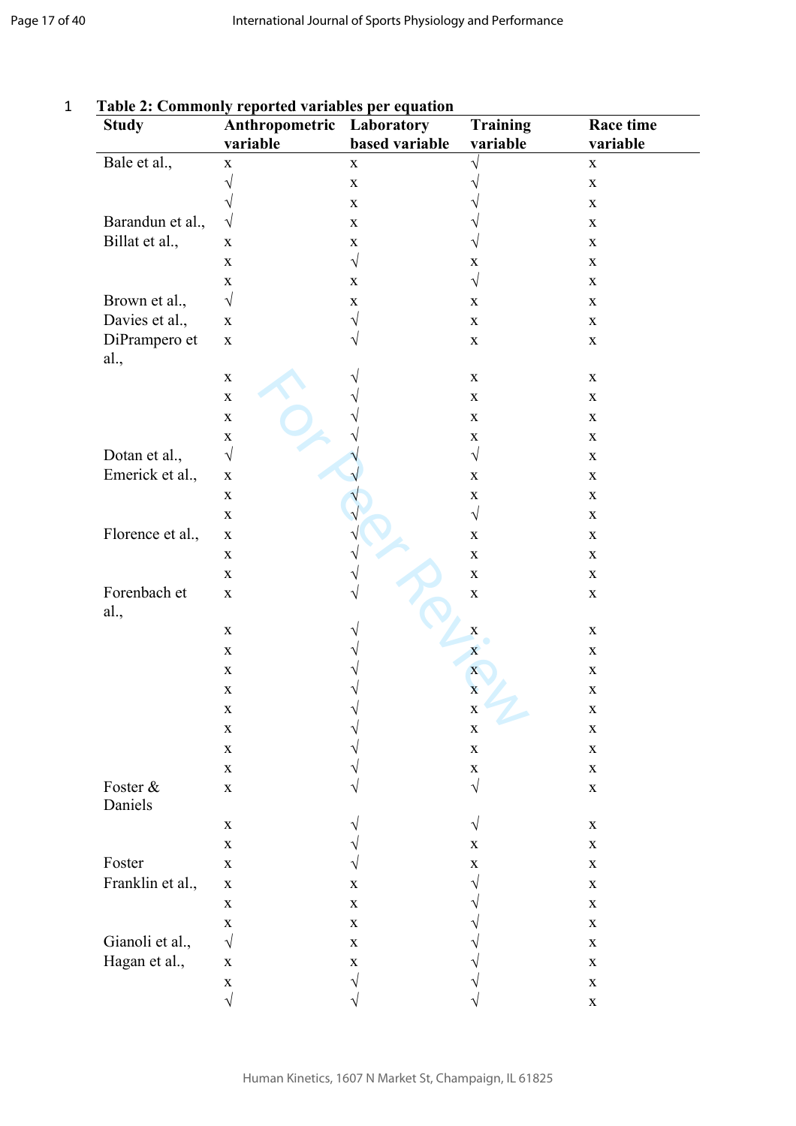| <b>Study</b>          | Anthropometric | Laboratory     | <b>Training</b>         | Race time   |
|-----------------------|----------------|----------------|-------------------------|-------------|
|                       | variable       | based variable | variable                | variable    |
| Bale et al.,          | $\mathbf X$    | $\mathbf X$    | V                       | $\mathbf X$ |
|                       |                | $\mathbf X$    |                         | $\mathbf X$ |
|                       |                | $\mathbf X$    |                         | $\mathbf X$ |
| Barandun et al.,      | $\sqrt{}$      | $\mathbf X$    |                         | $\mathbf X$ |
| Billat et al.,        | $\mathbf X$    | $\mathbf X$    |                         | $\mathbf X$ |
|                       | $\mathbf X$    | $\sqrt{}$      | $\mathbf X$             | $\mathbf X$ |
|                       | $\mathbf X$    | $\mathbf X$    | $\sqrt{}$               | $\mathbf X$ |
| Brown et al.,         | $\sqrt{}$      | $\mathbf X$    | $\mathbf X$             | $\mathbf X$ |
| Davies et al.,        | $\mathbf X$    | $\sqrt{}$      | $\mathbf X$             | $\mathbf X$ |
| DiPrampero et<br>al., | $\mathbf X$    |                | $\mathbf X$             | $\mathbf X$ |
|                       | $\mathbf X$    |                | $\mathbf X$             | $\mathbf X$ |
|                       | $\mathbf X$    |                | $\mathbf X$             | $\mathbf X$ |
|                       | $\mathbf X$    |                | $\mathbf X$             | $\mathbf X$ |
|                       | $\mathbf X$    |                | $\mathbf X$             | $\mathbf X$ |
| Dotan et al.,         | $\sqrt{}$      |                | $\sqrt{}$               | $\mathbf X$ |
| Emerick et al.,       | $\mathbf X$    |                | $\mathbf X$             | $\mathbf X$ |
|                       | $\mathbf X$    |                | $\mathbf X$             | $\mathbf X$ |
|                       | $\mathbf X$    |                | $\sqrt{}$               | $\mathbf X$ |
| Florence et al.,      | $\mathbf X$    |                | $\mathbf X$             | $\mathbf X$ |
|                       | $\mathbf X$    |                | $\mathbf X$             | $\mathbf X$ |
|                       | $\mathbf X$    |                | $\mathbf X$             | $\mathbf X$ |
| Forenbach et<br>al.,  | $\mathbf X$    |                | $\mathbf X$             | $\mathbf X$ |
|                       | $\mathbf X$    |                | $\mathbf x$             | $\mathbf X$ |
|                       | $\mathbf X$    |                | $\mathbf{X}$            | $\mathbf X$ |
|                       | $\mathbf X$    |                | $\mathbf{X}$            | $\mathbf X$ |
|                       | $\mathbf X$    |                | $\overline{\mathbf{X}}$ | $\mathbf X$ |
|                       | X              |                | $\mathbf X$             | X           |
|                       | $\mathbf X$    |                | $\mathbf X$             | $\mathbf X$ |
|                       | $\mathbf X$    |                | $\mathbf X$             | $\mathbf X$ |
|                       | $\mathbf X$    |                | $\mathbf X$             | $\mathbf X$ |
| Foster &<br>Daniels   | $\mathbf X$    |                | V                       | $\mathbf X$ |
|                       | $\mathbf X$    |                | V                       | $\mathbf X$ |
|                       | $\mathbf X$    |                | $\mathbf X$             | $\mathbf X$ |
| Foster                | $\mathbf X$    | V              | $\mathbf X$             | $\mathbf X$ |
| Franklin et al.,      | $\mathbf X$    | $\mathbf X$    |                         | $\mathbf X$ |
|                       | $\mathbf X$    | $\mathbf X$    |                         | $\mathbf X$ |
|                       | $\mathbf X$    | $\mathbf X$    |                         | $\mathbf X$ |
| Gianoli et al.,       | $\sqrt{}$      | $\mathbf X$    |                         | $\mathbf X$ |
| Hagan et al.,         | $\mathbf X$    | $\mathbf X$    |                         | $\mathbf X$ |
|                       | $\mathbf X$    | $\sqrt{}$      |                         | $\mathbf X$ |
|                       | $\sqrt{}$      |                |                         | $\mathbf X$ |
|                       |                |                |                         |             |

## 1 **Table 2: Commonly reported variables per equation**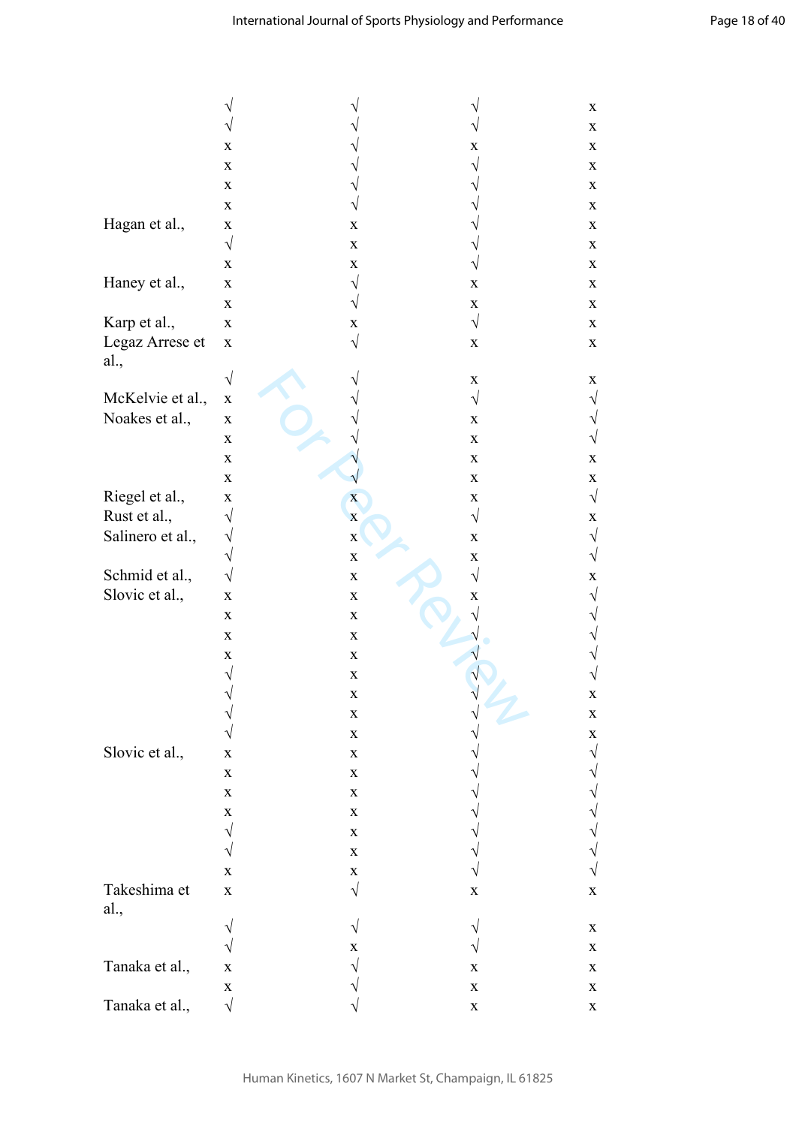|                      |             |             |             | $\mathbf X$ |  |
|----------------------|-------------|-------------|-------------|-------------|--|
|                      |             |             |             | $\mathbf X$ |  |
|                      | $\mathbf X$ |             | X           | $\mathbf X$ |  |
|                      | $\mathbf X$ |             |             | $\mathbf X$ |  |
|                      | $\mathbf X$ |             |             | $\mathbf X$ |  |
|                      | $\mathbf X$ |             |             | $\mathbf X$ |  |
| Hagan et al.,        | $\mathbf X$ | $\mathbf X$ |             | $\mathbf X$ |  |
|                      | $\sqrt{2}$  | $\mathbf X$ |             | $\mathbf X$ |  |
|                      | X           | $\mathbf X$ |             | $\mathbf X$ |  |
| Haney et al.,        | X           | V           | X           | X           |  |
|                      | $\mathbf X$ |             | $\mathbf X$ | $\mathbf X$ |  |
| Karp et al.,         | $\mathbf X$ | X           | $\sqrt{}$   | $\mathbf X$ |  |
| Legaz Arrese et      | $\mathbf X$ |             | $\mathbf X$ | $\mathbf X$ |  |
| al.,                 |             |             |             |             |  |
|                      | $\sqrt{}$   |             | $\mathbf X$ | $\mathbf X$ |  |
| McKelvie et al.,     | $\mathbf X$ |             | $\sqrt{}$   | $\sqrt{}$   |  |
| Noakes et al.,       | $\mathbf X$ |             | $\mathbf X$ |             |  |
|                      | $\mathbf X$ |             | $\mathbf X$ | V           |  |
|                      | $\mathbf X$ |             | $\mathbf X$ | X           |  |
|                      | X           |             | $\mathbf X$ | X           |  |
| Riegel et al.,       | X           | $\mathbf X$ | $\mathbf X$ | $\sqrt{}$   |  |
| Rust et al.,         | ٧           | X           | $\sqrt{}$   | X           |  |
| Salinero et al.,     |             | $\mathbf X$ | $\mathbf X$ | $\sqrt{}$   |  |
|                      |             | $\mathbf X$ | $\mathbf X$ | $\sqrt{}$   |  |
| Schmid et al.,       |             | $\mathbf X$ | V           | X           |  |
| Slovic et al.,       | $\mathbf X$ | $\mathbf X$ | $\mathbf X$ | V           |  |
|                      | $\mathbf X$ | $\mathbf X$ |             |             |  |
|                      | $\mathbf X$ | $\mathbf X$ |             |             |  |
|                      | $\mathbf X$ | $\mathbf X$ |             |             |  |
|                      |             | $\mathbf X$ |             |             |  |
|                      |             | X           |             |             |  |
|                      |             | $\mathbf X$ |             | $\mathbf X$ |  |
|                      |             | $\mathbf X$ |             | $\mathbf X$ |  |
| Slovic et al.,       | $\mathbf X$ | $\mathbf X$ |             | $\sqrt{}$   |  |
|                      | $\mathbf X$ | $\mathbf X$ |             |             |  |
|                      | $\mathbf X$ | $\mathbf X$ |             |             |  |
|                      | $\mathbf X$ | $\mathbf X$ |             |             |  |
|                      | $\sqrt{}$   | $\mathbf X$ |             |             |  |
|                      | ٧           | $\mathbf X$ |             |             |  |
|                      | $\mathbf X$ | $\mathbf X$ |             | $\sqrt{}$   |  |
| Takeshima et<br>al., | $\mathbf X$ | $\sqrt{}$   | $\mathbf X$ | $\mathbf X$ |  |
|                      |             |             |             | $\mathbf X$ |  |
|                      |             | $\mathbf X$ |             | $\mathbf X$ |  |
| Tanaka et al.,       | $\mathbf X$ |             | X           | $\mathbf X$ |  |
|                      | $\mathbf X$ |             | $\mathbf X$ | $\mathbf X$ |  |
| Tanaka et al.,       | $\sqrt{}$   |             | $\mathbf X$ | $\mathbf X$ |  |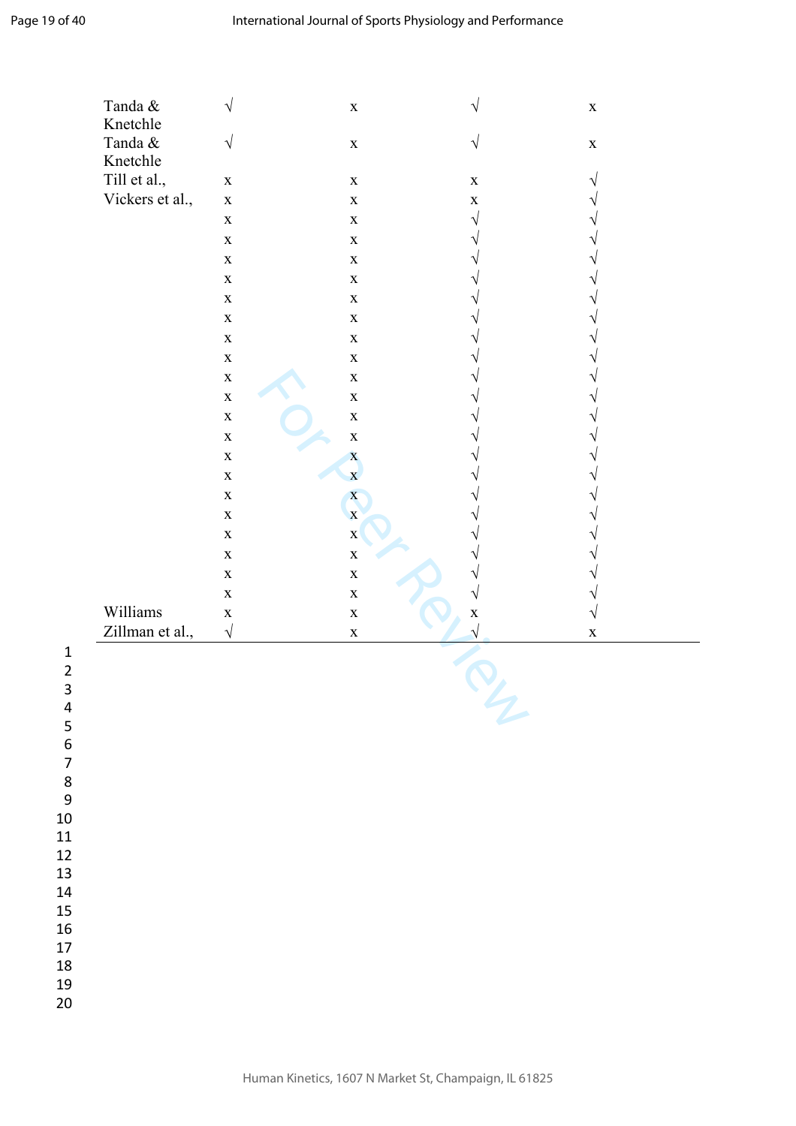|                                                                                                                                              | Tanda $\&$      |                            | $\mathbf X$                | V             | $\mathbf X$ |
|----------------------------------------------------------------------------------------------------------------------------------------------|-----------------|----------------------------|----------------------------|---------------|-------------|
|                                                                                                                                              | Knetchle        |                            |                            |               |             |
|                                                                                                                                              | Tanda $\&$      | V                          | $\mathbf X$                | V             | $\mathbf X$ |
|                                                                                                                                              | Knetchle        |                            |                            |               |             |
|                                                                                                                                              | Till et al.,    | $\mathbf X$                | $\mathbf X$                | $\mathbf X$   |             |
|                                                                                                                                              | Vickers et al., | $\mathbf X$<br>$\mathbf X$ | $\mathbf X$<br>$\mathbf X$ | $\mathbf X$   |             |
|                                                                                                                                              |                 | $\mathbf X$                | $\mathbf X$                | V             |             |
|                                                                                                                                              |                 | $\mathbf X$                | $\mathbf X$                |               |             |
|                                                                                                                                              |                 | $\mathbf X$                | $\mathbf X$                |               |             |
|                                                                                                                                              |                 | $\mathbf X$                | $\mathbf X$                |               |             |
|                                                                                                                                              |                 | $\mathbf X$                | $\mathbf X$                |               |             |
|                                                                                                                                              |                 | $\mathbf X$                | $\mathbf X$                |               |             |
|                                                                                                                                              |                 | $\mathbf X$                | $\mathbf X$                |               |             |
|                                                                                                                                              |                 | $\mathbf X$                | $\mathbf X$                |               |             |
|                                                                                                                                              |                 | $\mathbf X$                | $\mathbf X$                |               |             |
|                                                                                                                                              |                 | $\mathbf X$                | $\mathbf X$                |               |             |
|                                                                                                                                              |                 | $\mathbf X$                | $\mathbf X$                |               |             |
|                                                                                                                                              |                 | $\mathbf X$                | $\mathbf{X}$               |               |             |
|                                                                                                                                              |                 | $\mathbf X$                | $\mathbf X$                |               |             |
|                                                                                                                                              |                 | $\mathbf X$<br>$\mathbf X$ | $\mathbf X$<br>X           |               |             |
|                                                                                                                                              |                 | $\mathbf X$                | $\mathbf X$                |               |             |
|                                                                                                                                              |                 | $\mathbf X$                | $\mathbf X$                |               |             |
|                                                                                                                                              |                 | $\mathbf X$                | $\mathbf X$                |               |             |
|                                                                                                                                              |                 | $\mathbf X$                | $\mathbf X$                |               |             |
|                                                                                                                                              | Williams        | $\mathbf X$                | $\mathbf X$                | $\mathbf X$   |             |
|                                                                                                                                              | Zillman et al., | $\sqrt{}$                  | $\mathbf X$                | $\sqrt{}$     | $\mathbf X$ |
| $\mathbf{1}$<br>$\overline{2}$<br>3<br>$\overline{a}$<br>5<br>6<br>7<br>8<br>9<br>10<br>11<br>12<br>13<br>14<br>15<br>16<br>$17\,$<br>$18\,$ |                 |                            |                            | $\frac{1}{2}$ |             |
| 19<br>20                                                                                                                                     |                 |                            |                            |               |             |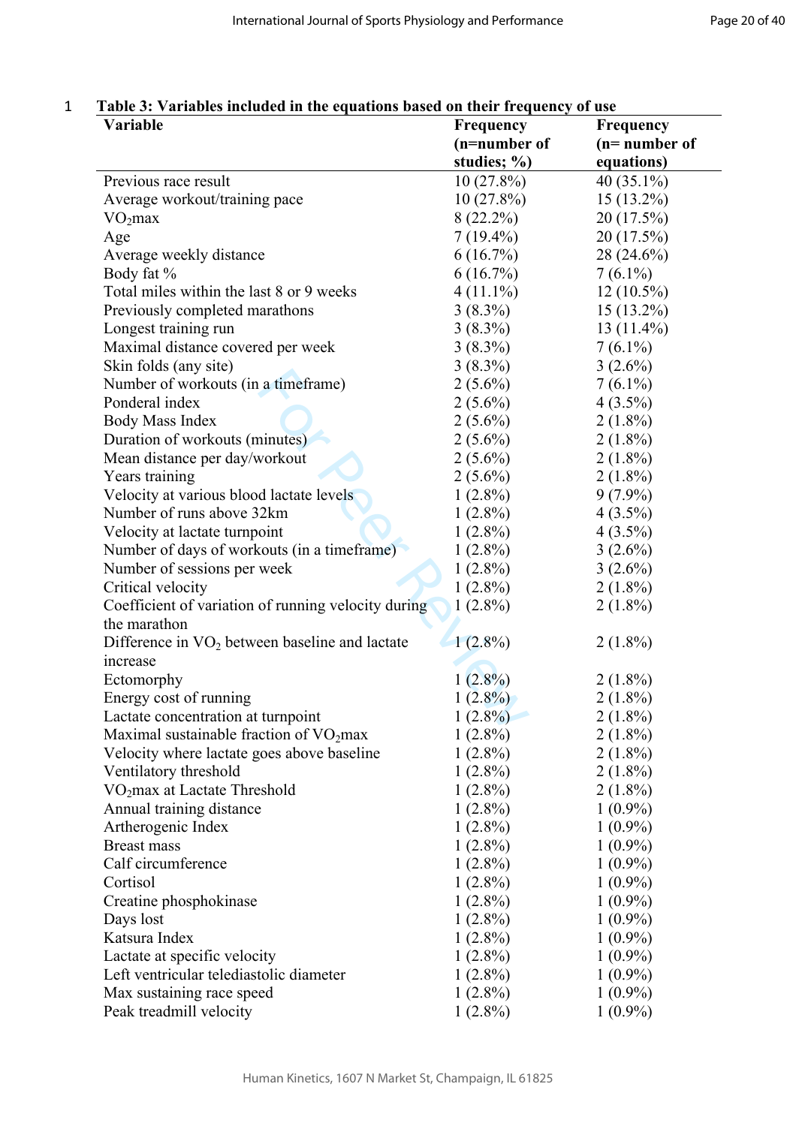| Variable                                            | Frequency    | Frequency       |
|-----------------------------------------------------|--------------|-----------------|
|                                                     | (n=number of | $(n=$ number of |
|                                                     | studies; %)  | equations)      |
| Previous race result                                | $10(27.8\%)$ | 40 (35.1%)      |
| Average workout/training pace                       | $10(27.8\%)$ | 15 (13.2%)      |
| VO <sub>2</sub> max                                 | $8(22.2\%)$  | 20(17.5%)       |
| Age                                                 | $7(19.4\%)$  | 20(17.5%)       |
| Average weekly distance                             | 6(16.7%)     | 28 (24.6%)      |
| Body fat %                                          | $6(16.7\%)$  | $7(6.1\%)$      |
| Total miles within the last 8 or 9 weeks            | $4(11.1\%)$  | $12(10.5\%)$    |
| Previously completed marathons                      | $3(8.3\%)$   | $15(13.2\%)$    |
| Longest training run                                | $3(8.3\%)$   | $13(11.4\%)$    |
| Maximal distance covered per week                   | $3(8.3\%)$   | $7(6.1\%)$      |
| Skin folds (any site)                               | $3(8.3\%)$   | $3(2.6\%)$      |
| Number of workouts (in a timeframe)                 | $2(5.6\%)$   | $7(6.1\%)$      |
| Ponderal index                                      | $2(5.6\%)$   | $4(3.5\%)$      |
| <b>Body Mass Index</b>                              | $2(5.6\%)$   | $2(1.8\%)$      |
| Duration of workouts (minutes)                      | $2(5.6\%)$   | $2(1.8\%)$      |
| Mean distance per day/workout                       | $2(5.6\%)$   | $2(1.8\%)$      |
| Years training                                      | $2(5.6\%)$   | $2(1.8\%)$      |
| Velocity at various blood lactate levels            | $1(2.8\%)$   | $9(7.9\%)$      |
| Number of runs above 32km                           | $1(2.8\%)$   | $4(3.5\%)$      |
| Velocity at lactate turnpoint                       | $1(2.8\%)$   | $4(3.5\%)$      |
| Number of days of workouts (in a timeframe)         | $1(2.8\%)$   | $3(2.6\%)$      |
| Number of sessions per week                         | $1(2.8\%)$   | $3(2.6\%)$      |
| Critical velocity                                   | $1(2.8\%)$   | $2(1.8\%)$      |
| Coefficient of variation of running velocity during | $1(2.8\%)$   | $2(1.8\%)$      |
| the marathon                                        |              |                 |
| Difference in $VO2$ between baseline and lactate    | $1(2.8\%)$   | $2(1.8\%)$      |
| increase                                            |              |                 |
| Ectomorphy                                          | $1(2.8\%)$   | $2(1.8\%)$      |
| Energy cost of running                              | $1(2.8\%)$   | $2(1.8\%)$      |
| Lactate concentration at turnpoint                  | $1(2.8\%)$   | $2(1.8\%)$      |
| Maximal sustainable fraction of $VO2max$            | $1(2.8\%)$   | $2(1.8\%)$      |
| Velocity where lactate goes above baseline          | $1(2.8\%)$   | $2(1.8\%)$      |
| Ventilatory threshold                               |              |                 |
| VO <sub>2</sub> max at Lactate Threshold            | $1(2.8\%)$   | $2(1.8\%)$      |
|                                                     | $1(2.8\%)$   | $2(1.8\%)$      |
| Annual training distance                            | $1(2.8\%)$   | $1(0.9\%)$      |
| Artherogenic Index<br><b>Breast mass</b>            | $1(2.8\%)$   | $1(0.9\%)$      |
|                                                     | $1(2.8\%)$   | $1(0.9\%)$      |
| Calf circumference                                  | $1(2.8\%)$   | $1(0.9\%)$      |
| Cortisol                                            | $1(2.8\%)$   | $1(0.9\%)$      |
| Creatine phosphokinase                              | $1(2.8\%)$   | $1(0.9\%)$      |
| Days lost                                           | $1(2.8\%)$   | $1(0.9\%)$      |
| Katsura Index                                       | $1(2.8\%)$   | $1(0.9\%)$      |
| Lactate at specific velocity                        | $1(2.8\%)$   | $1(0.9\%)$      |
| Left ventricular telediastolic diameter             | $1(2.8\%)$   | $1(0.9\%)$      |
| Max sustaining race speed                           | $1(2.8\%)$   | $1(0.9\%)$      |
| Peak treadmill velocity                             | $1(2.8\%)$   | $1(0.9\%)$      |

## 1 **Table 3: Variables included in the equations based on their frequency of use**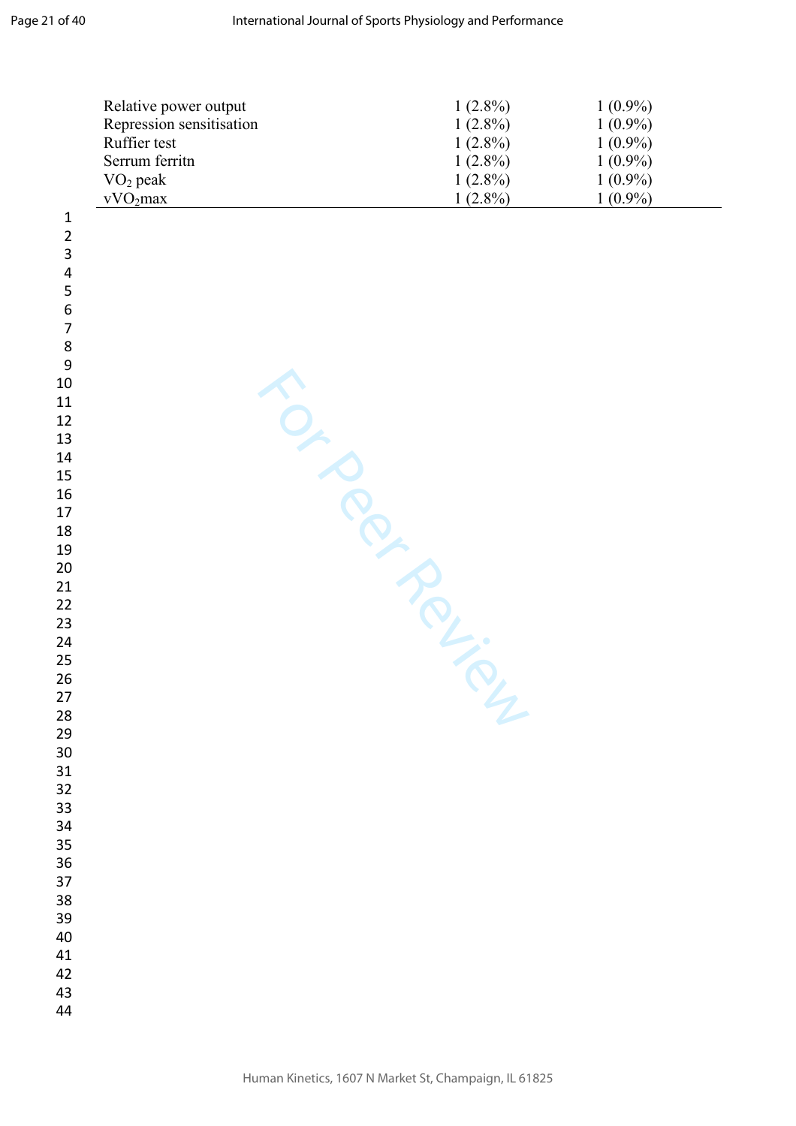| Relative power output    | $1(2.8\%)$ | $1(0.9\%)$ |
|--------------------------|------------|------------|
| Repression sensitisation | $1(2.8\%)$ | $1(0.9\%)$ |
| Ruffier test             | $1(2.8\%)$ | $1(0.9\%)$ |
| Serrum ferritn           | $1(2.8\%)$ | $1(0.9\%)$ |
| $VO2$ peak               | $1(2.8\%)$ | $1(0.9\%)$ |
| vVO <sub>2</sub> max     | $1(2.8\%)$ | $1(0.9\%)$ |

| 1<br>2<br>3<br>4<br>5<br>6<br>7<br>8<br>9<br>10 |  |
|-------------------------------------------------|--|
|                                                 |  |
|                                                 |  |
|                                                 |  |
|                                                 |  |
| ${\bf 11}$                                      |  |
| 12                                              |  |
| $\begin{array}{c} 13 \\ 14 \end{array}$         |  |
|                                                 |  |
|                                                 |  |
| $\begin{array}{c} 15 \\ 16 \end{array}$         |  |
| $17\,$                                          |  |
| 18                                              |  |
| 19                                              |  |
| 20                                              |  |
|                                                 |  |
| 21                                              |  |
| 22                                              |  |
| 23<br>24                                        |  |
|                                                 |  |
| 25<br>26<br>27                                  |  |
|                                                 |  |
|                                                 |  |
| 28                                              |  |
| 29                                              |  |
| 30                                              |  |
|                                                 |  |
| $\frac{31}{32}$                                 |  |
|                                                 |  |
| 33                                              |  |
| 34                                              |  |
| 35                                              |  |
| 36                                              |  |
| 37                                              |  |
| 38                                              |  |
| 39                                              |  |
| $40\,$                                          |  |
|                                                 |  |
| 41                                              |  |
| 42                                              |  |
| 43                                              |  |
| 44                                              |  |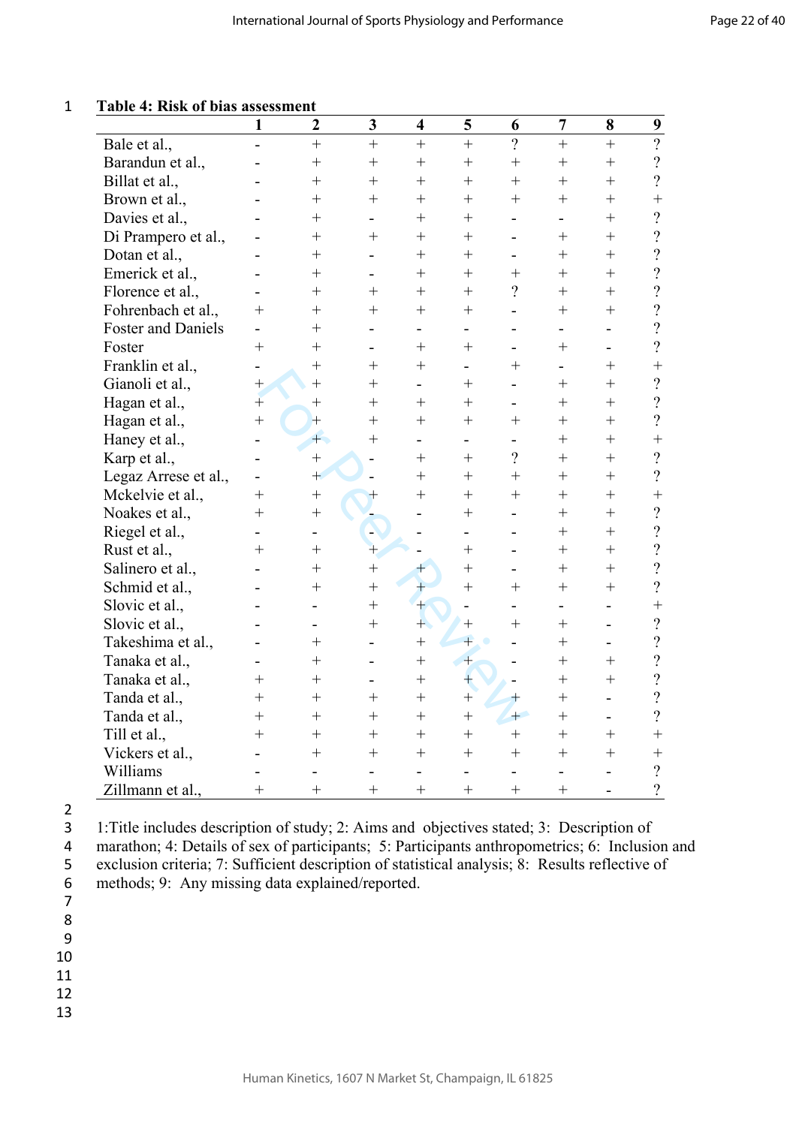|                           | $\mathbf{1}$             | $\boldsymbol{2}$ | 3                        | 4                    | 5                                | 6              | 7         | 8              | 9                        |
|---------------------------|--------------------------|------------------|--------------------------|----------------------|----------------------------------|----------------|-----------|----------------|--------------------------|
| Bale et al.,              |                          | $\ddot{}$        | $\ddot{}$                | $\ddot{}$            | $\ddot{}$                        | $\gamma$       | $\ddot{}$ | $+$            | $\overline{?}$           |
| Barandun et al.,          |                          | $\overline{+}$   | $^{+}$                   | $\ddot{}$            | $^{+}$                           | $^{+}$         | $^{+}$    | $+$            | $\overline{?}$           |
| Billat et al.,            |                          | $^{+}$           | $^{+}$                   | $^{+}$               | $^{+}$                           | $+$            | $+$       | $+$            | $\overline{?}$           |
| Brown et al.,             |                          | $\overline{+}$   | $\ddot{}$                | $^{+}$               | $^{+}$                           | $^{+}$         | $^{+}$    | $+$            | $\ddot{}$                |
| Davies et al.,            |                          | $\overline{+}$   |                          | $^{+}$               | $\overline{+}$                   |                |           | $+$            | $\overline{?}$           |
| Di Prampero et al.,       |                          | $\overline{+}$   | $^{+}$                   | $^{+}$               | $^{+}$                           |                | $^{+}$    | $^{+}$         | $\overline{?}$           |
| Dotan et al.,             |                          | $\, + \,$        |                          | $^{+}$               | $\overline{+}$                   |                | $+$       | $^{+}$         | $\overline{?}$           |
| Emerick et al.,           |                          | $^{+}$           | $\blacksquare$           | $+$                  | $^{+}$                           | $^{+}$         | $+$       | $+$            | $\overline{?}$           |
| Florence et al.,          | $\overline{\phantom{0}}$ | $\, + \,$        | $^{+}$                   | $^{+}$               | $^{+}$                           | $\overline{?}$ | $^{+}$    | $^{+}$         | $\overline{?}$           |
| Fohrenbach et al.,        | $^{+}$                   | $^{+}$           | $+$                      | $+$                  | $^{+}$                           |                | $+$       | $+$            | $\overline{?}$           |
| <b>Foster and Daniels</b> | $\blacksquare$           | $\, + \,$        |                          |                      |                                  |                |           |                | $\overline{?}$           |
| Foster                    | $\hspace{0.1mm} +$       | $\overline{+}$   | -                        | $^{+}$               | $\hspace{0.1mm} +\hspace{0.1mm}$ | ÷              | $^{+}$    | Ξ.             | $\overline{?}$           |
| Franklin et al.,          | -                        | $^{+}$           | $^{+}$                   | $^{+}$               |                                  | $^+$           |           | $^{+}$         | $^{+}$                   |
| Gianoli et al.,           | $^+$                     | $^{+}$           | $^{+}$                   |                      | $\hspace{0.1mm} +\hspace{0.1mm}$ |                | $^{+}$    | $+$            | $\overline{?}$           |
| Hagan et al.,             | $\ddot{}$                | $^{+}$           | $^{+}$                   | $^{+}$               | $^{+}$                           |                | $^{+}$    | $^{+}$         | $\overline{?}$           |
| Hagan et al.,             | $^{+}$                   | $\pm$            | $^{+}$                   | $\ddot{}$            | $\overline{+}$                   | $^+$           | $+$       | $^{+}$         | $\overline{?}$           |
| Haney et al.,             |                          | $+$              | $^{+}$                   |                      |                                  |                | $+$       | $+$            | $\ddot{}$                |
| Karp et al.,              |                          | $^{+}$           |                          | $^{+}$               | $\mathrm{+}$                     | $\overline{?}$ | $^{+}$    | $^{+}$         | $\overline{?}$           |
| Legaz Arrese et al.,      |                          | $+$              |                          | $+$                  | $^{+}$                           | $^{+}$         | $+$       | $+$            | $\overline{?}$           |
| Mckelvie et al.,          | $^{+}$                   | $^{+}$           | $\overline{\phantom{a}}$ | $^{+}$               | $\overline{+}$                   | $\overline{+}$ | $^{+}$    | $^{+}$         | $\ddot{}$                |
| Noakes et al.,            | $+$                      | $\overline{+}$   |                          |                      | $\overline{+}$                   |                | $+$       | $+$            | $\overline{?}$           |
| Riegel et al.,            |                          |                  |                          |                      |                                  |                | $^{+}$    | $^{+}$         | $\overline{?}$           |
| Rust et al.,              | $^{+}$                   | $\overline{+}$   | $\overline{+}$           |                      | $\overline{+}$                   |                | $+$       | $+$            | $\overline{?}$           |
| Salinero et al.,          |                          | $\overline{+}$   | $^{+}$                   | $\pm$                | $\overline{+}$                   |                | $+$       | $+$            | $\overline{?}$           |
| Schmid et al.,            |                          | $\overline{+}$   | $\ddot{}$                |                      | $^{+}$                           | $\overline{+}$ | $\ddot{}$ | $\ddot{}$      | $\overline{?}$           |
| Slovic et al.,            |                          |                  | $\ddot{}$                | $\textcolor{red}{+}$ |                                  |                |           |                | $^{+}$                   |
| Slovic et al.,            |                          |                  | $\ddot{}$                | $+$                  | $\overline{+}$                   | $\overline{+}$ | $^{+}$    |                | $\overline{?}$           |
| Takeshima et al.,         |                          | $\overline{+}$   |                          | $^{+}$               | $+$                              |                | $^{+}$    |                | $\overline{?}$           |
| Tanaka et al.,            |                          | $\overline{+}$   |                          | $^{+}$               | $^{+}$                           |                | $+$       | $^{+}$         | $\overline{?}$           |
| Tanaka et al.,            | $\hspace{0.1mm} +$       | $\overline{+}$   |                          | $^{+}$               | Ŧ                                |                | $^{+}$    | $\ddot{}$      | $\overline{?}$           |
| Tanda et al.,             | $^{+}$                   | $\overline{+}$   | $^{+}$                   | $^{+}$               | $^{+}$                           | $\ddag$        | $+$       | $\overline{a}$ | $\overline{?}$           |
| Tanda et al.,             | $^{+}$                   | $\overline{+}$   | $^{+}$                   | $^{+}$               | $^{+}$                           | $\leftarrow$   | $^{+}$    | $\overline{a}$ | $\overline{?}$           |
| Till et al.,              | $^{+}$                   | $\overline{+}$   | $+$                      | $^{+}$               | $\ddot{}$                        | $+$            | $+$       | $+$            | $\ddot{}$                |
| Vickers et al.,           |                          |                  | $^{+}$                   | $^{+}$               | $^{+}$                           |                | $^{+}$    | $^{+}$         | $\ddot{}$                |
| Williams                  |                          |                  |                          |                      |                                  |                |           |                | $\overline{\mathcal{L}}$ |
| Zillmann et al.,          | $^{+}$                   | $^{+}$           | $^{+}$                   | $^{+}$               | $^{+}$                           | $+$            | $^{+}$    |                | $\gamma$                 |

# <sup>1</sup> **Table 4: Risk of bias assessment 1 <sup>2</sup>**

2<br>2 1:Title includes description of study; 2: Aims and objectives stated; 3: Description of

4 marathon; 4: Details of sex of participants; 5: Participants anthropometrics; 6: Inclusion and 5 exclusion criteria; 7: Sufficient description of statistical analysis; 8: Results reflective of 6 methods; 9: Any missing data explained/reported.

 $\overline{7}$ 

7<br>8<br>9 8 9

10

11

12

13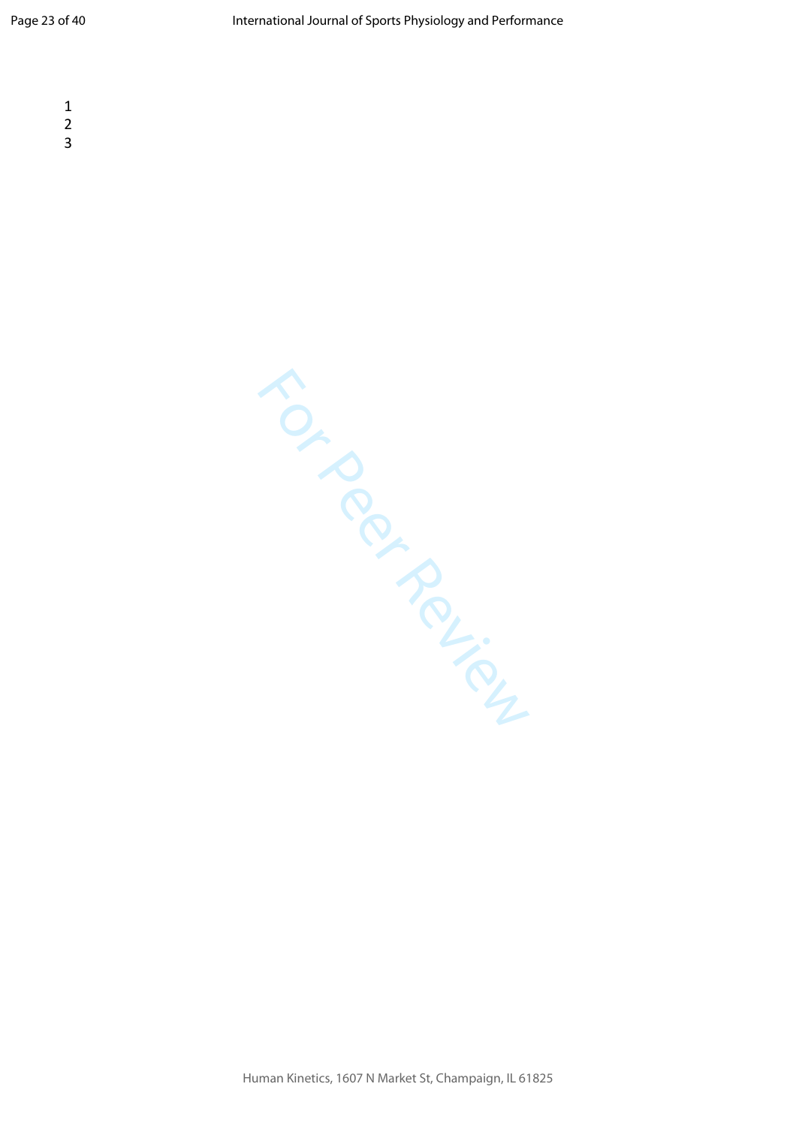- $\mathbf 1$  $\frac{1}{2}$
- $\overline{2}$
- $\overline{3}$

TON PROVISING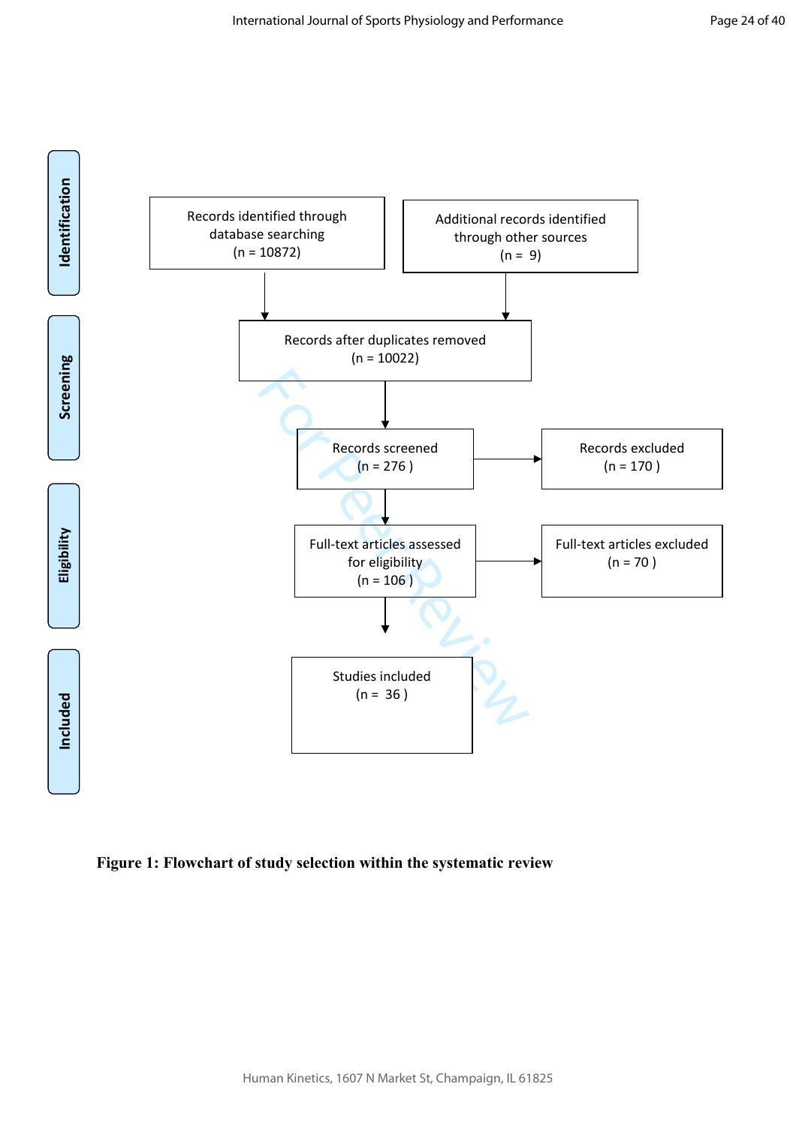

**Figure 1: Flowchart of study selection within the systematic review**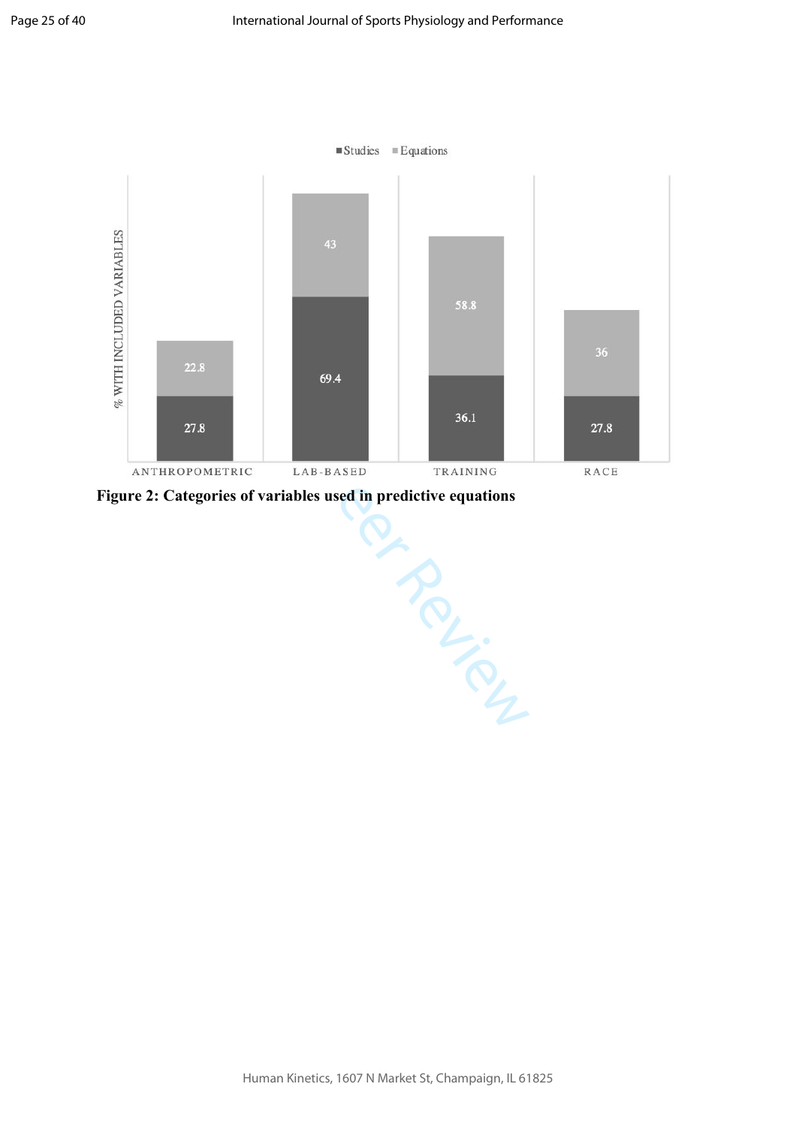

**Figure 2: Categories of variables used in predictive equations**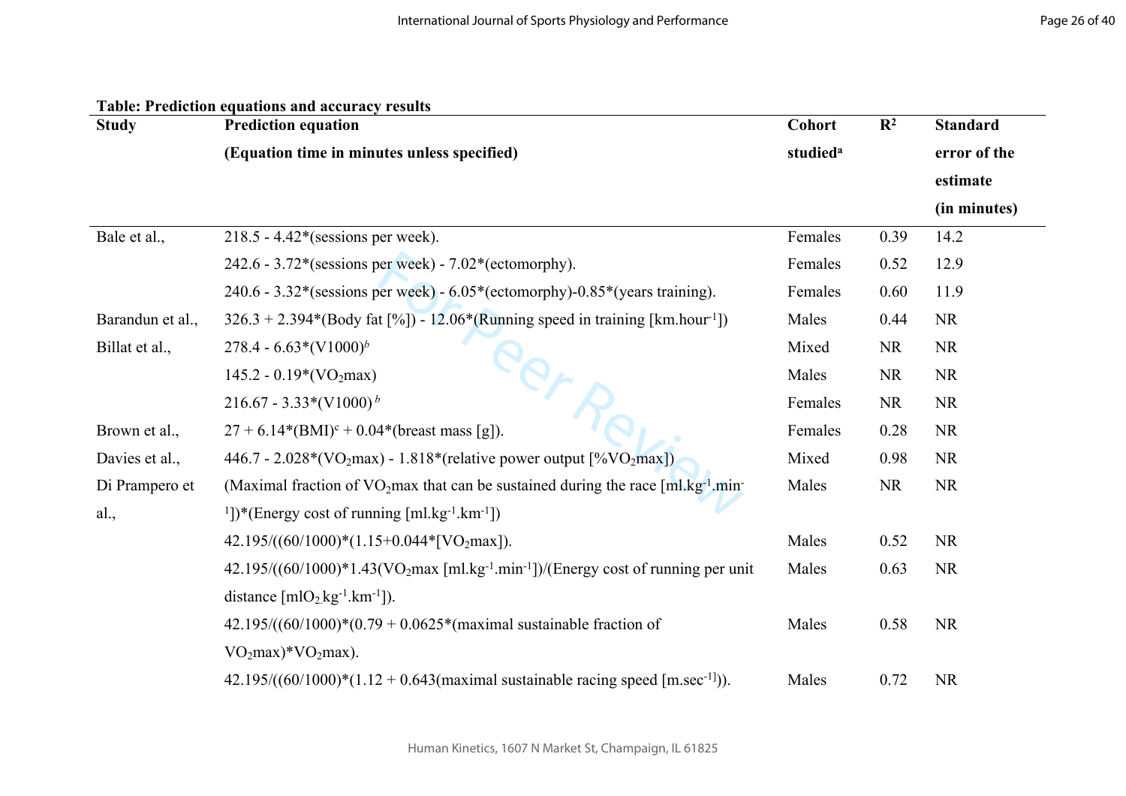| <b>Study</b>     | radic. I rediction equations and accuracy results<br><b>Prediction equation</b>                 | <b>Cohort</b>        | $\mathbb{R}^2$ | <b>Standard</b> |
|------------------|-------------------------------------------------------------------------------------------------|----------------------|----------------|-----------------|
|                  | (Equation time in minutes unless specified)                                                     | studied <sup>a</sup> |                | error of the    |
|                  |                                                                                                 |                      |                | estimate        |
|                  |                                                                                                 |                      |                | (in minutes)    |
| Bale et al.,     | $218.5 - 4.42*(s_{\text{essions per week}})$ .                                                  | Females              | 0.39           | 14.2            |
|                  | 242.6 - 3.72*(sessions per week) - $7.02*$ (ectomorphy).                                        | Females              | 0.52           | 12.9            |
|                  | 240.6 - 3.32*(sessions per week) - 6.05*(ectomorphy)-0.85*(years training).                     | Females              | 0.60           | 11.9            |
| Barandun et al., | $326.3 + 2.394*(Body fat [%]) - 12.06*(Running speed in training [km.hour-1])$                  | Males                | 0.44           | <b>NR</b>       |
| Billat et al.,   | $278.4 - 6.63*(V1000)^{b}$                                                                      | Mixed                | <b>NR</b>      | <b>NR</b>       |
|                  | $145.2 - 0.19*(VO2)$ max)                                                                       | Males                | <b>NR</b>      | <b>NR</b>       |
|                  | $216.67 - 3.33*(V1000)^{b}$                                                                     | Females              | <b>NR</b>      | <b>NR</b>       |
| Brown et al.,    | $27 + 6.14*(BMI)^{c} + 0.04*(break mass [g]).$                                                  | Females              | 0.28           | <b>NR</b>       |
| Davies et al.,   | 446.7 - 2.028*(VO <sub>2</sub> max) - 1.818*(relative power output [%VO <sub>2</sub> max])      | Mixed                | 0.98           | <b>NR</b>       |
| Di Prampero et   | (Maximal fraction of $VO2$ max that can be sustained during the race [ml.kg <sup>-1</sup> .min] | Males                | <b>NR</b>      | <b>NR</b>       |
| al.,             | $\binom{1}{1}$ (Energy cost of running $[m1 \text{ kg}^{-1} \text{ km}^{-1}]$ )                 |                      |                |                 |
|                  | 42.195/((60/1000)*(1.15+0.044*[VO <sub>2</sub> max]).                                           | Males                | 0.52           | <b>NR</b>       |
|                  | $42.195/((60/1000)*1.43(VO2max [ml.kg-1.min-1])/(Energy cost of running per unit)$              | Males                | 0.63           | <b>NR</b>       |
|                  | distance $[mIO2 kg-1. km-1]).$                                                                  |                      |                |                 |
|                  | $42.195/((60/1000)*(0.79 + 0.0625*(maximal sustainable fraction of$                             | Males                | 0.58           | <b>NR</b>       |
|                  | $VO2max)*VO2max$ ).                                                                             |                      |                |                 |
|                  | $42.195/((60/1000)*(1.12 + 0.643$ (maximal sustainable racing speed [m.sec <sup>-1]</sup> )).   | Males                | 0.72           | <b>NR</b>       |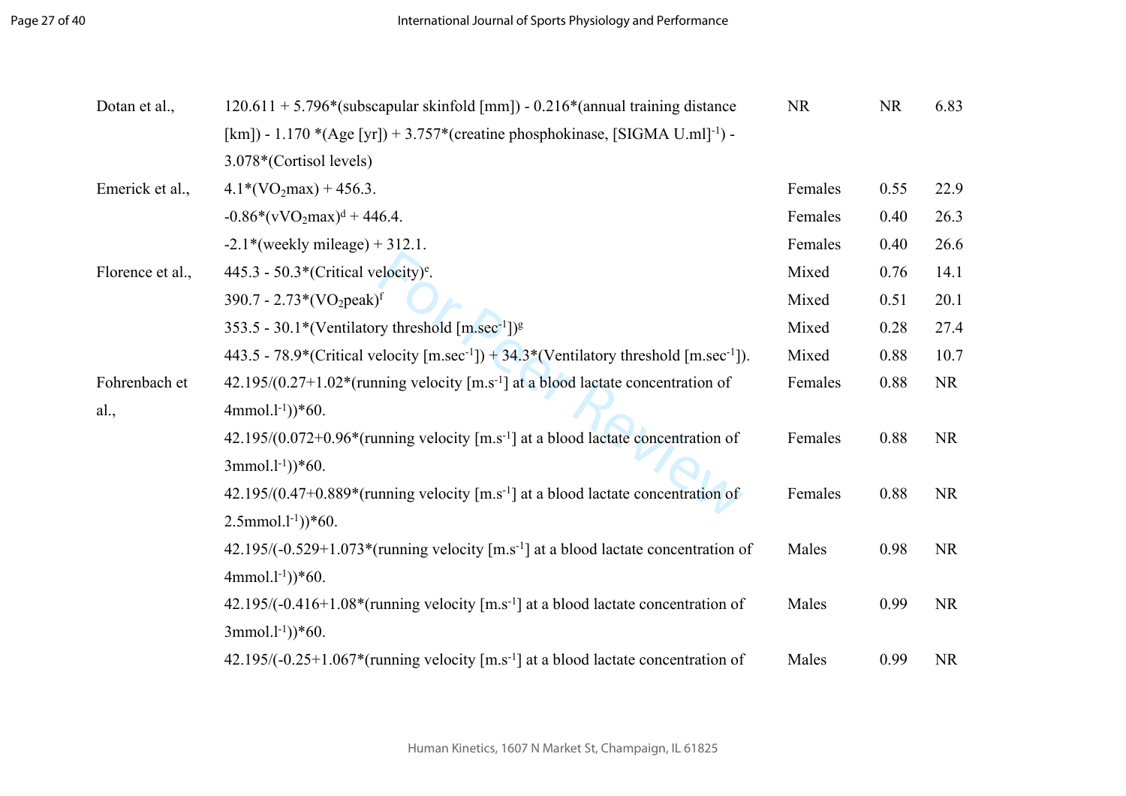| Dotan et al.,    | $120.611 + 5.796*(subscapular skinfold [mm]) - 0.216*(annual training distance)$                  | <b>NR</b> | <b>NR</b> | 6.83      |
|------------------|---------------------------------------------------------------------------------------------------|-----------|-----------|-----------|
|                  | [km]) - 1.170 *(Age [yr]) + 3.757*(creatine phosphokinase, [SIGMA U.ml] <sup>-1</sup> ) -         |           |           |           |
|                  | 3.078*(Cortisol levels)                                                                           |           |           |           |
| Emerick et al.,  | $4.1*(VO2max) + 456.3.$                                                                           | Females   | 0.55      | 22.9      |
|                  | $-0.86*(\text{vVO}_2 \text{max})^d + 446.4$ .                                                     | Females   | 0.40      | 26.3      |
|                  | $-2.1$ <sup>*</sup> (weekly mileage) + 312.1.                                                     | Females   | 0.40      | 26.6      |
| Florence et al., | 445.3 - 50.3*(Critical velocity) <sup>e</sup> .                                                   | Mixed     | 0.76      | 14.1      |
|                  | 390.7 - 2.73*(VO <sub>2</sub> peak) <sup>f</sup>                                                  | Mixed     | 0.51      | 20.1      |
|                  | 353.5 - 30.1*(Ventilatory threshold $[m/sec^{-1}])^g$                                             | Mixed     | 0.28      | 27.4      |
|                  | 443.5 - 78.9* (Critical velocity $[m/sec^{-1}]) + 34.3*$ (Ventilatory threshold $[m/sec^{-1}])$ . | Mixed     | 0.88      | 10.7      |
| Fohrenbach et    | $42.195/(0.27+1.02*(running velocity [m.s^{-1}] at a blood lactate concentration of$              | Females   | 0.88      | <b>NR</b> |
| al.,             | $4mmol.1^{-1})$ *60.                                                                              |           |           |           |
|                  | $42.195/(0.072+0.96*(running velocity [m.s-1] at a blood lactate concentration of$                | Females   | 0.88      | <b>NR</b> |
|                  | $3mmol.l^{-1})$ <sup>*60.</sup>                                                                   |           |           |           |
|                  | $42.195/(0.47+0.889*(\text{running velocity } [m.s^{-1}]$ at a blood lactate concentration of     | Females   | 0.88      | <b>NR</b> |
|                  | $2.5$ mmol.l <sup>-1</sup> ))*60.                                                                 |           |           |           |
|                  | $42.195/(-0.529+1.073*(running velocity [m.s^{-1}] at a blood lactate concentration of$           | Males     | 0.98      | <b>NR</b> |
|                  | $4mmol.1^{-1})$ *60.                                                                              |           |           |           |
|                  | $42.195/(-0.416+1.08*(running velocity [m.s^{-1}] at a blood lactate concentration of$            | Males     | 0.99      | <b>NR</b> |
|                  | $3mmol.l^{-1})$ <sup>*60.</sup>                                                                   |           |           |           |
|                  | 42.195/(-0.25+1.067*(running velocity [m.s <sup>-1</sup> ] at a blood lactate concentration of    | Males     | 0.99      | <b>NR</b> |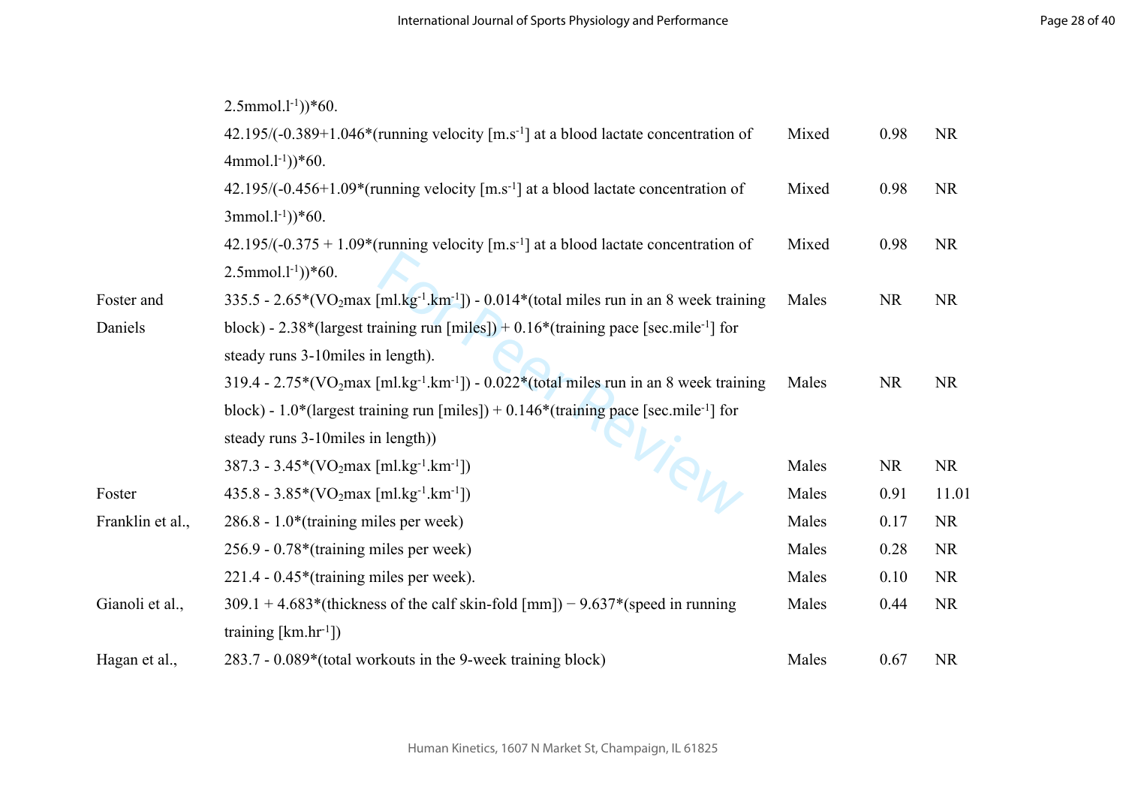|                  | $2.5$ mmol.l <sup>-1</sup> ))*60.                                                                                            |       |           |           |
|------------------|------------------------------------------------------------------------------------------------------------------------------|-------|-----------|-----------|
|                  | 42.195/(-0.389+1.046*(running velocity [m.s <sup>-1</sup> ] at a blood lactate concentration of                              | Mixed | 0.98      | <b>NR</b> |
|                  | $4mmol.1^{-1})$ *60.                                                                                                         |       |           |           |
|                  | $42.195/(-0.456+1.09*(running velocity [m.s^{-1}] at a blood lactate concentration of$                                       | Mixed | 0.98      | <b>NR</b> |
|                  | $3mmol.l^{-1})$ <sup>*60.</sup>                                                                                              |       |           |           |
|                  | $42.195/(-0.375 + 1.09*(running velocity [m.s^{-1}] at a blood lactate concentration of$                                     | Mixed | 0.98      | <b>NR</b> |
|                  | $2.5$ mmol.l <sup>-1</sup> ))*60.                                                                                            |       |           |           |
| Foster and       | 335.5 - 2.65*(VO <sub>2</sub> max [ml.kg <sup>-1</sup> .km <sup>-1</sup> ]) - 0.014*(total miles run in an 8 week training   | Males | <b>NR</b> | <b>NR</b> |
| Daniels          | block) - 2.38*(largest training run [miles]) + $0.16*$ (training pace [sec.mile <sup>-1</sup> ] for                          |       |           |           |
|                  | steady runs 3-10miles in length).                                                                                            |       |           |           |
|                  | 319.4 - 2.75* (VO <sub>2</sub> max [ml.kg <sup>-1</sup> .km <sup>-1</sup> ]) - 0.022* (total miles run in an 8 week training | Males | <b>NR</b> | <b>NR</b> |
|                  | block) - 1.0*(largest training run [miles]) + $0.146*$ (training pace [sec.mile <sup>-1</sup> ] for                          |       |           |           |
|                  | steady runs 3-10miles in length))                                                                                            |       |           |           |
|                  | 387.3 - 3.45*(VO2max [ml.kg <sup>-1</sup> .km <sup>-1</sup> ])                                                               | Males | <b>NR</b> | <b>NR</b> |
| Foster           | 435.8 - 3.85*(VO <sub>2</sub> max [ml.kg <sup>-1</sup> .km <sup>-1</sup> ])                                                  | Males | 0.91      | 11.01     |
| Franklin et al., | 286.8 - 1.0*(training miles per week)                                                                                        | Males | 0.17      | <b>NR</b> |
|                  | 256.9 - 0.78*(training miles per week)                                                                                       | Males | 0.28      | <b>NR</b> |
|                  | 221.4 - 0.45*(training miles per week).                                                                                      | Males | 0.10      | <b>NR</b> |
| Gianoli et al.,  | $309.1 + 4.683$ <sup>*</sup> (thickness of the calf skin-fold [mm]) – 9.637 <sup>*</sup> (speed in running                   | Males | 0.44      | <b>NR</b> |
|                  | training $[km/hr-1]$                                                                                                         |       |           |           |
| Hagan et al.,    | 283.7 - 0.089*(total workouts in the 9-week training block)                                                                  | Males | 0.67      | <b>NR</b> |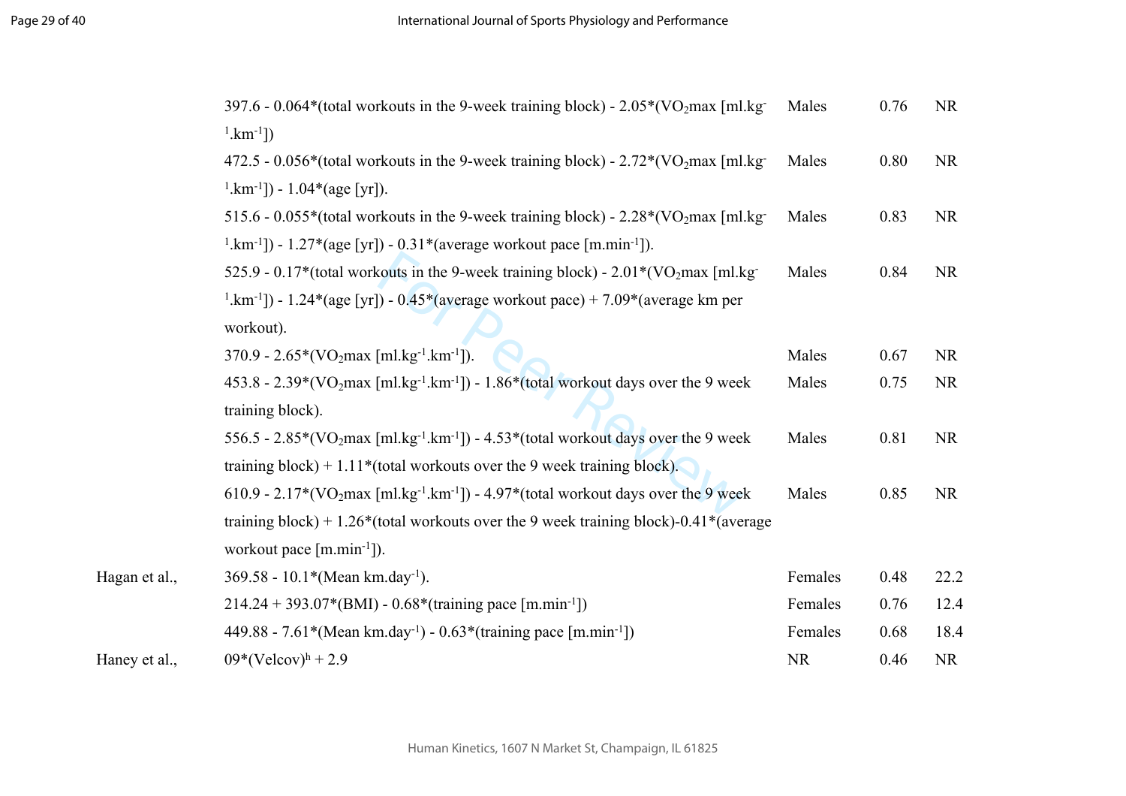|               | 397.6 - 0.064*(total workouts in the 9-week training block) - $2.05*(VO2max$ [ml.kg]                                     | Males     | 0.76 | <b>NR</b> |
|---------------|--------------------------------------------------------------------------------------------------------------------------|-----------|------|-----------|
|               | $^{1}$ .km <sup>-1</sup> ])                                                                                              |           |      |           |
|               | 472.5 - 0.056*(total workouts in the 9-week training block) - $2.72*(VO2max$ [ml.kg <sup>-</sup>                         | Males     | 0.80 | <b>NR</b> |
|               | $^{1}$ km <sup>-1</sup> ]) - 1.04*(age [yr]).                                                                            |           |      |           |
|               | 515.6 - 0.055*(total workouts in the 9-week training block) - $2.28*(VO2max$ [ml.kg <sup>-</sup>                         | Males     | 0.83 | <b>NR</b> |
|               | $(1.km^{-1})$ - 1.27*(age [yr]) - 0.31*(average workout pace [m.min <sup>-1</sup> ]).                                    |           |      |           |
|               | 525.9 - 0.17*(total workouts in the 9-week training block) - $2.01*(VO2max$ [ml.kg]                                      | Males     | 0.84 | <b>NR</b> |
|               | <sup>1</sup> .km <sup>-1</sup> ]) - 1.24*(age [yr]) - 0.45*(average workout pace) + 7.09*(average km per                 |           |      |           |
|               | workout).                                                                                                                |           |      |           |
|               | $370.9 - 2.65*(VO2max [ml.kg-1.km-1]).$                                                                                  | Males     | 0.67 | <b>NR</b> |
|               | 453.8 - 2.39* (VO <sub>2</sub> max [ml.kg <sup>-1</sup> .km <sup>-1</sup> ]) - 1.86* (total workout days over the 9 week | Males     | 0.75 | <b>NR</b> |
|               | training block).                                                                                                         |           |      |           |
|               | 556.5 - 2.85*(VO <sub>2</sub> max [ml.kg <sup>-1</sup> .km <sup>-1</sup> ]) - 4.53*(total workout days over the 9 week   | Males     | 0.81 | <b>NR</b> |
|               | training $block() + 1.11*(total$ workouts over the 9 week training block).                                               |           |      |           |
|               | 610.9 - 2.17* (VO <sub>2</sub> max [ml.kg <sup>-1</sup> .km <sup>-1</sup> ]) - 4.97* (total workout days over the 9 week | Males     | 0.85 | <b>NR</b> |
|               | training block) + $1.26*($ total workouts over the 9 week training block)-0.41 $*($ average                              |           |      |           |
|               | workout pace $[m.min^{-1}])$ .                                                                                           |           |      |           |
| Hagan et al., | 369.58 - 10.1*(Mean km.day <sup>-1</sup> ).                                                                              | Females   | 0.48 | 22.2      |
|               | $214.24 + 393.07*(BMI) - 0.68*(training pace [m.min-1])$                                                                 | Females   | 0.76 | 12.4      |
|               | 449.88 - 7.61*(Mean km.day <sup>-1</sup> ) - 0.63*(training pace [m.min <sup>-1</sup> ])                                 | Females   | 0.68 | 18.4      |
| Haney et al., | $09*(Veleov)^h + 2.9$                                                                                                    | <b>NR</b> | 0.46 | <b>NR</b> |
|               |                                                                                                                          |           |      |           |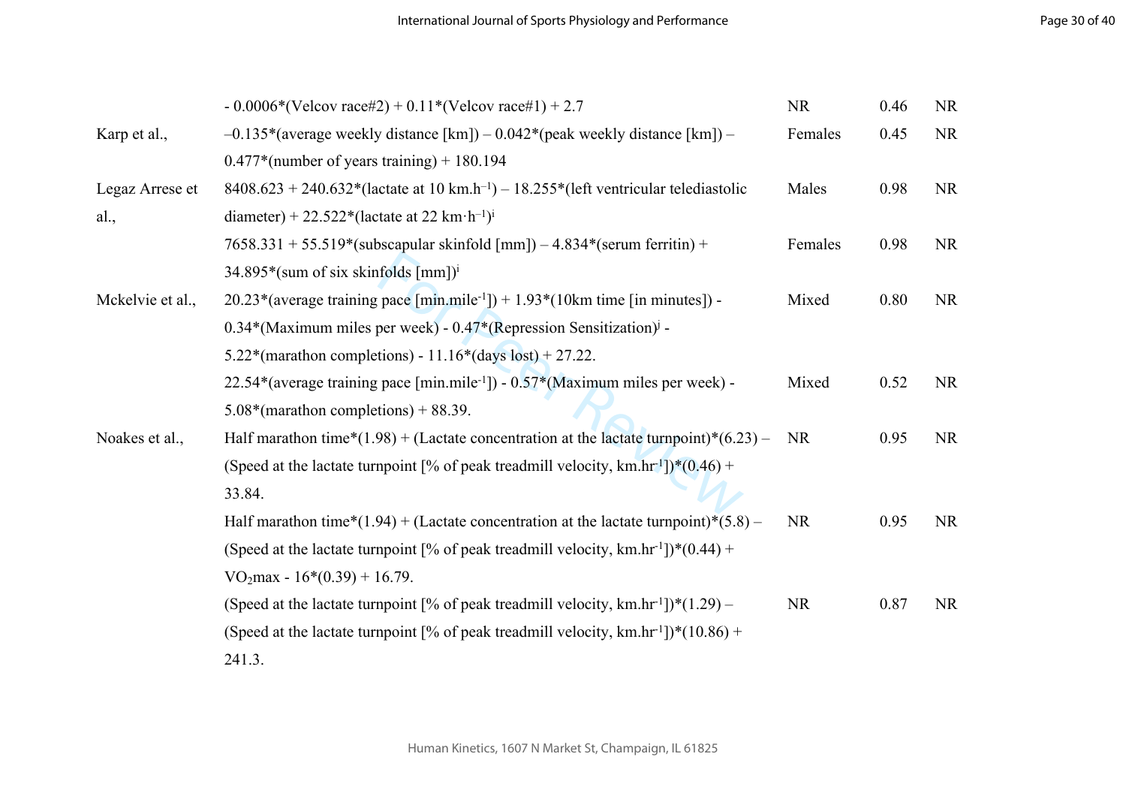| $-0.0006*(\text{Velocity race} \#2) + 0.11*(\text{Velocity race} \#1) + 2.7$                                    | <b>NR</b> | 0.46 | <b>NR</b> |
|-----------------------------------------------------------------------------------------------------------------|-----------|------|-----------|
| $-0.135*($ average weekly distance [km]) $-0.042*($ peak weekly distance [km]) $-$                              | Females   | 0.45 | <b>NR</b> |
| $0.477*(number of years training) + 180.194$                                                                    |           |      |           |
| $8408.623 + 240.632*($ lactate at 10 km.h <sup>-1</sup> ) – 18.255*(left ventricular telediastolic              | Males     | 0.98 | <b>NR</b> |
| diameter) + 22.522*(lactate at 22 km·h <sup>-1</sup> ) <sup>i</sup>                                             |           |      |           |
| $7658.331 + 55.519*(subscapular skinfold [mm]) - 4.834*(serum ferritin) +$                                      | Females   | 0.98 | <b>NR</b> |
| 34.895*(sum of six skinfolds ${\rm [mm]^{\textrm{ji}}}$                                                         |           |      |           |
| 20.23*(average training pace $[\text{min.mile-1}]$ ) + 1.93*(10km time $[\text{in minutes}]$ ) -                | Mixed     | 0.80 | <b>NR</b> |
| 0.34*(Maximum miles per week) - 0.47*(Repression Sensitization) -                                               |           |      |           |
| 5.22*(marathon completions) - 11.16*(days lost) + 27.22.                                                        |           |      |           |
| 22.54*(average training pace [min.mile <sup>-1</sup> ]) - 0.57*(Maximum miles per week) -                       | Mixed     | 0.52 | <b>NR</b> |
| $5.08*(\text{marathon completions}) + 88.39$ .                                                                  |           |      |           |
| Half marathon time*(1.98) + (Lactate concentration at the lactate turnpoint)*(6.23) –                           | <b>NR</b> | 0.95 | <b>NR</b> |
| (Speed at the lactate turnpoint $\lceil\% \rfloor$ of peak treadmill velocity, km.hr <sup>-1</sup> ])*(0.46) +  |           |      |           |
| 33.84.                                                                                                          |           |      |           |
| Half marathon time*(1.94) + (Lactate concentration at the lactate turnpoint)*(5.8) –                            | <b>NR</b> | 0.95 | <b>NR</b> |
| (Speed at the lactate turnpoint $\lceil\% \rfloor$ of peak treadmill velocity, km.hr <sup>-1</sup> ])*(0.44) +  |           |      |           |
| $VO2max - 16*(0.39) + 16.79.$                                                                                   |           |      |           |
| (Speed at the lactate turnpoint $\lceil\% \rfloor$ of peak treadmill velocity, km.hr <sup>-1</sup> ])*(1.29) –  | <b>NR</b> | 0.87 | <b>NR</b> |
| (Speed at the lactate turnpoint $\lceil\% \rfloor$ of peak treadmill velocity, km.hr <sup>-1</sup> ])*(10.86) + |           |      |           |
| 241.3.                                                                                                          |           |      |           |
|                                                                                                                 |           |      |           |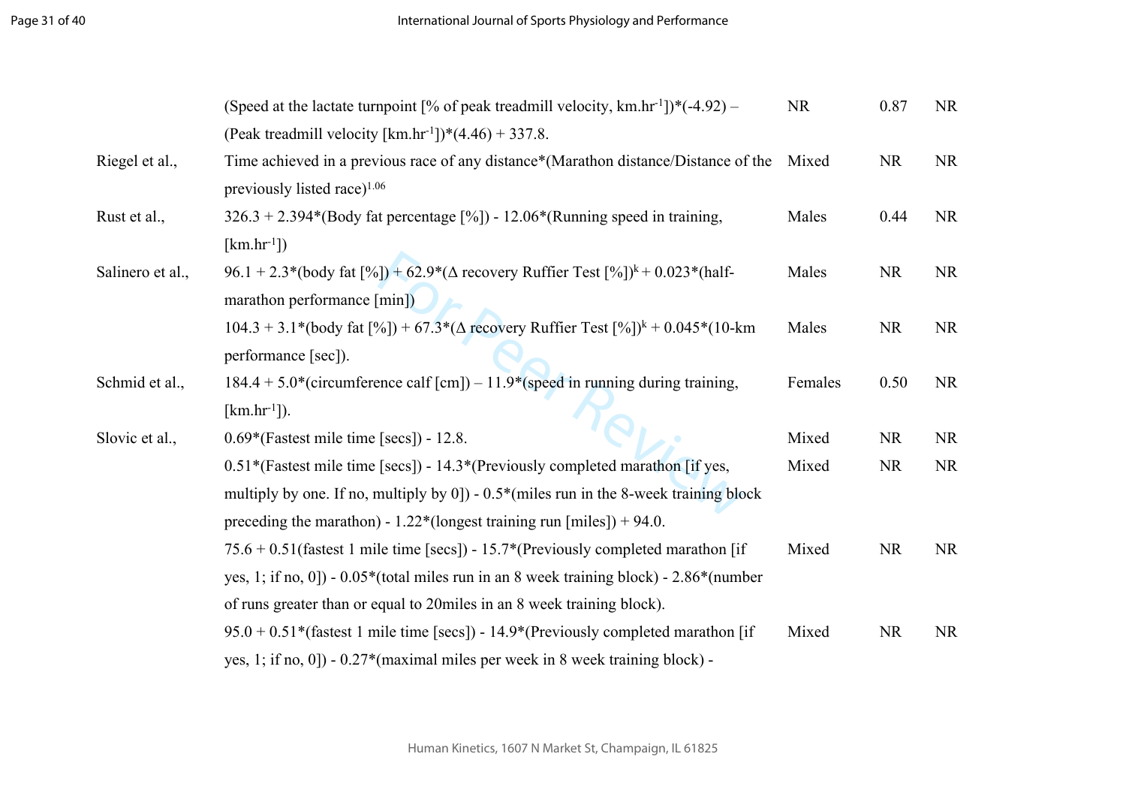|                  | (Speed at the lactate turnpoint $\lceil\% \rfloor$ of peak treadmill velocity, km.hr <sup>-1</sup> ])*(-4.92) – | <b>NR</b> | 0.87      | <b>NR</b> |
|------------------|-----------------------------------------------------------------------------------------------------------------|-----------|-----------|-----------|
|                  | (Peak treadmill velocity [km.hr <sup>-1</sup> ])*(4.46) + 337.8.                                                |           |           |           |
| Riegel et al.,   | Time achieved in a previous race of any distance*(Marathon distance/Distance of the                             | Mixed     | <b>NR</b> | <b>NR</b> |
|                  | previously listed race) <sup>1.06</sup>                                                                         |           |           |           |
| Rust et al.,     | $326.3 + 2.394*(Body fat percentage [%)] - 12.06*(Running speed in training,$                                   | Males     | 0.44      | <b>NR</b> |
|                  | $[km/hr-1]$                                                                                                     |           |           |           |
| Salinero et al., | 96.1 + 2.3*(body fat [%]) + 62.9*( $\Delta$ recovery Ruffier Test [%]) <sup>k</sup> + 0.023*(half-              | Males     | <b>NR</b> | <b>NR</b> |
|                  | marathon performance [min])                                                                                     |           |           |           |
|                  | $104.3 + 3.1*(body fat [%)) + 67.3*(\Delta recovery Ruffier Test [%)]k + 0.045*(10-km)$                         | Males     | <b>NR</b> | <b>NR</b> |
|                  | performance [sec]).                                                                                             |           |           |           |
| Schmid et al.,   | $184.4 + 5.0*$ (circumference calf [cm]) – 11.9* (speed in running during training,                             | Females   | 0.50      | <b>NR</b> |
|                  | $[km/hr-1]$ .                                                                                                   |           |           |           |
| Slovic et al.,   | $0.69*(Fastest mile time [secs]) - 12.8$ .                                                                      | Mixed     | <b>NR</b> | <b>NR</b> |
|                  | 0.51*(Fastest mile time [secs]) - 14.3*(Previously completed marathon [if yes,                                  | Mixed     | <b>NR</b> | <b>NR</b> |
|                  | multiply by one. If no, multiply by 0]) - 0.5*(miles run in the 8-week training block                           |           |           |           |
|                  | preceding the marathon) - $1.22*(longest training run [miles]) + 94.0$ .                                        |           |           |           |
|                  | $75.6 + 0.51$ (fastest 1 mile time [secs]) - 15.7* (Previously completed marathon [if                           | Mixed     | <b>NR</b> | <b>NR</b> |
|                  | yes, 1; if no, 0]) $-0.05*(total$ miles run in an 8 week training block) $-2.86*(number)$                       |           |           |           |
|                  | of runs greater than or equal to 20miles in an 8 week training block).                                          |           |           |           |
|                  | $95.0 + 0.51$ <sup>*</sup> (fastest 1 mile time [secs]) - 14.9 <sup>*</sup> (Previously completed marathon [if  | Mixed     | <b>NR</b> | <b>NR</b> |
|                  | yes, 1; if no, 0]) - 0.27*(maximal miles per week in 8 week training block) -                                   |           |           |           |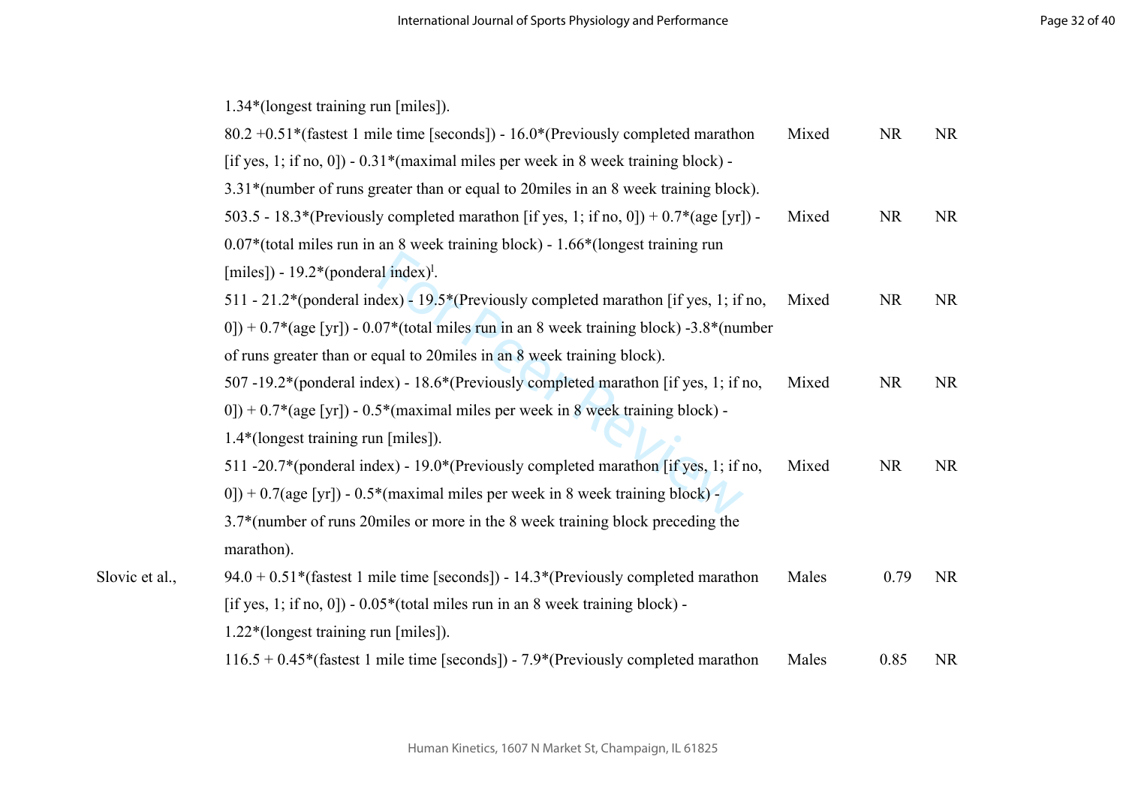| 1.34*(longest training run [miles]). |  |
|--------------------------------------|--|

Slovic et al.,

| $80.2 + 0.51$ <sup>*</sup> (fastest 1 mile time [seconds]) - 16.0 <sup>*</sup> (Previously completed marathon | Mixed | <b>NR</b> | <b>NR</b> |
|---------------------------------------------------------------------------------------------------------------|-------|-----------|-----------|
| [if yes, 1; if no, 0]) $-$ 0.31*(maximal miles per week in 8 week training block) $-$                         |       |           |           |
| 3.31*(number of runs greater than or equal to 20miles in an 8 week training block).                           |       |           |           |
| 503.5 - 18.3* (Previously completed marathon [if yes, 1; if no, 0]) + $0.7$ * (age [yr]) -                    | Mixed | <b>NR</b> | NR        |
| $0.07*$ (total miles run in an 8 week training block) - 1.66*(longest training run                            |       |           |           |
| [miles]) - $19.2*(ponderal index)^{l}$ .                                                                      |       |           |           |
| 511 - 21.2*(ponderal index) - 19.5*(Previously completed marathon [if yes, 1; if no,                          | Mixed | <b>NR</b> | <b>NR</b> |
| 0]) + $0.7$ *(age [yr]) - $0.07$ *(total miles run in an 8 week training block) -3.8*(number                  |       |           |           |
| of runs greater than or equal to 20miles in an 8 week training block).                                        |       |           |           |
| 507 -19.2*(ponderal index) - 18.6*(Previously completed marathon [if yes, 1; if no,                           | Mixed | <b>NR</b> | <b>NR</b> |
| 0]) + $0.7$ *(age [yr]) - $0.5$ *(maximal miles per week in 8 week training block) -                          |       |           |           |
| 1.4*(longest training run [miles]).                                                                           |       |           |           |
| 511 -20.7*(ponderal index) - 19.0*(Previously completed marathon [if yes, 1; if no,                           | Mixed | <b>NR</b> | <b>NR</b> |
| $(0)$ + 0.7(age [yr]) - 0.5*(maximal miles per week in 8 week training block) -                               |       |           |           |
| 3.7*(number of runs 20miles or more in the 8 week training block preceding the                                |       |           |           |
| marathon).                                                                                                    |       |           |           |
| $94.0 + 0.51$ <sup>*</sup> (fastest 1 mile time [seconds]) - 14.3 <sup>*</sup> (Previously completed marathon | Males | 0.79      | NR        |
| [if yes, 1; if no, 0]) $-0.05*(total miles run in an 8 week training block) -$                                |       |           |           |
| $1.22*(longest training run [miles]).$                                                                        |       |           |           |
| $116.5 + 0.45$ <sup>*</sup> (fastest 1 mile time [seconds]) - 7.9 <sup>*</sup> (Previously completed marathon | Males | 0.85      | <b>NR</b> |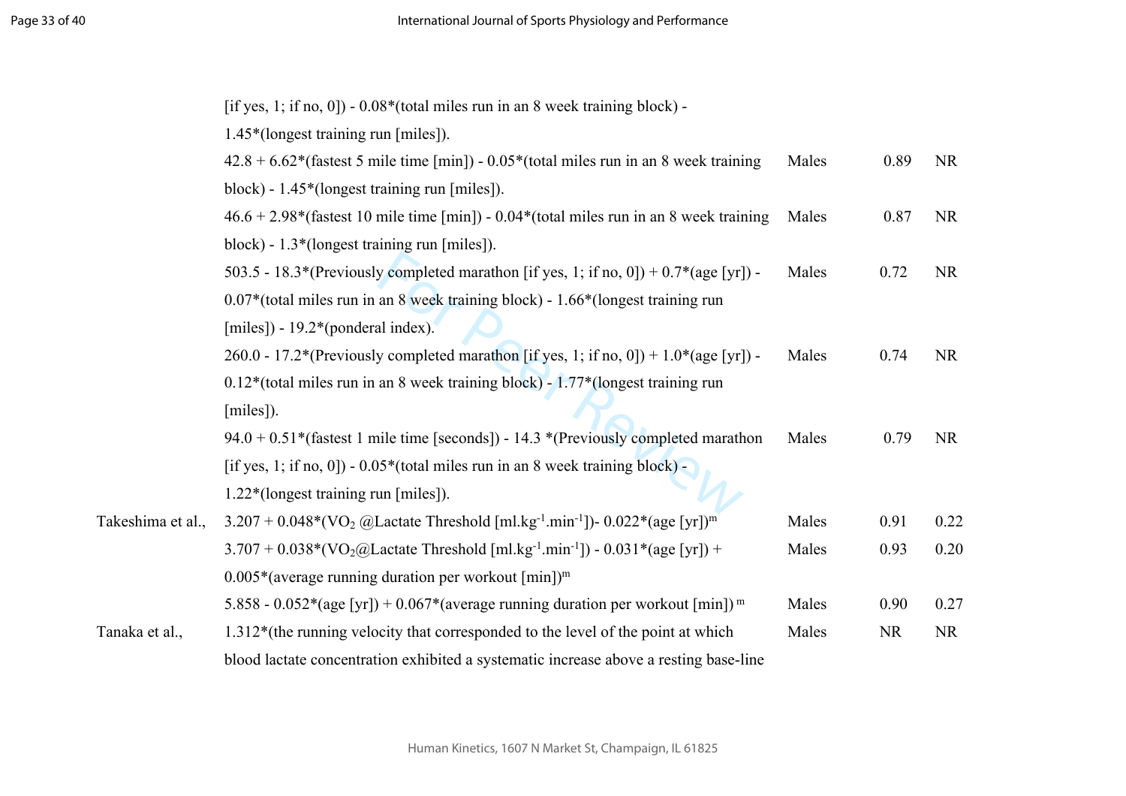|                   | [if yes, 1; if no, 0]) $-0.08*(total$ miles run in an 8 week training block) -                                                    |       |           |           |
|-------------------|-----------------------------------------------------------------------------------------------------------------------------------|-------|-----------|-----------|
|                   | 1.45*(longest training run [miles]).                                                                                              |       |           |           |
|                   | $42.8 + 6.62$ <sup>*</sup> (fastest 5 mile time [min]) - 0.05 <sup>*</sup> (total miles run in an 8 week training                 | Males | 0.89      | <b>NR</b> |
|                   | block) - 1.45*(longest training run [miles]).                                                                                     |       |           |           |
|                   | $46.6 + 2.98*(\text{fastest } 10 \text{ mile time } [\text{min}]) - 0.04*(\text{total miles run in an } 8 \text{ week training})$ | Males | 0.87      | <b>NR</b> |
|                   | block) - $1.3*(longest training run [miles]).$                                                                                    |       |           |           |
|                   | 503.5 - 18.3* (Previously completed marathon [if yes, 1; if no, 0]) + $0.7$ * (age [yr]) -                                        | Males | 0.72      | <b>NR</b> |
|                   | 0.07*(total miles run in an 8 week training block) - 1.66*(longest training run                                                   |       |           |           |
|                   | [miles]) - $19.2*(ponderal index)$ .                                                                                              |       |           |           |
|                   | 260.0 - 17.2* (Previously completed marathon [if yes, 1; if no, 0]) + $1.0$ * (age [yr]) -                                        | Males | 0.74      | <b>NR</b> |
|                   | $0.12*(total$ miles run in an 8 week training block) - $1.77*(longest$ training run                                               |       |           |           |
|                   | [miles]).                                                                                                                         |       |           |           |
|                   | 94.0 + 0.51*(fastest 1 mile time [seconds]) - 14.3 *(Previously completed marathon                                                | Males | 0.79      | <b>NR</b> |
|                   | [if yes, 1; if no, 0]) $- 0.05*($ total miles run in an 8 week training block) $-$                                                |       |           |           |
|                   | $1.22*(longest training run [miles]).$                                                                                            |       |           |           |
| Takeshima et al., | $3.207 + 0.048*(\text{VO}_2 \text{ @Lactate Threshold [ml.kg^{-1}.min^{-1}])} - 0.022*(\text{age [yr]})^m$                        | Males | 0.91      | 0.22      |
|                   | $3.707 + 0.038*(VO2(Q)$ Lactate Threshold [ml.kg <sup>-1</sup> .min <sup>-1</sup> ]) - 0.031*(age [yr]) +                         | Males | 0.93      | 0.20      |
|                   | $0.005*(\text{average running duration per workflow }[\text{min}])^{\text{m}}$                                                    |       |           |           |
|                   | 5.858 - 0.052*(age [yr]) + 0.067*(average running duration per workout [min]) m                                                   | Males | 0.90      | 0.27      |
| Tanaka et al.,    | $1.312*($ the running velocity that corresponded to the level of the point at which                                               | Males | <b>NR</b> | <b>NR</b> |
|                   | blood lactate concentration exhibited a systematic increase above a resting base-line                                             |       |           |           |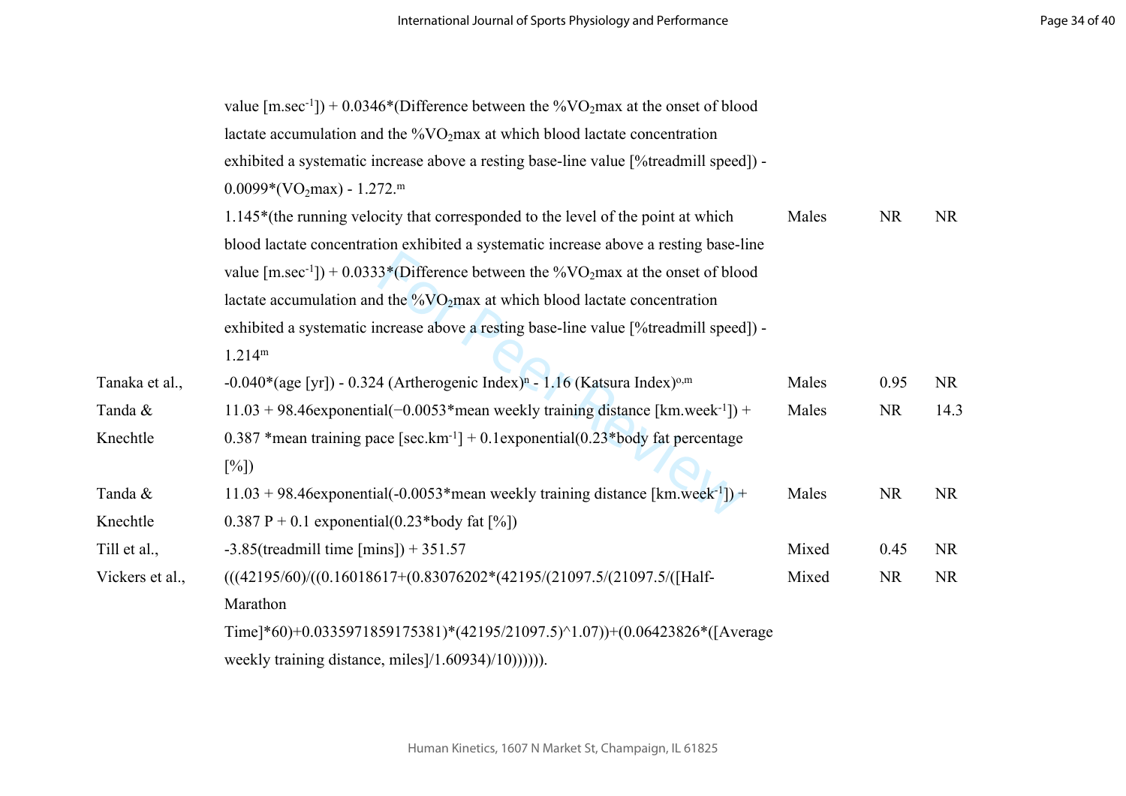| Males | <b>NR</b> | <b>NR</b> |
|-------|-----------|-----------|
|       |           |           |
|       |           |           |
|       |           |           |
|       |           |           |
|       |           |           |
| Males | 0.95      | <b>NR</b> |
| Males | <b>NR</b> | 14.3      |
|       |           |           |
|       |           |           |
| Males | <b>NR</b> | <b>NR</b> |
|       |           |           |
| Mixed | 0.45      | <b>NR</b> |
| Mixed | <b>NR</b> | <b>NR</b> |
|       |           |           |
|       |           |           |
|       |           |           |
|       |           |           |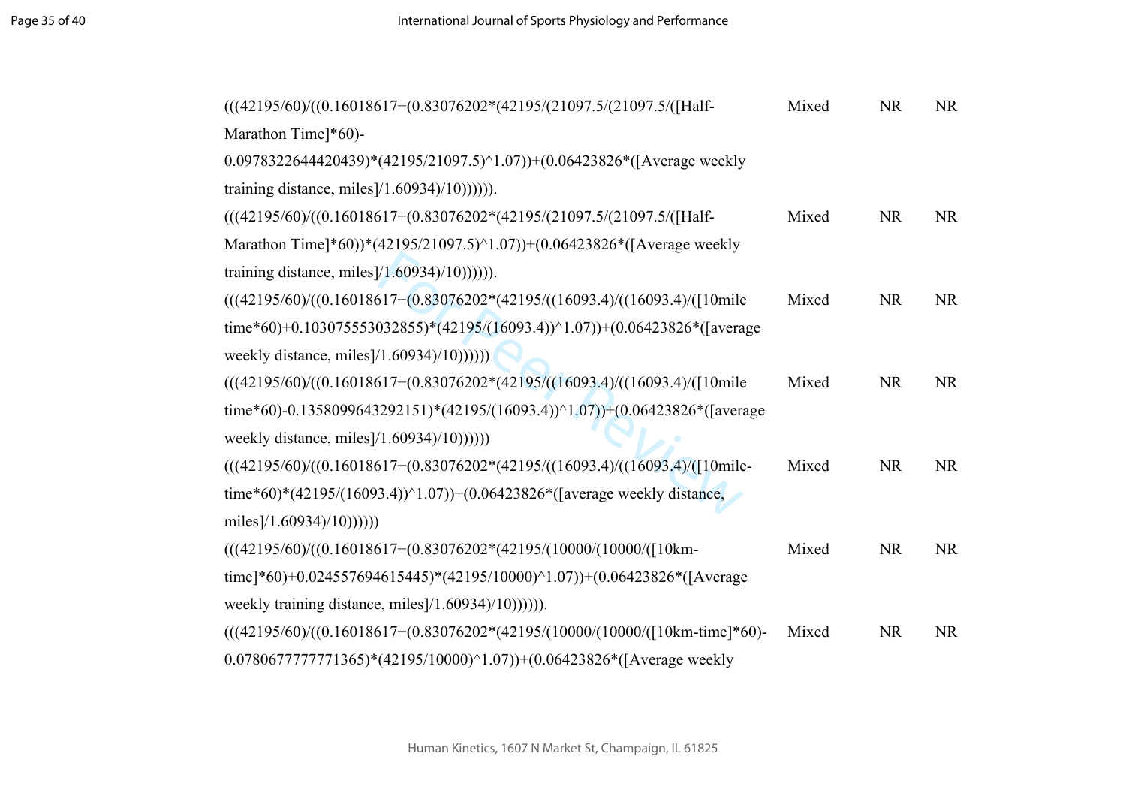| $(((42195/60)/((0.16018617+(0.83076202*(42195/(21097.5/(21097.5/([Half-$                      | Mixed | <b>NR</b> | <b>NR</b> |
|-----------------------------------------------------------------------------------------------|-------|-----------|-----------|
| Marathon Time]*60)-                                                                           |       |           |           |
| 0.0978322644420439)*(42195/21097.5)^1.07))+(0.06423826*([Average weekly                       |       |           |           |
| training distance, miles $(1.60934)(10))$ )).                                                 |       |           |           |
| $(((42195/60)/((0.16018617+(0.83076202*(42195/(21097.5/(21097.5/([Half-$                      | Mixed | <b>NR</b> | <b>NR</b> |
| Marathon Time]*60))*(42195/21097.5)^1.07))+(0.06423826*([Average weekly                       |       |           |           |
| training distance, miles $]/1.60934/(10))$ )).                                                |       |           |           |
|                                                                                               | Mixed | <b>NR</b> | <b>NR</b> |
| time*60)+0.103075553032855)*(42195/(16093.4))^1.07))+(0.06423826*([average                    |       |           |           |
| weekly distance, miles $(1.60934)(10))$ )))                                                   |       |           |           |
| $(((42195/60)/((0.16018617+(0.83076202*(42195/((16093.4)/(16093.4)/([10mile1929/16993.4)))))$ | Mixed | <b>NR</b> | NR.       |
| time*60)-0.1358099643292151)*(42195/(16093.4))^1.07))+(0.06423826*([average                   |       |           |           |
| weekly distance, miles $(1.60934)(10))$ )))                                                   |       |           |           |
| $(((42195/60)/((0.16018617+(0.83076202*(42195/((16093.4)/(16093.4)/([10mile-$                 | Mixed | <b>NR</b> | <b>NR</b> |
| time*60)*(42195/(16093.4))^1.07))+(0.06423826*([average weekly distance,                      |       |           |           |
| miles $\frac{1}{1.60934}$ /10))))))                                                           |       |           |           |
| $(((42195/60)/((0.16018617+(0.83076202*(42195/(10000/(10000/([10km-$                          | Mixed | <b>NR</b> | <b>NR</b> |
| time]*60)+0.024557694615445)*(42195/10000)^1.07))+(0.06423826*([Average                       |       |           |           |
| weekly training distance, miles $(1.60934)(10))$ )).                                          |       |           |           |
| $(((42195/60)/((0.16018617+(0.83076202*(42195/(10000/(10000/([10km-time]*60)-$                | Mixed | <b>NR</b> | <b>NR</b> |
| 0.078067777771365)*(42195/10000)^1.07))+(0.06423826*([Average weekly                          |       |           |           |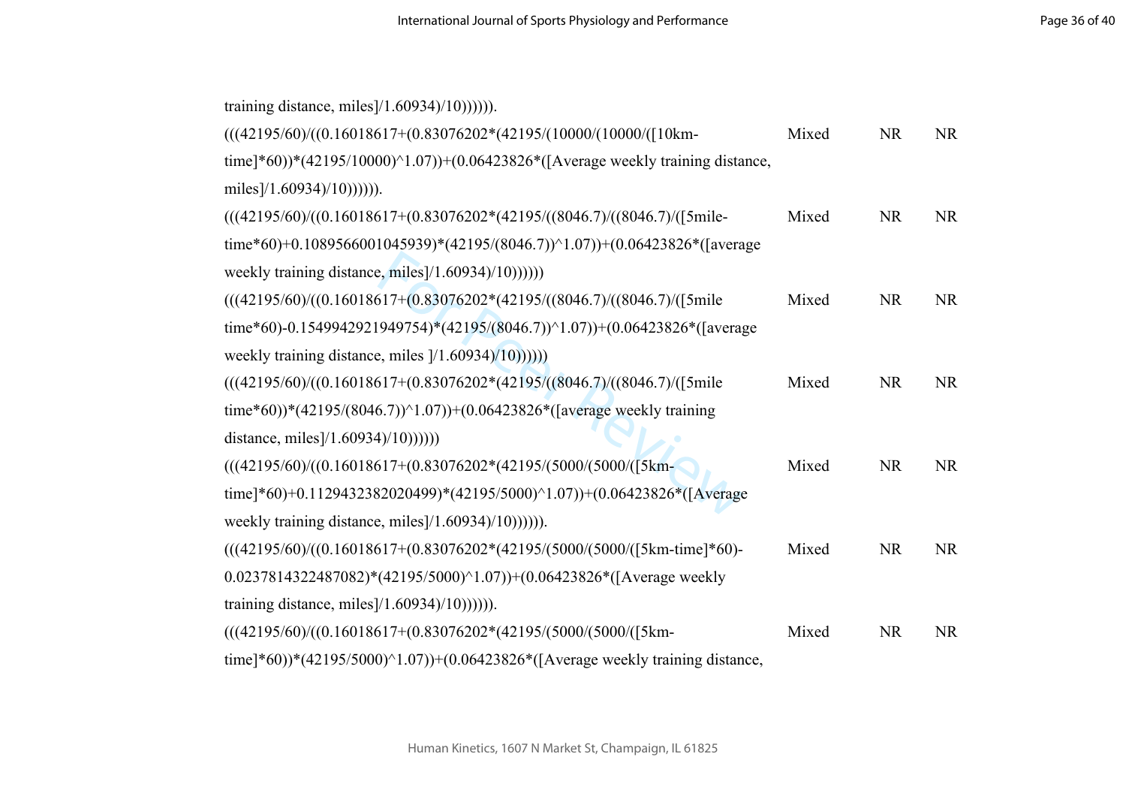| training distance, miles $(1.60934)(10))$ ))).                                                            |       |           |           |
|-----------------------------------------------------------------------------------------------------------|-------|-----------|-----------|
| $(((42195/60)/((0.16018617+(0.83076202*(42195/(10000/(10000/([10km-$                                      | Mixed | <b>NR</b> | <b>NR</b> |
| time]*60))*(42195/10000)^1.07))+(0.06423826*([Average weekly training distance,                           |       |           |           |
| miles $\frac{1}{1.60934}$ $\frac{10}{10}$ )))))).                                                         |       |           |           |
| $(((42195/60)/((0.16018617+(0.83076202*(42195/((8046.7)/(8046.7)/([5mile-$                                | Mixed | <b>NR</b> | <b>NR</b> |
| time*60)+0.1089566001045939)*(42195/(8046.7))^1.07))+(0.06423826*([average                                |       |           |           |
| weekly training distance, miles $(1.60934)(10))$ )))                                                      |       |           |           |
| $(((42195/60)/((0.16018617+(0.83076202*(42195/((8046.7)/(8046.7)/([5mile$                                 | Mixed | <b>NR</b> | <b>NR</b> |
| time*60)-0.1549942921949754)*(42195/(8046.7))^1.07))+(0.06423826*([average                                |       |           |           |
| weekly training distance, miles $(1.60934)(10))$ )))                                                      |       |           |           |
| $(((42195/60)/((0.16018617+(0.83076202*(42195/((8046.7)/(8046.7)/([5mile$                                 | Mixed | <b>NR</b> | <b>NR</b> |
| time*60))*(42195/(8046.7))^1.07))+(0.06423826*([average weekly training                                   |       |           |           |
| distance, miles $(1.60934)(10))$                                                                          |       |           |           |
| $(((42195/60)/((0.16018617+(0.83076202*(42195/(5000/(5000/55km-53636262))$                                | Mixed | <b>NR</b> | <b>NR</b> |
| time]*60)+0.1129432382020499)*(42195/5000)^1.07))+(0.06423826*([Average                                   |       |           |           |
| weekly training distance, miles $(1.60934)(10))$ )).                                                      |       |           |           |
| $(((42195/60)/((0.16018617+(0.83076202*(42195/(5000/(5000/55km-time)*60)-$                                | Mixed | <b>NR</b> | <b>NR</b> |
| $0.0237814322487082$ <sup>*</sup> $(42195/5000)^{1.07}$ )+ $(0.06423826$ <sup>*</sup> $($ [Average weekly |       |           |           |
| training distance, miles $(1.60934)(10))$ )).                                                             |       |           |           |
| $(((42195/60)/((0.16018617+(0.83076202*(42195/(5000/(5000/55km-53696262))$                                | Mixed | <b>NR</b> | <b>NR</b> |
| time]*60))*(42195/5000)^1.07))+(0.06423826*([Average weekly training distance,                            |       |           |           |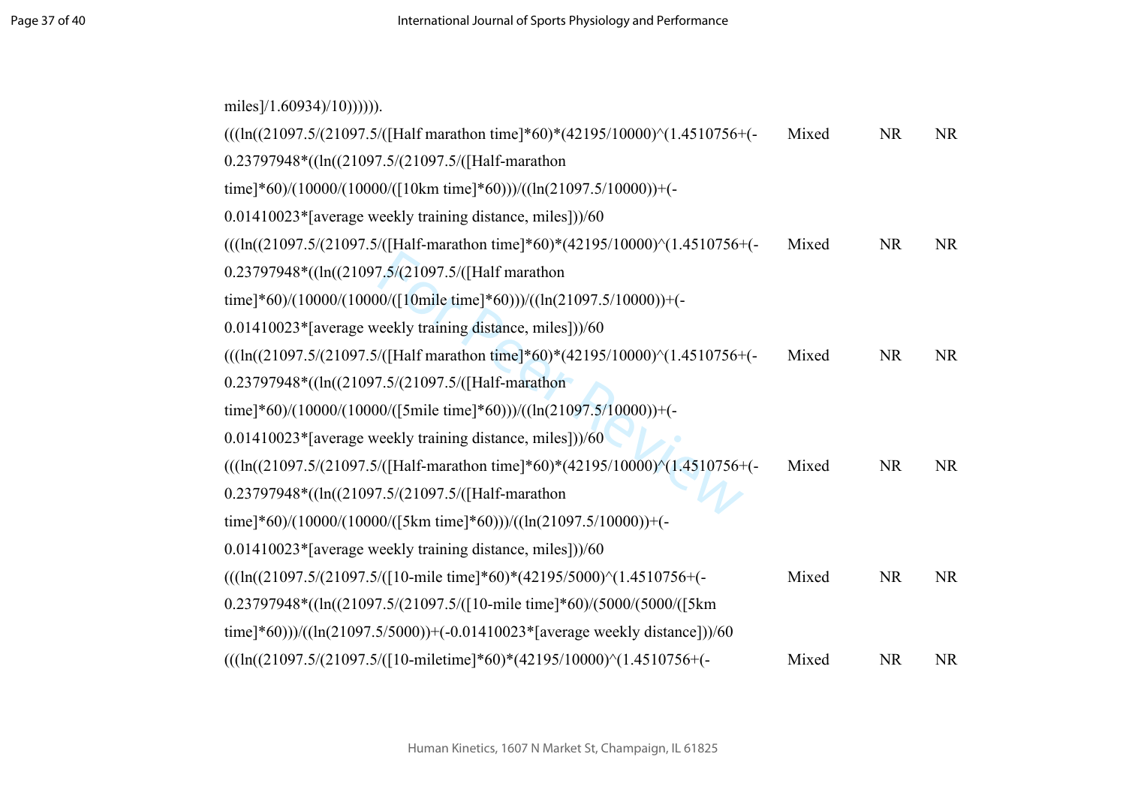| miles $\frac{1}{60934}/\frac{10}{10}$ ))))).                                                   |       |           |           |
|------------------------------------------------------------------------------------------------|-------|-----------|-----------|
| $(((\ln((21097.5/(21097.5/(\text{Half marahon time})*60)*(42195/10000)\text{'})(1.4510756+(-$  | Mixed | <b>NR</b> | <b>NR</b> |
| $0.23797948*(\ln((21097.5/(21097.5/[\text{Half-marathon}$                                      |       |           |           |
| time]*60)/(10000/(10000/([10km time]*60)))/((ln(21097.5/10000))+(-                             |       |           |           |
| $0.01410023*$ [average weekly training distance, miles]))/60                                   |       |           |           |
| $(((\ln((21097.5/(21097.5/(\text{Half-marathon time})*60)*(42195/10000)\text{'})(1.4510756+(-$ | Mixed | <b>NR</b> | <b>NR</b> |
| 0.23797948*((ln((21097.5/(21097.5/([Half marathon                                              |       |           |           |
| time]*60)/(10000/(10000/([10mile time]*60)))/((ln(21097.5/10000))+(-                           |       |           |           |
| 0.01410023*[average weekly training distance, miles]))/60                                      |       |           |           |
| $(((\ln((21097.5/(21097.5/(\text{Half marathon time})*60)*(42195/10000)\text{`}(1.4510756+(-$  | Mixed | <b>NR</b> | <b>NR</b> |
| $0.23797948*(\ln((21097.5/(21097.5/(\text{Half-marathon})))$                                   |       |           |           |
| time]*60)/(10000/(10000/([5mile time]*60)))/((ln(21097.5/10000))+(-                            |       |           |           |
| 0.01410023*[average weekly training distance, miles]))/60                                      |       |           |           |
| $(((\ln((21097.5/(21097.5/(\text{Half-marathon time})*60)*(42195/10000)\cdot(1.4510756+(-$     | Mixed | <b>NR</b> | <b>NR</b> |
| $0.23797948*(\ln((21097.5/(21097.5/[Half-marathon$                                             |       |           |           |
| time]*60)/(10000/(10000/([5km time]*60)))/((ln(21097.5/10000))+(-                              |       |           |           |
| 0.01410023*[average weekly training distance, miles]))/60                                      |       |           |           |
| $(((\ln((21097.5/(21097.5/([10\text{-mile time})*60)*(42195/5000)\text{-}(1.4510756+(-$        | Mixed | <b>NR</b> | <b>NR</b> |
| 0.23797948*((ln((21097.5/(21097.5/([10-mile time]*60)/(5000/(5000/([5km                        |       |           |           |
| time]*60)))/((ln(21097.5/5000))+(-0.01410023*[average weekly distance]))/60                    |       |           |           |
| $(((\ln((21097.5/(21097.5/([10\text{-miletime}]*60)*(42195/10000)^(1.4510756+(-$               | Mixed | <b>NR</b> | <b>NR</b> |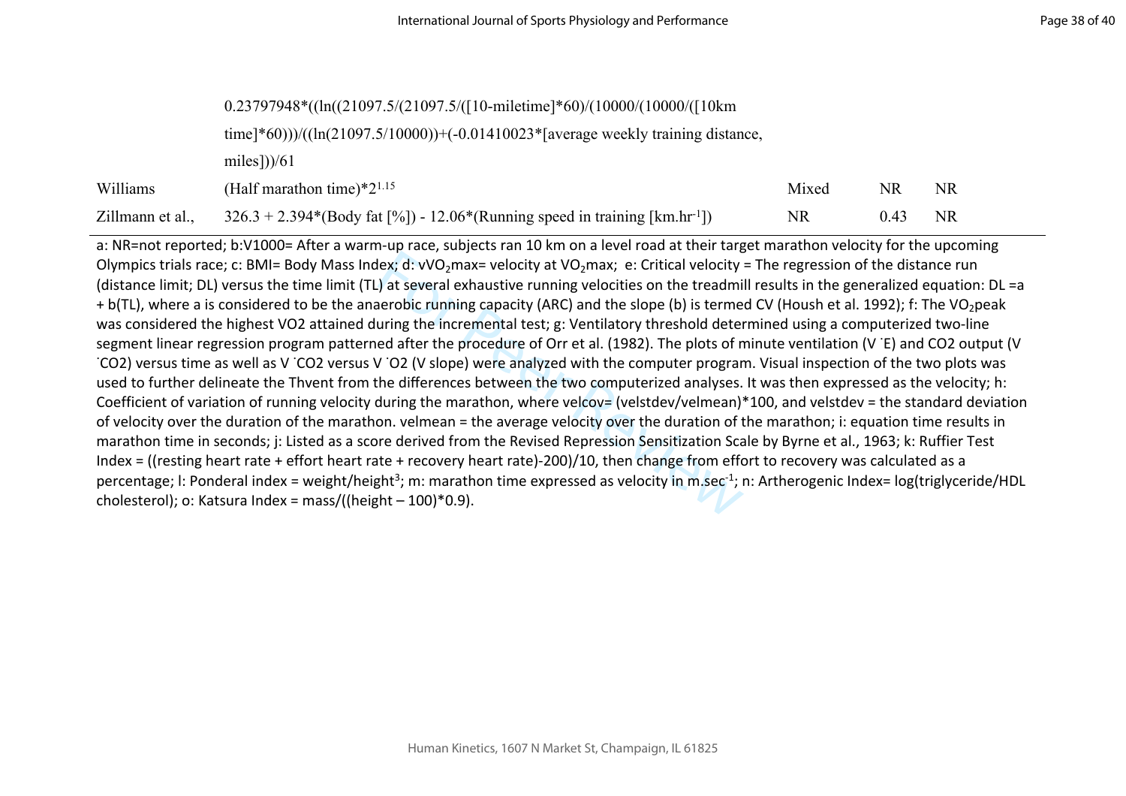|                  | $0.23797948*((ln((21097.5/(21097.5/([10-miletime]*60)/(10000/(10000/([10km$                       |       |      |           |  |  |  |  |
|------------------|---------------------------------------------------------------------------------------------------|-------|------|-----------|--|--|--|--|
|                  | time]*60)))/((ln(21097.5/10000))+(-0.01410023*[average weekly training distance,                  |       |      |           |  |  |  |  |
|                  | miles $\rangle$ )/61                                                                              |       |      |           |  |  |  |  |
| Williams         | (Half marathon time) $*2^{1.15}$                                                                  | Mixed | NR   | <b>NR</b> |  |  |  |  |
| Zillmann et al., | $326.3 + 2.394*(Body \text{ fat } [%]) - 12.06*(Running \text{ speed in training } [km.hr^{-1}])$ | NR    | 0.43 | <b>NR</b> |  |  |  |  |

lex; d: vVO<sub>2</sub>max= velocity at VO<sub>2</sub>max; e: Critical velocity<br>) at several exhaustive running velocities on the treadmi<br>aerobic running capacity (ARC) and the slope (b) is terme<br>uring the incremental test; g: Ventilatory a: NR=not reported; b:V1000= After a warm-up race, subjects ran 10 km on a level road at their target marathon velocity for the upcoming Olympics trials race; c: BMI= Body Mass Index; d:  $VO_2$ max= velocity at VO<sub>2</sub>max; e: Critical velocity = The regression of the distance run (distance limit; DL) versus the time limit (TL) at several exhaustive running velocities on the treadmill results in the generalized equation: DL =a + b(TL), where a is considered to be the anaerobic running capacity (ARC) and the slope (b) is termed CV (Housh et al. 1992); f: The VO<sub>2</sub>peak was considered the highest VO2 attained during the incremental test; g: Ventilatory threshold determined using a computerized two-line segment linear regression program patterned after the procedure of Orr et al. (1982). The plots of minute ventilation (V ˙E) and CO2 output (V ˙CO2) versus time as well as V ˙CO2 versus V ˙O2 (V slope) were analyzed with the computer program. Visual inspection of the two plots was used to further delineate the Thvent from the differences between the two computerized analyses. It was then expressed as the velocity; h: Coefficient of variation of running velocity during the marathon, where velcov= (velstdev/velmean)\*100, and velstdev = the standard deviation of velocity over the duration of the marathon. velmean = the average velocity over the duration of the marathon; i: equation time results in marathon time in seconds; j: Listed as a score derived from the Revised Repression Sensitization Scale by Byrne et al., 1963; k: Ruffier Test Index = ((resting heart rate + effort heart rate + recovery heart rate)-200)/10, then change from effort to recovery was calculated as a percentage; I: Ponderal index = weight/height<sup>3</sup>; m: marathon time expressed as velocity in m.sec<sup>-1</sup>; n: Artherogenic Index= log(triglyceride/HDL cholesterol); o: Katsura Index = mass/((height  $-100$ )\*0.9).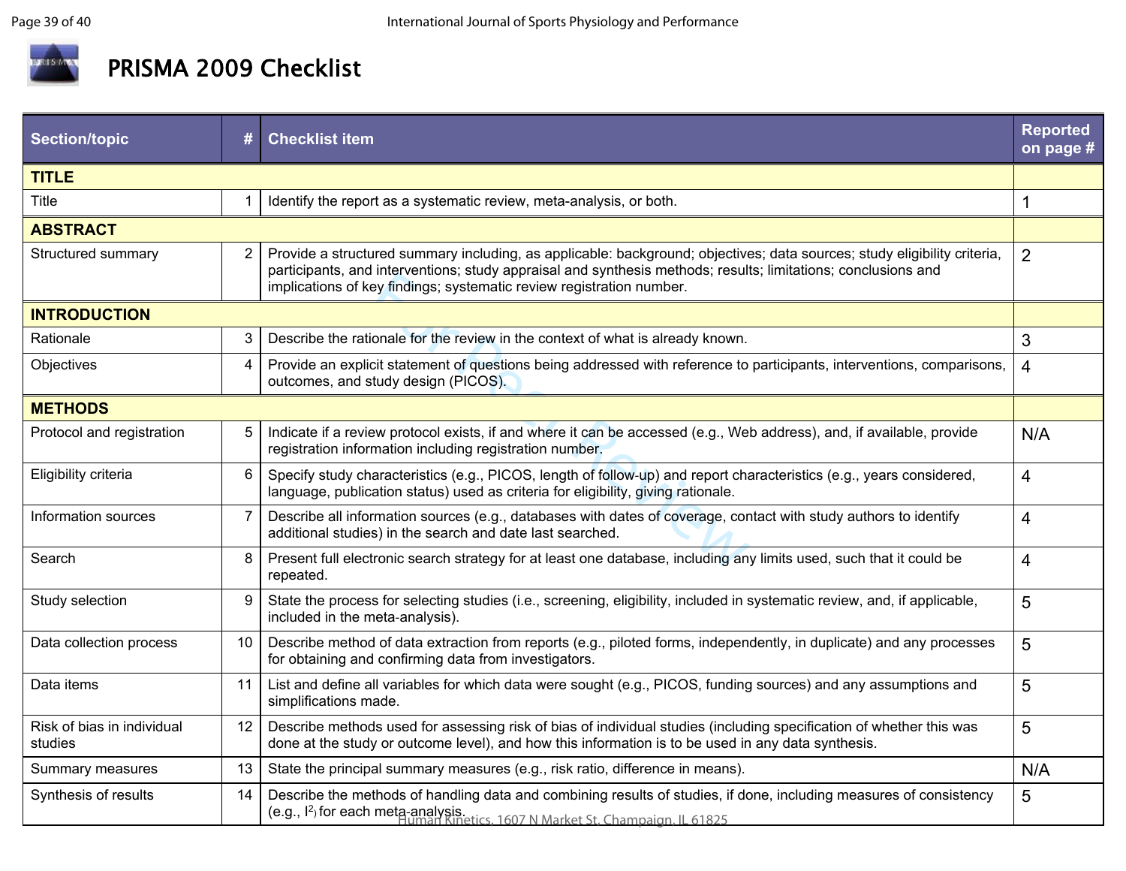

# **PRISMA 2009 Checklist**

| <b>Section/topic</b>                  | #              | <b>Checklist item</b>                                                                                                                                                                                                                                                                                             | <b>Reported</b><br>on page # |
|---------------------------------------|----------------|-------------------------------------------------------------------------------------------------------------------------------------------------------------------------------------------------------------------------------------------------------------------------------------------------------------------|------------------------------|
| <b>TITLE</b>                          |                |                                                                                                                                                                                                                                                                                                                   |                              |
| Title                                 | 1              | Identify the report as a systematic review, meta-analysis, or both.                                                                                                                                                                                                                                               | 1                            |
| <b>ABSTRACT</b>                       |                |                                                                                                                                                                                                                                                                                                                   |                              |
| Structured summary                    | $\overline{2}$ | Provide a structured summary including, as applicable: background; objectives; data sources; study eligibility criteria,<br>participants, and interventions; study appraisal and synthesis methods; results; limitations; conclusions and<br>implications of key findings; systematic review registration number. | $\overline{2}$               |
| <b>INTRODUCTION</b>                   |                |                                                                                                                                                                                                                                                                                                                   |                              |
| Rationale                             | 3              | Describe the rationale for the review in the context of what is already known.                                                                                                                                                                                                                                    | 3                            |
| Objectives                            | 4              | Provide an explicit statement of questions being addressed with reference to participants, interventions, comparisons,<br>outcomes, and study design (PICOS).                                                                                                                                                     | $\overline{4}$               |
| <b>METHODS</b>                        |                |                                                                                                                                                                                                                                                                                                                   |                              |
| Protocol and registration             | 5              | Indicate if a review protocol exists, if and where it can be accessed (e.g., Web address), and, if available, provide<br>registration information including registration number.                                                                                                                                  | N/A                          |
| Eligibility criteria                  | 6              | Specify study characteristics (e.g., PICOS, length of follow-up) and report characteristics (e.g., years considered,<br>language, publication status) used as criteria for eligibility, giving rationale.                                                                                                         | 4                            |
| Information sources                   | $\overline{7}$ | Describe all information sources (e.g., databases with dates of coverage, contact with study authors to identify<br>additional studies) in the search and date last searched.                                                                                                                                     | 4                            |
| Search                                | 8              | Present full electronic search strategy for at least one database, including any limits used, such that it could be<br>repeated.                                                                                                                                                                                  | 4                            |
| Study selection                       | 9              | State the process for selecting studies (i.e., screening, eligibility, included in systematic review, and, if applicable,<br>included in the meta-analysis).                                                                                                                                                      | 5                            |
| Data collection process               | 10             | Describe method of data extraction from reports (e.g., piloted forms, independently, in duplicate) and any processes<br>for obtaining and confirming data from investigators.                                                                                                                                     | 5                            |
| Data items                            | 11             | List and define all variables for which data were sought (e.g., PICOS, funding sources) and any assumptions and<br>simplifications made.                                                                                                                                                                          | 5                            |
| Risk of bias in individual<br>studies | 12             | Describe methods used for assessing risk of bias of individual studies (including specification of whether this was<br>done at the study or outcome level), and how this information is to be used in any data synthesis.                                                                                         | 5                            |
| Summary measures                      | 13             | State the principal summary measures (e.g., risk ratio, difference in means).                                                                                                                                                                                                                                     | N/A                          |
| Synthesis of results                  | 14             | Describe the methods of handling data and combining results of studies, if done, including measures of consistency<br>(e.g., I <sup>2</sup> ) for each meta-analysis.<br>Human Kinetics, 1607 N Market St, Champaign, IL 61825                                                                                    | 5                            |